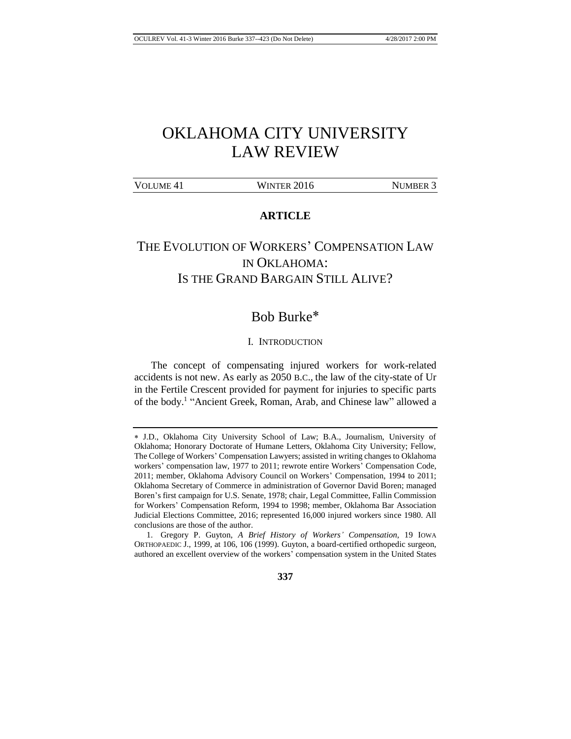# OKLAHOMA CITY UNIVERSITY LAW REVIEW

| VOLUME <sub>41</sub> | WINTER 2016 | <b>NUMBER 3</b> |
|----------------------|-------------|-----------------|

## **ARTICLE**

## THE EVOLUTION OF WORKERS' COMPENSATION LAW IN OKLAHOMA: IS THE GRAND BARGAIN STILL ALIVE?

## Bob Burke

#### I. INTRODUCTION

The concept of compensating injured workers for work-related accidents is not new. As early as 2050 B.C., the law of the city-state of Ur in the Fertile Crescent provided for payment for injuries to specific parts of the body.<sup>1</sup> "Ancient Greek, Roman, Arab, and Chinese law" allowed a

<sup>1.</sup> Gregory P. Guyton, *A Brief History of Workers' Compensation*, 19 IOWA ORTHOPAEDIC J., 1999, at 106, 106 (1999). Guyton, a board-certified orthopedic surgeon, authored an excellent overview of the workers' compensation system in the United States



J.D., Oklahoma City University School of Law; B.A., Journalism, University of Oklahoma; Honorary Doctorate of Humane Letters, Oklahoma City University; Fellow, The College of Workers' Compensation Lawyers; assisted in writing changes to Oklahoma workers' compensation law, 1977 to 2011; rewrote entire Workers' Compensation Code, 2011; member, Oklahoma Advisory Council on Workers' Compensation, 1994 to 2011; Oklahoma Secretary of Commerce in administration of Governor David Boren; managed Boren's first campaign for U.S. Senate, 1978; chair, Legal Committee, Fallin Commission for Workers' Compensation Reform, 1994 to 1998; member, Oklahoma Bar Association Judicial Elections Committee, 2016; represented 16,000 injured workers since 1980. All conclusions are those of the author.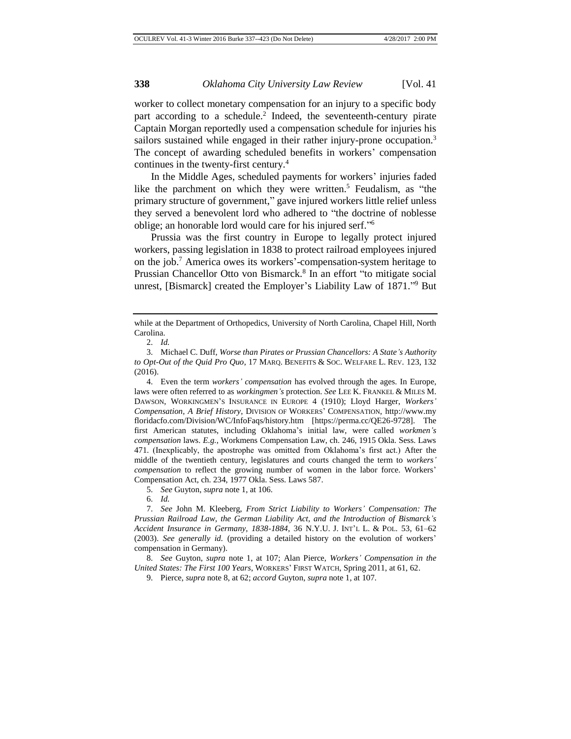worker to collect monetary compensation for an injury to a specific body part according to a schedule.<sup>2</sup> Indeed, the seventeenth-century pirate Captain Morgan reportedly used a compensation schedule for injuries his sailors sustained while engaged in their rather injury-prone occupation.<sup>3</sup> The concept of awarding scheduled benefits in workers' compensation continues in the twenty-first century.<sup>4</sup>

In the Middle Ages, scheduled payments for workers' injuries faded like the parchment on which they were written.<sup>5</sup> Feudalism, as "the primary structure of government," gave injured workers little relief unless they served a benevolent lord who adhered to "the doctrine of noblesse oblige; an honorable lord would care for his injured serf." 6

Prussia was the first country in Europe to legally protect injured workers, passing legislation in 1838 to protect railroad employees injured on the job.<sup>7</sup> America owes its workers'-compensation-system heritage to Prussian Chancellor Otto von Bismarck.<sup>8</sup> In an effort "to mitigate social unrest, [Bismarck] created the Employer's Liability Law of 1871." <sup>9</sup> But

5. *See* Guyton, *supra* note 1, at 106.

8. *See* Guyton, *supra* note 1, at 107; Alan Pierce, *Workers' Compensation in the United States: The First 100 Years*, WORKERS' FIRST WATCH, Spring 2011, at 61, 62.

9. Pierce, *supra* note 8, at 62; *accord* Guyton, *supra* note 1, at 107.

while at the Department of Orthopedics, University of North Carolina, Chapel Hill, North Carolina.

<sup>2.</sup> *Id.*

<sup>3.</sup> Michael C. Duff, *Worse than Pirates or Prussian Chancellors: A State's Authority to Opt-Out of the Quid Pro Quo*, 17 MARQ. BENEFITS & SOC. WELFARE L. REV. 123, 132 (2016).

<sup>4.</sup> Even the term *workers' compensation* has evolved through the ages. In Europe, laws were often referred to as *workingmen's* protection. *See* LEE K. FRANKEL & MILES M. DAWSON, WORKINGMEN'S INSURANCE IN EUROPE 4 (1910); Lloyd Harger, *Workers' Compensation, A Brief History*, DIVISION OF WORKERS' COMPENSATION, http://www.my floridacfo.com/Division/WC/InfoFaqs/history.htm [https://perma.cc/QE26-9728]. The first American statutes, including Oklahoma's initial law, were called *workmen's compensation* laws. *E.g.*, Workmens Compensation Law, ch. 246, 1915 Okla. Sess. Laws 471. (Inexplicably, the apostrophe was omitted from Oklahoma's first act.) After the middle of the twentieth century, legislatures and courts changed the term to *workers' compensation* to reflect the growing number of women in the labor force. Workers' Compensation Act, ch. 234, 1977 Okla. Sess. Laws 587.

<sup>6.</sup> *Id.*

<sup>7.</sup> *See* John M. Kleeberg, *From Strict Liability to Workers' Compensation: The Prussian Railroad Law, the German Liability Act, and the Introduction of Bismarck's Accident Insurance in Germany, 1838-1884*, 36 N.Y.U. J. INT'L L. & POL. 53, 61–62 (2003). *See generally id.* (providing a detailed history on the evolution of workers' compensation in Germany).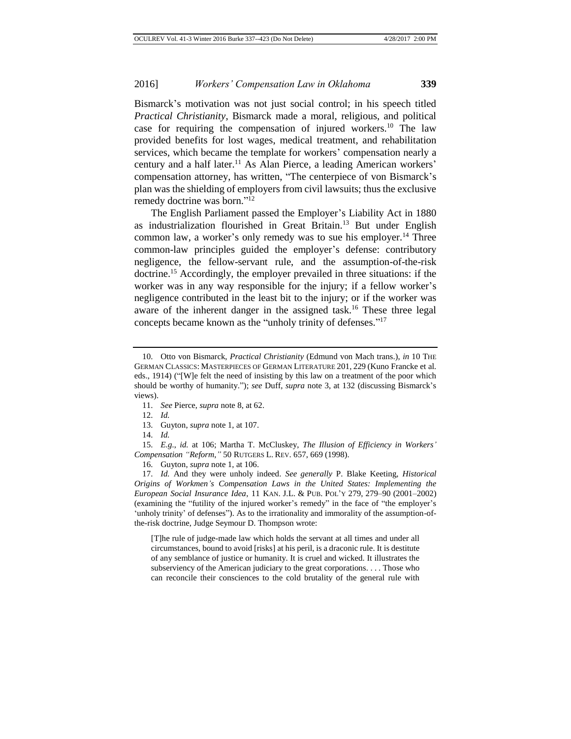Bismarck's motivation was not just social control; in his speech titled *Practical Christianity*, Bismarck made a moral, religious, and political case for requiring the compensation of injured workers.<sup>10</sup> The law provided benefits for lost wages, medical treatment, and rehabilitation services, which became the template for workers' compensation nearly a century and a half later.<sup>11</sup> As Alan Pierce, a leading American workers' compensation attorney, has written, "The centerpiece of von Bismarck's plan was the shielding of employers from civil lawsuits; thus the exclusive remedy doctrine was born."<sup>12</sup>

The English Parliament passed the Employer's Liability Act in 1880 as industrialization flourished in Great Britain.<sup>13</sup> But under English common law, a worker's only remedy was to sue his employer.<sup>14</sup> Three common-law principles guided the employer's defense: contributory negligence, the fellow-servant rule, and the assumption-of-the-risk doctrine.<sup>15</sup> Accordingly, the employer prevailed in three situations: if the worker was in any way responsible for the injury; if a fellow worker's negligence contributed in the least bit to the injury; or if the worker was aware of the inherent danger in the assigned task.<sup>16</sup> These three legal concepts became known as the "unholy trinity of defenses." 17

12. *Id.*

13. Guyton, *supra* note 1, at 107.

14. *Id.*

15. *E.g.*, *id.* at 106; Martha T. McCluskey, *The Illusion of Efficiency in Workers' Compensation "Reform*,*"* 50 RUTGERS L. REV. 657, 669 (1998).

16. Guyton, *supra* note 1, at 106.

17. *Id.* And they were unholy indeed. *See generally* P. Blake Keeting, *Historical Origins of Workmen's Compensation Laws in the United States: Implementing the European Social Insurance Idea*, 11 KAN. J.L. & PUB. POL'Y 279, 279–90 (2001–2002) (examining the "futility of the injured worker's remedy" in the face of "the employer's 'unholy trinity' of defenses"). As to the irrationality and immorality of the assumption-ofthe-risk doctrine, Judge Seymour D. Thompson wrote:

[T]he rule of judge-made law which holds the servant at all times and under all circumstances, bound to avoid [risks] at his peril, is a draconic rule. It is destitute of any semblance of justice or humanity. It is cruel and wicked. It illustrates the subserviency of the American judiciary to the great corporations. . . . Those who can reconcile their consciences to the cold brutality of the general rule with

<sup>10.</sup> Otto von Bismarck, *Practical Christianity* (Edmund von Mach trans.), *in* 10 THE GERMAN CLASSICS: MASTERPIECES OF GERMAN LITERATURE 201, 229 (Kuno Francke et al. eds., 1914) ("[W]e felt the need of insisting by this law on a treatment of the poor which should be worthy of humanity."); *see* Duff, *supra* note 3, at 132 (discussing Bismarck's views).

<sup>11.</sup> *See* Pierce, *supra* note 8, at 62.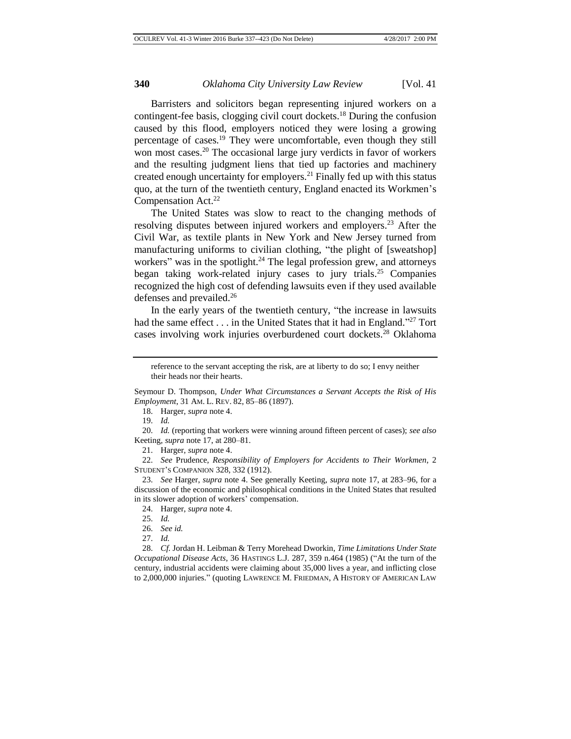Barristers and solicitors began representing injured workers on a contingent-fee basis, clogging civil court dockets.<sup>18</sup> During the confusion caused by this flood, employers noticed they were losing a growing percentage of cases.<sup>19</sup> They were uncomfortable, even though they still won most cases.<sup>20</sup> The occasional large jury verdicts in favor of workers and the resulting judgment liens that tied up factories and machinery created enough uncertainty for employers.<sup>21</sup> Finally fed up with this status quo, at the turn of the twentieth century, England enacted its Workmen's Compensation Act.<sup>22</sup>

The United States was slow to react to the changing methods of resolving disputes between injured workers and employers.<sup>23</sup> After the Civil War, as textile plants in New York and New Jersey turned from manufacturing uniforms to civilian clothing, "the plight of [sweatshop] workers" was in the spotlight.<sup>24</sup> The legal profession grew, and attorneys began taking work-related injury cases to jury trials.<sup>25</sup> Companies recognized the high cost of defending lawsuits even if they used available defenses and prevailed.<sup>26</sup>

In the early years of the twentieth century, "the increase in lawsuits had the same effect  $\dots$  in the United States that it had in England."<sup>27</sup> Tort cases involving work injuries overburdened court dockets.<sup>28</sup> Oklahoma

19. *Id.*

20. *Id.* (reporting that workers were winning around fifteen percent of cases); *see also*  Keeting, *supra* note 17, at 280–81.

21. Harger, *supra* note 4.

22. *See* Prudence, *Responsibility of Employers for Accidents to Their Workmen*, 2 STUDENT'S COMPANION 328, 332 (1912).

23. *See* Harger, *supra* note 4. See generally Keeting, *supra* note 17, at 283–96, for a discussion of the economic and philosophical conditions in the United States that resulted in its slower adoption of workers' compensation.

24. Harger, *supra* note 4.

28. *Cf.* Jordan H. Leibman & Terry Morehead Dworkin, *Time Limitations Under State Occupational Disease Acts*, 36 HASTINGS L.J. 287, 359 n.464 (1985) ("At the turn of the century, industrial accidents were claiming about 35,000 lives a year, and inflicting close to 2,000,000 injuries." (quoting LAWRENCE M. FRIEDMAN, A HISTORY OF AMERICAN LAW

reference to the servant accepting the risk, are at liberty to do so; I envy neither their heads nor their hearts.

Seymour D. Thompson, *Under What Circumstances a Servant Accepts the Risk of His Employment*, 31 AM. L. REV. 82, 85–86 (1897).

<sup>18.</sup> Harger, *supra* note 4.

<sup>25.</sup> *Id.*

<sup>26.</sup> *See id.*

<sup>27.</sup> *Id.*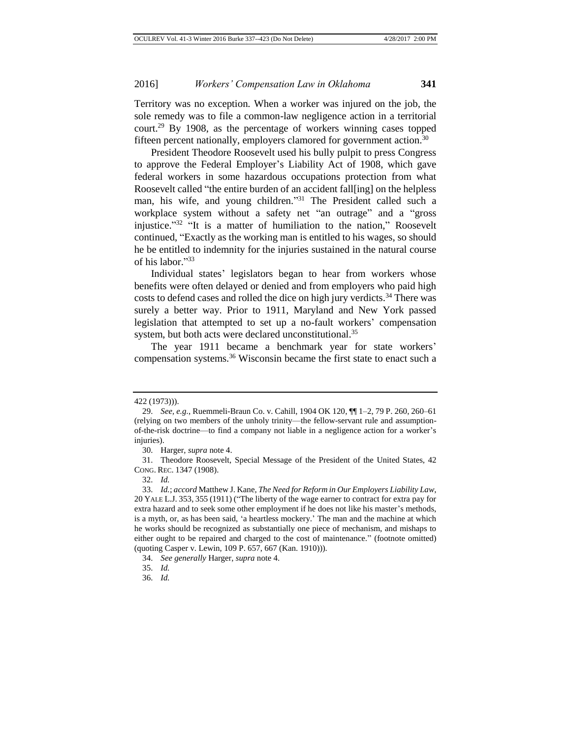Territory was no exception. When a worker was injured on the job, the sole remedy was to file a common-law negligence action in a territorial court.<sup>29</sup> By 1908, as the percentage of workers winning cases topped fifteen percent nationally, employers clamored for government action.<sup>30</sup>

President Theodore Roosevelt used his bully pulpit to press Congress to approve the Federal Employer's Liability Act of 1908, which gave federal workers in some hazardous occupations protection from what Roosevelt called "the entire burden of an accident fall[ing] on the helpless man, his wife, and young children."<sup>31</sup> The President called such a workplace system without a safety net "an outrage" and a "gross injustice." 32 "It is a matter of humiliation to the nation," Roosevelt continued, "Exactly as the working man is entitled to his wages, so should he be entitled to indemnity for the injuries sustained in the natural course of his labor." 33

Individual states' legislators began to hear from workers whose benefits were often delayed or denied and from employers who paid high costs to defend cases and rolled the dice on high jury verdicts.<sup>34</sup> There was surely a better way. Prior to 1911, Maryland and New York passed legislation that attempted to set up a no-fault workers' compensation system, but both acts were declared unconstitutional.<sup>35</sup>

The year 1911 became a benchmark year for state workers' compensation systems.<sup>36</sup> Wisconsin became the first state to enact such a

<sup>422 (1973))).</sup>

<sup>29.</sup> *See, e.g.*, Ruemmeli-Braun Co. v. Cahill, 1904 OK 120, ¶¶ 1–2, 79 P. 260, 260–61 (relying on two members of the unholy trinity—the fellow-servant rule and assumptionof-the-risk doctrine—to find a company not liable in a negligence action for a worker's injuries).

<sup>30.</sup> Harger, *supra* note 4.

<sup>31.</sup> Theodore Roosevelt, Special Message of the President of the United States, 42 CONG. REC. 1347 (1908).

<sup>32.</sup> *Id.*

<sup>33.</sup> *Id.*; *accord* Matthew J. Kane, *The Need for Reform in Our Employers Liability Law*, 20 YALE L.J. 353, 355 (1911) ("The liberty of the wage earner to contract for extra pay for extra hazard and to seek some other employment if he does not like his master's methods, is a myth, or, as has been said, 'a heartless mockery.' The man and the machine at which he works should be recognized as substantially one piece of mechanism, and mishaps to either ought to be repaired and charged to the cost of maintenance." (footnote omitted) (quoting Casper v. Lewin, 109 P. 657, 667 (Kan. 1910))).

<sup>34.</sup> *See generally* Harger, *supra* note 4.

<sup>35.</sup> *Id.*

<sup>36.</sup> *Id.*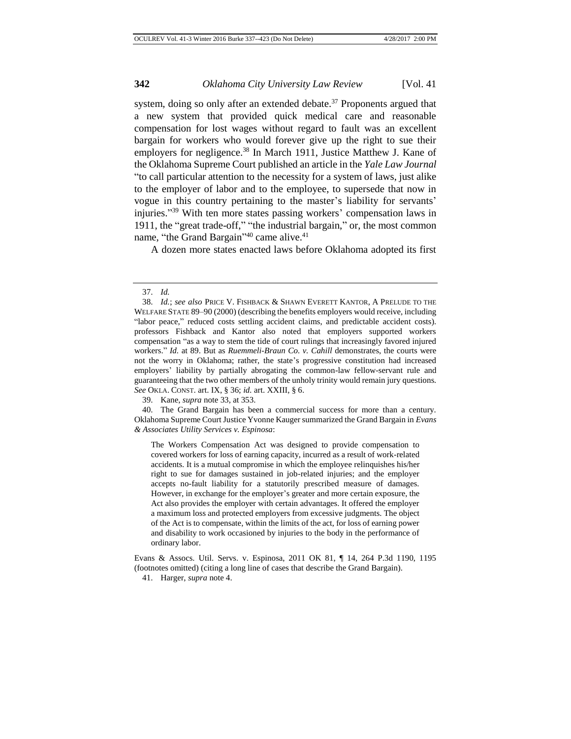system, doing so only after an extended debate.<sup>37</sup> Proponents argued that a new system that provided quick medical care and reasonable compensation for lost wages without regard to fault was an excellent bargain for workers who would forever give up the right to sue their employers for negligence.<sup>38</sup> In March 1911, Justice Matthew J. Kane of the Oklahoma Supreme Court published an article in the *Yale Law Journal* "to call particular attention to the necessity for a system of laws, just alike to the employer of labor and to the employee, to supersede that now in vogue in this country pertaining to the master's liability for servants' injuries." <sup>39</sup> With ten more states passing workers' compensation laws in 1911, the "great trade-off," "the industrial bargain," or, the most common name, "the Grand Bargain"<sup>40</sup> came alive.<sup>41</sup>

A dozen more states enacted laws before Oklahoma adopted its first

39. Kane, *supra* note 33, at 353.

40. The Grand Bargain has been a commercial success for more than a century. Oklahoma Supreme Court Justice Yvonne Kauger summarized the Grand Bargain in *Evans & Associates Utility Services v. Espinosa*:

The Workers Compensation Act was designed to provide compensation to covered workers for loss of earning capacity, incurred as a result of work-related accidents. It is a mutual compromise in which the employee relinquishes his/her right to sue for damages sustained in job-related injuries; and the employer accepts no-fault liability for a statutorily prescribed measure of damages. However, in exchange for the employer's greater and more certain exposure, the Act also provides the employer with certain advantages. It offered the employer a maximum loss and protected employers from excessive judgments. The object of the Act is to compensate, within the limits of the act, for loss of earning power and disability to work occasioned by injuries to the body in the performance of ordinary labor.

Evans & Assocs. Util. Servs. v. Espinosa, 2011 OK 81, ¶ 14, 264 P.3d 1190, 1195 (footnotes omitted) (citing a long line of cases that describe the Grand Bargain).

<sup>37.</sup> *Id.*

<sup>38.</sup> *Id.*; *see also* PRICE V. FISHBACK & SHAWN EVERETT KANTOR, A PRELUDE TO THE WELFARE STATE 89–90 (2000) (describing the benefits employers would receive, including "labor peace," reduced costs settling accident claims, and predictable accident costs). professors Fishback and Kantor also noted that employers supported workers compensation "as a way to stem the tide of court rulings that increasingly favored injured workers." *Id.* at 89. But as *Ruemmeli-Braun Co. v. Cahill* demonstrates, the courts were not the worry in Oklahoma; rather, the state's progressive constitution had increased employers' liability by partially abrogating the common-law fellow-servant rule and guaranteeing that the two other members of the unholy trinity would remain jury questions. *See* OKLA. CONST. art. IX, § 36; *id.* art. XXIII, § 6.

<sup>41.</sup> Harger, *supra* note 4.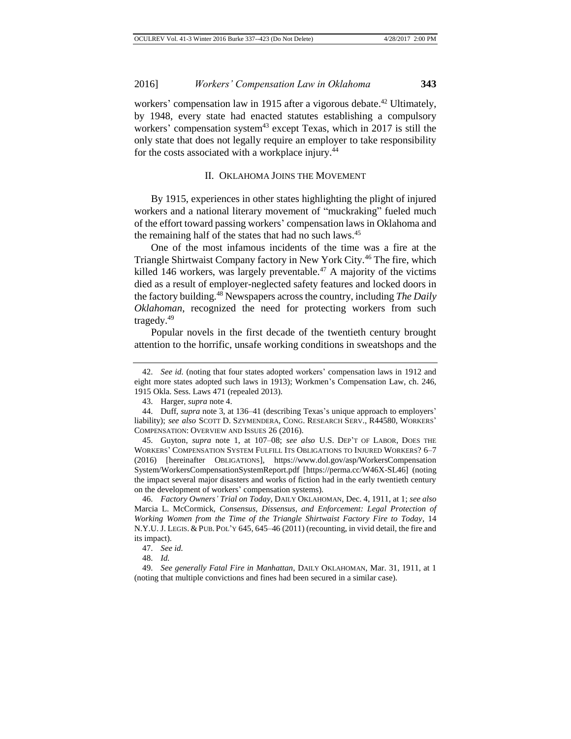workers' compensation law in 1915 after a vigorous debate.<sup>42</sup> Ultimately, by 1948, every state had enacted statutes establishing a compulsory workers' compensation system<sup>43</sup> except Texas, which in 2017 is still the only state that does not legally require an employer to take responsibility for the costs associated with a workplace injury.<sup>44</sup>

#### II. OKLAHOMA JOINS THE MOVEMENT

By 1915, experiences in other states highlighting the plight of injured workers and a national literary movement of "muckraking" fueled much of the effort toward passing workers' compensation laws in Oklahoma and the remaining half of the states that had no such laws.<sup>45</sup>

One of the most infamous incidents of the time was a fire at the Triangle Shirtwaist Company factory in New York City.<sup>46</sup> The fire, which killed 146 workers, was largely preventable.<sup>47</sup> A majority of the victims died as a result of employer-neglected safety features and locked doors in the factory building.<sup>48</sup> Newspapers across the country, including *The Daily Oklahoman*, recognized the need for protecting workers from such tragedy.<sup>49</sup>

Popular novels in the first decade of the twentieth century brought attention to the horrific, unsafe working conditions in sweatshops and the

<sup>42.</sup> *See id.* (noting that four states adopted workers' compensation laws in 1912 and eight more states adopted such laws in 1913); Workmen's Compensation Law, ch. 246, 1915 Okla. Sess. Laws 471 (repealed 2013).

<sup>43.</sup> Harger, *supra* note 4.

<sup>44.</sup> Duff, *supra* note 3, at 136–41 (describing Texas's unique approach to employers' liability); *see also* SCOTT D. SZYMENDERA, CONG. RESEARCH SERV., R44580, WORKERS' COMPENSATION: OVERVIEW AND ISSUES 26 (2016).

<sup>45.</sup> Guyton, *supra* note 1, at 107–08; *see also* U.S. DEP'T OF LABOR, DOES THE WORKERS' COMPENSATION SYSTEM FULFILL ITS OBLIGATIONS TO INJURED WORKERS? 6–7 (2016) [hereinafter OBLIGATIONS], https://www.dol.gov/asp/WorkersCompensation System/WorkersCompensationSystemReport.pdf [https://perma.cc/W46X-SL46] (noting the impact several major disasters and works of fiction had in the early twentieth century on the development of workers' compensation systems).

<sup>46.</sup> *Factory Owners' Trial on Today*, DAILY OKLAHOMAN, Dec. 4, 1911, at 1; *see also*  Marcia L. McCormick, *Consensus, Dissensus, and Enforcement: Legal Protection of Working Women from the Time of the Triangle Shirtwaist Factory Fire to Today*, 14 N.Y.U. J. LEGIS. & PUB. POL'Y 645, 645–46 (2011) (recounting, in vivid detail, the fire and its impact).

<sup>47.</sup> *See id.*

<sup>48.</sup> *Id.*

<sup>49.</sup> *See generally Fatal Fire in Manhattan*, DAILY OKLAHOMAN, Mar. 31, 1911, at 1 (noting that multiple convictions and fines had been secured in a similar case).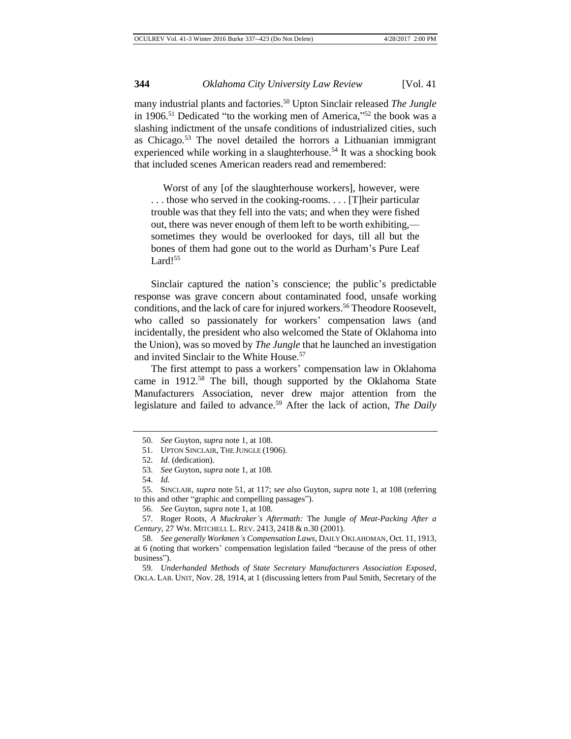many industrial plants and factories.<sup>50</sup> Upton Sinclair released *The Jungle*  in 1906.<sup>51</sup> Dedicated "to the working men of America,"<sup>52</sup> the book was a slashing indictment of the unsafe conditions of industrialized cities, such as Chicago.<sup>53</sup> The novel detailed the horrors a Lithuanian immigrant experienced while working in a slaughterhouse.<sup>54</sup> It was a shocking book that included scenes American readers read and remembered:

Worst of any [of the slaughterhouse workers], however, were . . . those who served in the cooking-rooms. . . . [T]heir particular trouble was that they fell into the vats; and when they were fished out, there was never enough of them left to be worth exhibiting, sometimes they would be overlooked for days, till all but the bones of them had gone out to the world as Durham's Pure Leaf Lard!<sup>55</sup>

Sinclair captured the nation's conscience; the public's predictable response was grave concern about contaminated food, unsafe working conditions, and the lack of care for injured workers.<sup>56</sup> Theodore Roosevelt, who called so passionately for workers' compensation laws (and incidentally, the president who also welcomed the State of Oklahoma into the Union), was so moved by *The Jungle* that he launched an investigation and invited Sinclair to the White House.<sup>57</sup>

The first attempt to pass a workers' compensation law in Oklahoma came in 1912.<sup>58</sup> The bill, though supported by the Oklahoma State Manufacturers Association, never drew major attention from the legislature and failed to advance.<sup>59</sup> After the lack of action, *The Daily* 

<sup>50.</sup> *See* Guyton, *supra* note 1, at 108.

<sup>51.</sup> UPTON SINCLAIR, THE JUNGLE (1906).

<sup>52.</sup> *Id.* (dedication).

<sup>53.</sup> *See* Guyton, *supra* note 1, at 108.

<sup>54.</sup> *Id.*

<sup>55.</sup> SINCLAIR, *supra* note 51, at 117; *see also* Guyton, *supra* note 1, at 108 (referring to this and other "graphic and compelling passages").

<sup>56.</sup> *See* Guyton, *supra* note 1, at 108.

<sup>57.</sup> Roger Roots, *A Muckraker's Aftermath:* The Jungle *of Meat-Packing After a Century*, 27 WM. MITCHELL L. REV. 2413, 2418 & n.30 (2001).

<sup>58.</sup> *See generally Workmen's Compensation Laws*, DAILY OKLAHOMAN, Oct. 11, 1913, at 6 (noting that workers' compensation legislation failed "because of the press of other business").

<sup>59.</sup> *Underhanded Methods of State Secretary Manufacturers Association Exposed*, OKLA. LAB. UNIT, Nov. 28, 1914, at 1 (discussing letters from Paul Smith, Secretary of the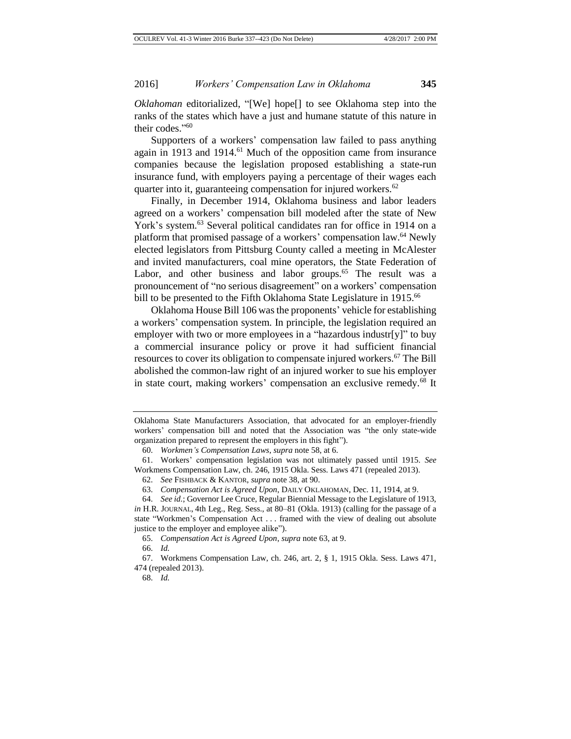*Oklahoman* editorialized, "[We] hope[] to see Oklahoma step into the ranks of the states which have a just and humane statute of this nature in their codes." 60

Supporters of a workers' compensation law failed to pass anything again in 1913 and 1914.<sup>61</sup> Much of the opposition came from insurance companies because the legislation proposed establishing a state-run insurance fund, with employers paying a percentage of their wages each quarter into it, guaranteeing compensation for injured workers.<sup>62</sup>

Finally, in December 1914, Oklahoma business and labor leaders agreed on a workers' compensation bill modeled after the state of New York's system.<sup>63</sup> Several political candidates ran for office in 1914 on a platform that promised passage of a workers' compensation law.<sup>64</sup> Newly elected legislators from Pittsburg County called a meeting in McAlester and invited manufacturers, coal mine operators, the State Federation of Labor, and other business and labor groups.<sup>65</sup> The result was a pronouncement of "no serious disagreement" on a workers' compensation bill to be presented to the Fifth Oklahoma State Legislature in 1915.<sup>66</sup>

Oklahoma House Bill 106 was the proponents' vehicle for establishing a workers' compensation system. In principle, the legislation required an employer with two or more employees in a "hazardous industr[y]" to buy a commercial insurance policy or prove it had sufficient financial resources to cover its obligation to compensate injured workers.<sup>67</sup> The Bill abolished the common-law right of an injured worker to sue his employer in state court, making workers' compensation an exclusive remedy.<sup>68</sup> It

66. *Id.*

Oklahoma State Manufacturers Association, that advocated for an employer-friendly workers' compensation bill and noted that the Association was "the only state-wide organization prepared to represent the employers in this fight").

<sup>60.</sup> *Workmen's Compensation Laws*, *supra* note 58, at 6.

<sup>61.</sup> Workers' compensation legislation was not ultimately passed until 1915. *See*  Workmens Compensation Law, ch. 246, 1915 Okla. Sess. Laws 471 (repealed 2013).

<sup>62.</sup> *See* FISHBACK & KANTOR, *supra* note 38, at 90.

<sup>63.</sup> *Compensation Act is Agreed Upon*, DAILY OKLAHOMAN, Dec. 11, 1914, at 9.

<sup>64.</sup> *See id.*; Governor Lee Cruce, Regular Biennial Message to the Legislature of 1913, *in* H.R. JOURNAL, 4th Leg., Reg. Sess., at 80–81 (Okla. 1913) (calling for the passage of a state "Workmen's Compensation Act . . . framed with the view of dealing out absolute justice to the employer and employee alike").

<sup>65.</sup> *Compensation Act is Agreed Upon*, *supra* note 63, at 9.

<sup>67.</sup> Workmens Compensation Law, ch. 246, art. 2, § 1, 1915 Okla. Sess. Laws 471, 474 (repealed 2013).

<sup>68.</sup> *Id.*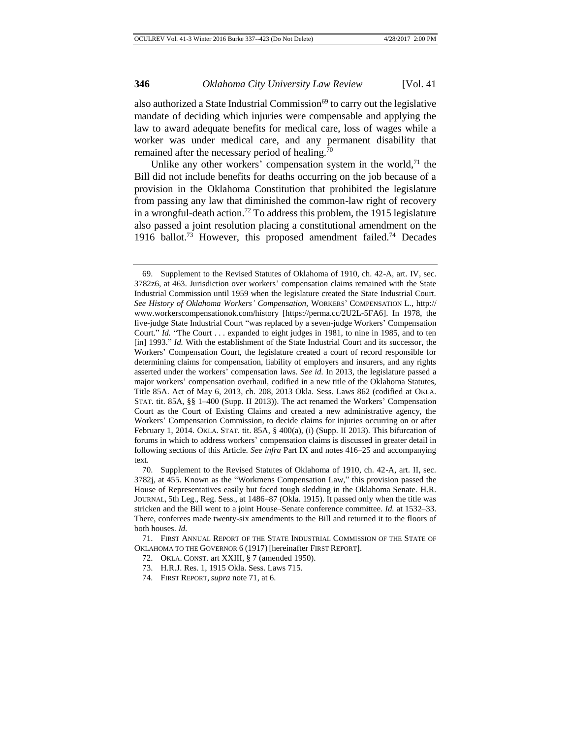also authorized a State Industrial Commission $^{69}$  to carry out the legislative mandate of deciding which injuries were compensable and applying the law to award adequate benefits for medical care, loss of wages while a worker was under medical care, and any permanent disability that remained after the necessary period of healing.<sup>70</sup>

Unlike any other workers' compensation system in the world, $71$  the Bill did not include benefits for deaths occurring on the job because of a provision in the Oklahoma Constitution that prohibited the legislature from passing any law that diminished the common-law right of recovery in a wrongful-death action.<sup>72</sup> To address this problem, the 1915 legislature also passed a joint resolution placing a constitutional amendment on the 1916 ballot.<sup>73</sup> However, this proposed amendment failed.<sup>74</sup> Decades

<sup>69.</sup> Supplement to the Revised Statutes of Oklahoma of 1910, ch. 42-A, art. IV, sec. 3782z6, at 463. Jurisdiction over workers' compensation claims remained with the State Industrial Commission until 1959 when the legislature created the State Industrial Court. *See History of Oklahoma Workers' Compensation*, WORKERS' COMPENSATION L., http:// www.workerscompensationok.com/history [https://perma.cc/2U2L-5FA6]. In 1978, the five-judge State Industrial Court "was replaced by a seven-judge Workers' Compensation Court." *Id.* "The Court . . . expanded to eight judges in 1981, to nine in 1985, and to ten [in] 1993." *Id.* With the establishment of the State Industrial Court and its successor, the Workers' Compensation Court, the legislature created a court of record responsible for determining claims for compensation, liability of employers and insurers, and any rights asserted under the workers' compensation laws. *See id.* In 2013, the legislature passed a major workers' compensation overhaul, codified in a new title of the Oklahoma Statutes, Title 85A. Act of May 6, 2013, ch. 208, 2013 Okla. Sess. Laws 862 (codified at OKLA. STAT. tit. 85A, §§ 1–400 (Supp. II 2013)). The act renamed the Workers' Compensation Court as the Court of Existing Claims and created a new administrative agency, the Workers' Compensation Commission, to decide claims for injuries occurring on or after February 1, 2014. OKLA. STAT. tit. 85A, § 400(a), (i) (Supp. II 2013). This bifurcation of forums in which to address workers' compensation claims is discussed in greater detail in following sections of this Article. *See infra* Part IX and notes 416–25 and accompanying text.

<sup>70.</sup> Supplement to the Revised Statutes of Oklahoma of 1910, ch. 42-A, art. II, sec. 3782j, at 455. Known as the "Workmens Compensation Law," this provision passed the House of Representatives easily but faced tough sledding in the Oklahoma Senate. H.R. JOURNAL, 5th Leg., Reg. Sess., at 1486–87 (Okla. 1915). It passed only when the title was stricken and the Bill went to a joint House–Senate conference committee. *Id.* at 1532–33. There, conferees made twenty-six amendments to the Bill and returned it to the floors of both houses. *Id.*

<sup>71.</sup> FIRST ANNUAL REPORT OF THE STATE INDUSTRIAL COMMISSION OF THE STATE OF OKLAHOMA TO THE GOVERNOR 6 (1917) [hereinafter FIRST REPORT].

<sup>72.</sup> OKLA. CONST. art XXIII, § 7 (amended 1950).

<sup>73.</sup> H.R.J. Res. 1, 1915 Okla. Sess. Laws 715.

<sup>74.</sup> FIRST REPORT, *supra* note 71, at 6.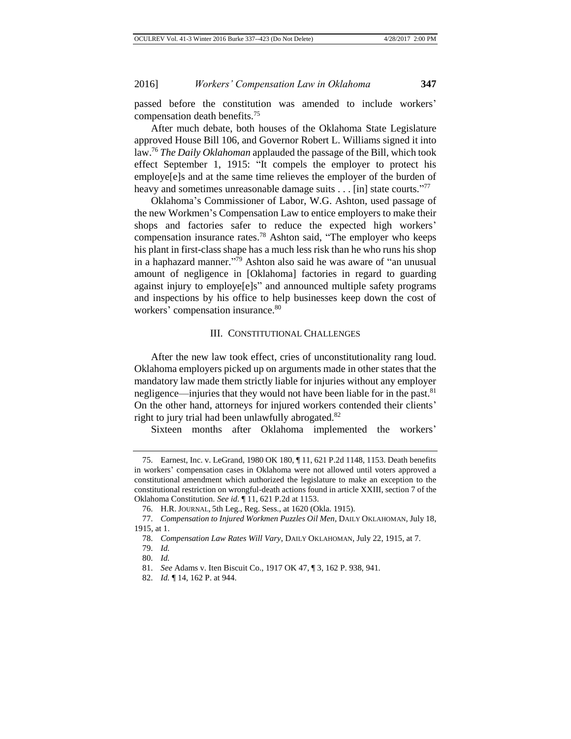passed before the constitution was amended to include workers' compensation death benefits.<sup>75</sup>

After much debate, both houses of the Oklahoma State Legislature approved House Bill 106, and Governor Robert L. Williams signed it into law.<sup>76</sup> *The Daily Oklahoman* applauded the passage of the Bill, which took effect September 1, 1915: "It compels the employer to protect his employe[e]s and at the same time relieves the employer of the burden of heavy and sometimes unreasonable damage suits . . . [in] state courts."77

Oklahoma's Commissioner of Labor, W.G. Ashton, used passage of the new Workmen's Compensation Law to entice employers to make their shops and factories safer to reduce the expected high workers' compensation insurance rates.<sup>78</sup> Ashton said, "The employer who keeps his plant in first-class shape has a much less risk than he who runs his shop in a haphazard manner." <sup>79</sup> Ashton also said he was aware of "an unusual amount of negligence in [Oklahoma] factories in regard to guarding against injury to employe[e]s" and announced multiple safety programs and inspections by his office to help businesses keep down the cost of workers' compensation insurance.<sup>80</sup>

#### III. CONSTITUTIONAL CHALLENGES

After the new law took effect, cries of unconstitutionality rang loud. Oklahoma employers picked up on arguments made in other states that the mandatory law made them strictly liable for injuries without any employer negligence—injuries that they would not have been liable for in the past.<sup>81</sup> On the other hand, attorneys for injured workers contended their clients' right to jury trial had been unlawfully abrogated.<sup>82</sup>

Sixteen months after Oklahoma implemented the workers'

79. *Id.*

<sup>75.</sup> Earnest, Inc. v. LeGrand, 1980 OK 180, ¶ 11, 621 P.2d 1148, 1153. Death benefits in workers' compensation cases in Oklahoma were not allowed until voters approved a constitutional amendment which authorized the legislature to make an exception to the constitutional restriction on wrongful-death actions found in article XXIII, section 7 of the Oklahoma Constitution. *See id.* ¶ 11, 621 P.2d at 1153.

<sup>76.</sup> H.R. JOURNAL, 5th Leg., Reg. Sess., at 1620 (Okla. 1915).

<sup>77.</sup> *Compensation to Injured Workmen Puzzles Oil Men*, DAILY OKLAHOMAN, July 18, 1915, at 1.

<sup>78.</sup> *Compensation Law Rates Will Vary*, DAILY OKLAHOMAN, July 22, 1915, at 7.

<sup>80.</sup> *Id.*

<sup>81.</sup> *See* Adams v. Iten Biscuit Co., 1917 OK 47, ¶ 3, 162 P. 938, 941.

<sup>82.</sup> *Id.* ¶ 14, 162 P. at 944.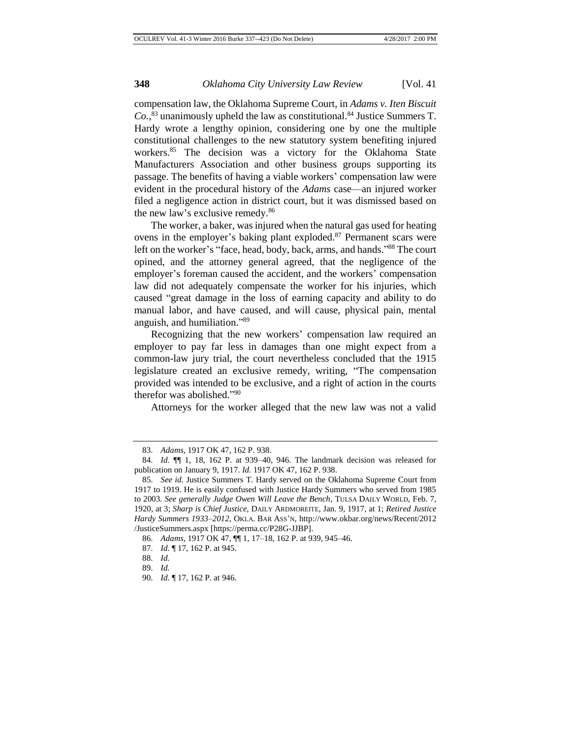compensation law, the Oklahoma Supreme Court, in *Adams v. Iten Biscuit Co.*, <sup>83</sup> unanimously upheld the law as constitutional.<sup>84</sup> Justice Summers T. Hardy wrote a lengthy opinion, considering one by one the multiple constitutional challenges to the new statutory system benefiting injured workers.<sup>85</sup> The decision was a victory for the Oklahoma State Manufacturers Association and other business groups supporting its passage. The benefits of having a viable workers' compensation law were evident in the procedural history of the *Adams* case—an injured worker filed a negligence action in district court, but it was dismissed based on the new law's exclusive remedy.<sup>86</sup>

The worker, a baker, was injured when the natural gas used for heating ovens in the employer's baking plant exploded.<sup>87</sup> Permanent scars were left on the worker's "face, head, body, back, arms, and hands."<sup>88</sup> The court opined, and the attorney general agreed, that the negligence of the employer's foreman caused the accident, and the workers' compensation law did not adequately compensate the worker for his injuries, which caused "great damage in the loss of earning capacity and ability to do manual labor, and have caused, and will cause, physical pain, mental anguish, and humiliation." 89

Recognizing that the new workers' compensation law required an employer to pay far less in damages than one might expect from a common-law jury trial, the court nevertheless concluded that the 1915 legislature created an exclusive remedy, writing, "The compensation provided was intended to be exclusive, and a right of action in the courts therefor was abolished." 90

Attorneys for the worker alleged that the new law was not a valid

<sup>83.</sup> *Adams*, 1917 OK 47, 162 P. 938.

<sup>84.</sup> *Id.* ¶¶ 1, 18, 162 P. at 939–40, 946. The landmark decision was released for publication on January 9, 1917. *Id.* 1917 OK 47, 162 P. 938.

<sup>85.</sup> *See id.* Justice Summers T. Hardy served on the Oklahoma Supreme Court from 1917 to 1919. He is easily confused with Justice Hardy Summers who served from 1985 to 2003. *See generally Judge Owen Will Leave the Bench*, TULSA DAILY WORLD, Feb. 7, 1920, at 3; *Sharp is Chief Justice*, DAILY ARDMOREITE, Jan. 9, 1917, at 1; *Retired Justice Hardy Summers 1933–2012*, OKLA. BAR ASS'N, http://www.okbar.org/news/Recent/2012 /JusticeSummers.aspx [https://perma.cc/P28G-JJBP].

<sup>86.</sup> *Adams*, 1917 OK 47, ¶¶ 1, 17–18, 162 P. at 939, 945–46.

<sup>87.</sup> *Id.* ¶ 17, 162 P. at 945.

<sup>88.</sup> *Id.*

<sup>89.</sup> *Id.*

<sup>90.</sup> *Id.* ¶ 17, 162 P. at 946.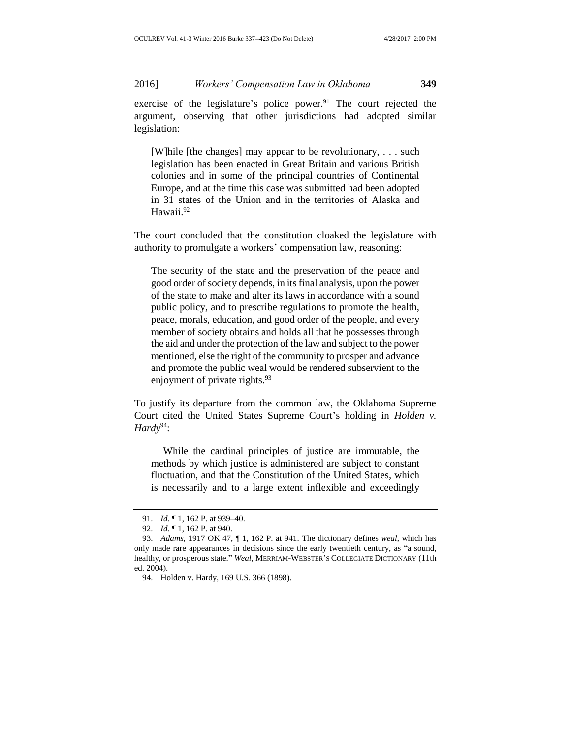exercise of the legislature's police power. $91$  The court rejected the argument, observing that other jurisdictions had adopted similar legislation:

[W]hile [the changes] may appear to be revolutionary, . . . such legislation has been enacted in Great Britain and various British colonies and in some of the principal countries of Continental Europe, and at the time this case was submitted had been adopted in 31 states of the Union and in the territories of Alaska and Hawaii.<sup>92</sup>

The court concluded that the constitution cloaked the legislature with authority to promulgate a workers' compensation law, reasoning:

The security of the state and the preservation of the peace and good order of society depends, in its final analysis, upon the power of the state to make and alter its laws in accordance with a sound public policy, and to prescribe regulations to promote the health, peace, morals, education, and good order of the people, and every member of society obtains and holds all that he possesses through the aid and under the protection of the law and subject to the power mentioned, else the right of the community to prosper and advance and promote the public weal would be rendered subservient to the enjoyment of private rights.<sup>93</sup>

To justify its departure from the common law, the Oklahoma Supreme Court cited the United States Supreme Court's holding in *Holden v. Hardy*<sup>94</sup>:

While the cardinal principles of justice are immutable, the methods by which justice is administered are subject to constant fluctuation, and that the Constitution of the United States, which is necessarily and to a large extent inflexible and exceedingly

<sup>91.</sup> *Id.* ¶ 1, 162 P. at 939–40.

<sup>92.</sup> *Id.* ¶ 1, 162 P. at 940.

<sup>93.</sup> *Adams*, 1917 OK 47, ¶ 1, 162 P. at 941. The dictionary defines *weal*, which has only made rare appearances in decisions since the early twentieth century, as "a sound, healthy, or prosperous state." *Weal*, MERRIAM-WEBSTER'S COLLEGIATE DICTIONARY (11th ed. 2004).

<sup>94.</sup> Holden v. Hardy, 169 U.S. 366 (1898).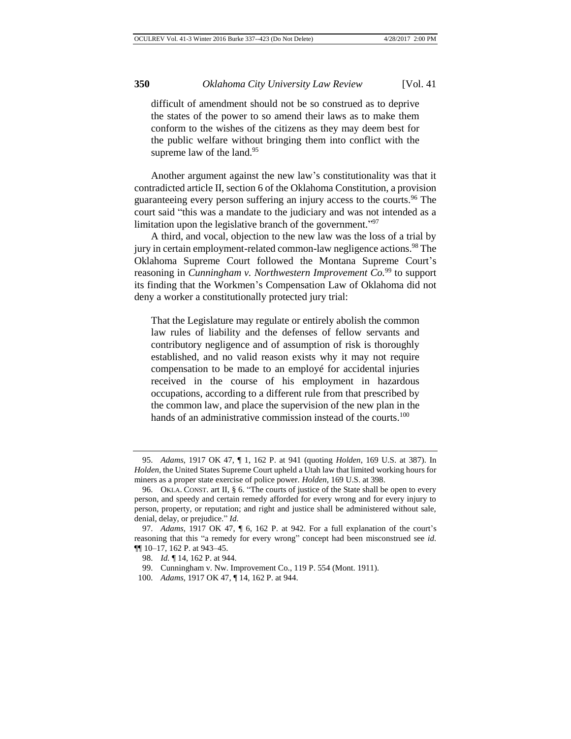difficult of amendment should not be so construed as to deprive the states of the power to so amend their laws as to make them conform to the wishes of the citizens as they may deem best for the public welfare without bringing them into conflict with the supreme law of the land. $95$ 

Another argument against the new law's constitutionality was that it contradicted article II, section 6 of the Oklahoma Constitution, a provision guaranteeing every person suffering an injury access to the courts.<sup>96</sup> The court said "this was a mandate to the judiciary and was not intended as a limitation upon the legislative branch of the government."<sup>97</sup>

A third, and vocal, objection to the new law was the loss of a trial by jury in certain employment-related common-law negligence actions.<sup>98</sup> The Oklahoma Supreme Court followed the Montana Supreme Court's reasoning in *Cunningham v. Northwestern Improvement Co.*<sup>99</sup> to support its finding that the Workmen's Compensation Law of Oklahoma did not deny a worker a constitutionally protected jury trial:

That the Legislature may regulate or entirely abolish the common law rules of liability and the defenses of fellow servants and contributory negligence and of assumption of risk is thoroughly established, and no valid reason exists why it may not require compensation to be made to an employé for accidental injuries received in the course of his employment in hazardous occupations, according to a different rule from that prescribed by the common law, and place the supervision of the new plan in the hands of an administrative commission instead of the courts.<sup>100</sup>

<sup>95.</sup> *Adams*, 1917 OK 47, ¶ 1, 162 P. at 941 (quoting *Holden*, 169 U.S. at 387). In *Holden*, the United States Supreme Court upheld a Utah law that limited working hours for miners as a proper state exercise of police power. *Holden*, 169 U.S. at 398.

<sup>96.</sup> OKLA. CONST. art II, § 6. "The courts of justice of the State shall be open to every person, and speedy and certain remedy afforded for every wrong and for every injury to person, property, or reputation; and right and justice shall be administered without sale, denial, delay, or prejudice." *Id.*

<sup>97.</sup> *Adams*, 1917 OK 47, ¶ 6, 162 P. at 942. For a full explanation of the court's reasoning that this "a remedy for every wrong" concept had been misconstrued see *id.* ¶¶ 10–17, 162 P. at 943–45.

<sup>98.</sup> *Id.* ¶ 14, 162 P. at 944.

<sup>99.</sup> Cunningham v. Nw. Improvement Co., 119 P. 554 (Mont. 1911).

<sup>100.</sup> *Adams*, 1917 OK 47, ¶ 14, 162 P. at 944.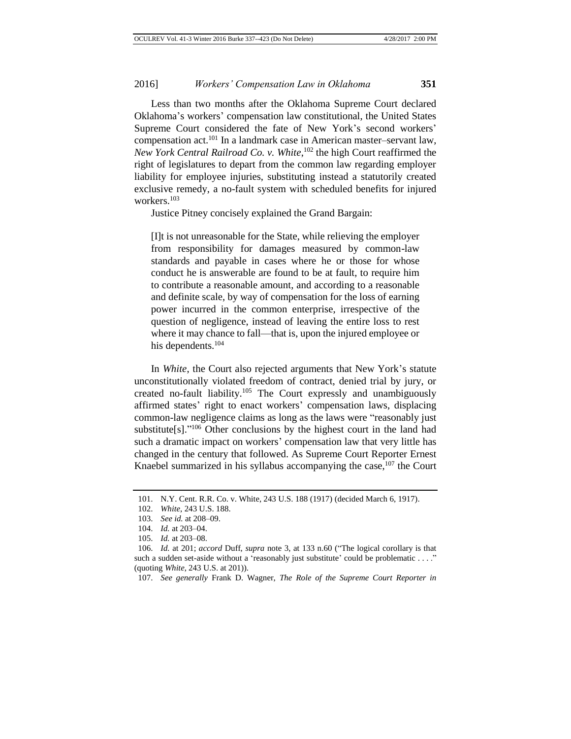Less than two months after the Oklahoma Supreme Court declared Oklahoma's workers' compensation law constitutional, the United States Supreme Court considered the fate of New York's second workers' compensation act.<sup>101</sup> In a landmark case in American master–servant law, *New York Central Railroad Co. v. White*, <sup>102</sup> the high Court reaffirmed the right of legislatures to depart from the common law regarding employer liability for employee injuries, substituting instead a statutorily created exclusive remedy, a no-fault system with scheduled benefits for injured workers.<sup>103</sup>

Justice Pitney concisely explained the Grand Bargain:

[I]t is not unreasonable for the State, while relieving the employer from responsibility for damages measured by common-law standards and payable in cases where he or those for whose conduct he is answerable are found to be at fault, to require him to contribute a reasonable amount, and according to a reasonable and definite scale, by way of compensation for the loss of earning power incurred in the common enterprise, irrespective of the question of negligence, instead of leaving the entire loss to rest where it may chance to fall—that is, upon the injured employee or his dependents.<sup>104</sup>

In *White*, the Court also rejected arguments that New York's statute unconstitutionally violated freedom of contract, denied trial by jury, or created no-fault liability.<sup>105</sup> The Court expressly and unambiguously affirmed states' right to enact workers' compensation laws, displacing common-law negligence claims as long as the laws were "reasonably just substitute[s]." $106$  Other conclusions by the highest court in the land had such a dramatic impact on workers' compensation law that very little has changed in the century that followed. As Supreme Court Reporter Ernest Knaebel summarized in his syllabus accompanying the case, $107$  the Court

<sup>101.</sup> N.Y. Cent. R.R. Co. v. White, 243 U.S. 188 (1917) (decided March 6, 1917).

<sup>102.</sup> *White*, 243 U.S. 188.

<sup>103.</sup> *See id.* at 208–09.

<sup>104.</sup> *Id.* at 203–04.

<sup>105.</sup> *Id.* at 203–08.

<sup>106.</sup> *Id.* at 201; *accord* Duff, *supra* note 3, at 133 n.60 ("The logical corollary is that such a sudden set-aside without a 'reasonably just substitute' could be problematic . . . ." (quoting *White*, 243 U.S. at 201)).

<sup>107.</sup> *See generally* Frank D. Wagner, *The Role of the Supreme Court Reporter in*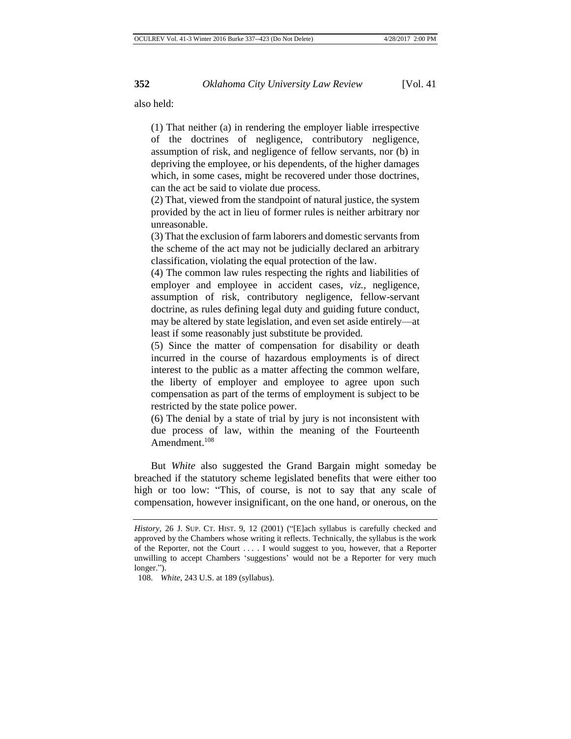also held:

(1) That neither (a) in rendering the employer liable irrespective of the doctrines of negligence, contributory negligence, assumption of risk, and negligence of fellow servants, nor (b) in depriving the employee, or his dependents, of the higher damages which, in some cases, might be recovered under those doctrines, can the act be said to violate due process.

(2) That, viewed from the standpoint of natural justice, the system provided by the act in lieu of former rules is neither arbitrary nor unreasonable.

(3) That the exclusion of farm laborers and domestic servants from the scheme of the act may not be judicially declared an arbitrary classification, violating the equal protection of the law.

(4) The common law rules respecting the rights and liabilities of employer and employee in accident cases, *viz.,* negligence, assumption of risk, contributory negligence, fellow-servant doctrine, as rules defining legal duty and guiding future conduct, may be altered by state legislation, and even set aside entirely—at least if some reasonably just substitute be provided.

(5) Since the matter of compensation for disability or death incurred in the course of hazardous employments is of direct interest to the public as a matter affecting the common welfare, the liberty of employer and employee to agree upon such compensation as part of the terms of employment is subject to be restricted by the state police power.

(6) The denial by a state of trial by jury is not inconsistent with due process of law, within the meaning of the Fourteenth Amendment.<sup>108</sup>

But *White* also suggested the Grand Bargain might someday be breached if the statutory scheme legislated benefits that were either too high or too low: "This, of course, is not to say that any scale of compensation, however insignificant, on the one hand, or onerous, on the

*History*, 26 J. SUP. CT. HIST. 9, 12 (2001) ("[E]ach syllabus is carefully checked and approved by the Chambers whose writing it reflects. Technically, the syllabus is the work of the Reporter, not the Court . . . . I would suggest to you, however, that a Reporter unwilling to accept Chambers 'suggestions' would not be a Reporter for very much longer.").

<sup>108.</sup> *White*, 243 U.S. at 189 (syllabus).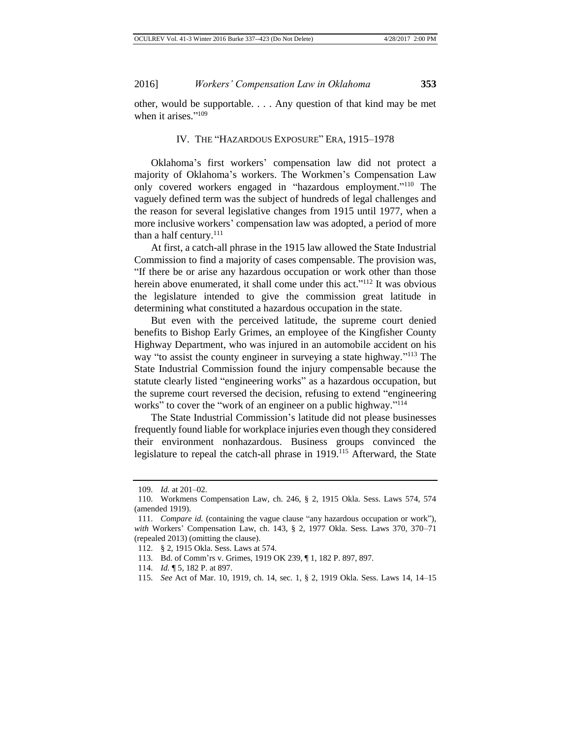other, would be supportable. . . . Any question of that kind may be met when it arises."<sup>109</sup>

#### IV*.* THE "HAZARDOUS EXPOSURE" ERA, 1915–1978

Oklahoma's first workers' compensation law did not protect a majority of Oklahoma's workers. The Workmen's Compensation Law only covered workers engaged in "hazardous employment."<sup>110</sup> The vaguely defined term was the subject of hundreds of legal challenges and the reason for several legislative changes from 1915 until 1977, when a more inclusive workers' compensation law was adopted, a period of more than a half century.<sup>111</sup>

At first, a catch-all phrase in the 1915 law allowed the State Industrial Commission to find a majority of cases compensable. The provision was, "If there be or arise any hazardous occupation or work other than those herein above enumerated, it shall come under this act."<sup>112</sup> It was obvious the legislature intended to give the commission great latitude in determining what constituted a hazardous occupation in the state.

But even with the perceived latitude, the supreme court denied benefits to Bishop Early Grimes, an employee of the Kingfisher County Highway Department, who was injured in an automobile accident on his way "to assist the county engineer in surveying a state highway."<sup>113</sup> The State Industrial Commission found the injury compensable because the statute clearly listed "engineering works" as a hazardous occupation, but the supreme court reversed the decision, refusing to extend "engineering works" to cover the "work of an engineer on a public highway."<sup>114</sup>

The State Industrial Commission's latitude did not please businesses frequently found liable for workplace injuries even though they considered their environment nonhazardous. Business groups convinced the legislature to repeal the catch-all phrase in 1919.<sup>115</sup> Afterward, the State

<sup>109.</sup> *Id.* at 201–02.

<sup>110.</sup> Workmens Compensation Law, ch. 246, § 2, 1915 Okla. Sess. Laws 574, 574 (amended 1919).

<sup>111.</sup> *Compare id.* (containing the vague clause "any hazardous occupation or work"), *with* Workers' Compensation Law, ch. 143, § 2, 1977 Okla. Sess. Laws 370, 370–71 (repealed 2013) (omitting the clause).

<sup>112.</sup> § 2, 1915 Okla. Sess. Laws at 574.

<sup>113.</sup> Bd. of Comm'rs v. Grimes, 1919 OK 239, ¶ 1, 182 P. 897, 897.

<sup>114.</sup> *Id.* ¶ 5, 182 P. at 897.

<sup>115.</sup> *See* Act of Mar. 10, 1919, ch. 14, sec. 1, § 2, 1919 Okla. Sess. Laws 14, 14–15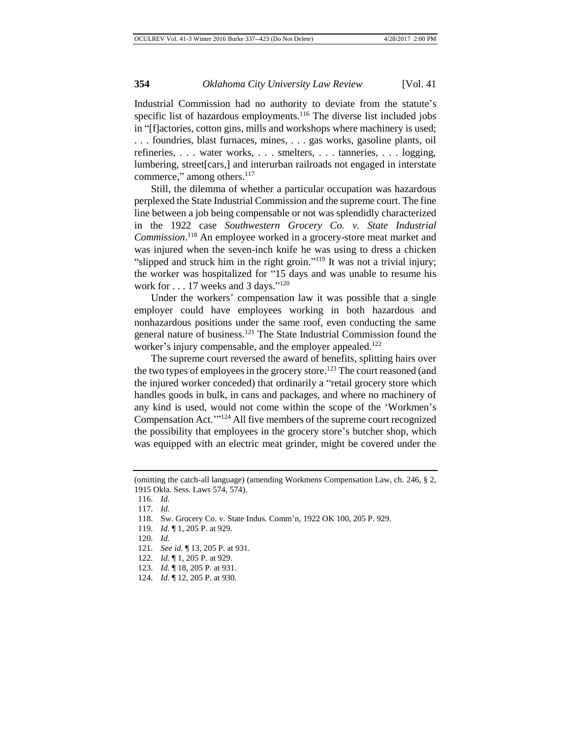Industrial Commission had no authority to deviate from the statute's specific list of hazardous employments.<sup>116</sup> The diverse list included jobs in "[f]actories, cotton gins, mills and workshops where machinery is used; . . . foundries, blast furnaces, mines, . . . gas works, gasoline plants, oil refineries, . . . water works, . . . smelters, . . . tanneries, . . . logging, lumbering, street[cars,] and interurban railroads not engaged in interstate commerce," among others.<sup>117</sup>

Still, the dilemma of whether a particular occupation was hazardous perplexed the State Industrial Commission and the supreme court. The fine line between a job being compensable or not was splendidly characterized in the 1922 case *Southwestern Grocery Co. v. State Industrial Commission*. <sup>118</sup> An employee worked in a grocery-store meat market and was injured when the seven-inch knife he was using to dress a chicken "slipped and struck him in the right groin."<sup>119</sup> It was not a trivial injury; the worker was hospitalized for "15 days and was unable to resume his work for  $\dots$  17 weeks and 3 days."<sup>120</sup>

Under the workers' compensation law it was possible that a single employer could have employees working in both hazardous and nonhazardous positions under the same roof, even conducting the same general nature of business.<sup>121</sup> The State Industrial Commission found the worker's injury compensable, and the employer appealed.<sup>122</sup>

The supreme court reversed the award of benefits, splitting hairs over the two types of employees in the grocery store.<sup>123</sup> The court reasoned (and the injured worker conceded) that ordinarily a "retail grocery store which handles goods in bulk, in cans and packages, and where no machinery of any kind is used, would not come within the scope of the 'Workmen's Compensation Act.'" <sup>124</sup> All five members of the supreme court recognized the possibility that employees in the grocery store's butcher shop, which was equipped with an electric meat grinder, might be covered under the

<sup>(</sup>omitting the catch-all language) (amending Workmens Compensation Law, ch. 246, § 2, 1915 Okla. Sess. Laws 574, 574).

<sup>116.</sup> *Id.*

<sup>117.</sup> *Id.*

<sup>118.</sup> Sw. Grocery Co. v. State Indus. Comm'n, 1922 OK 100, 205 P. 929.

<sup>119.</sup> *Id.* ¶ 1, 205 P. at 929.

<sup>120.</sup> *Id.*

<sup>121.</sup> *See id.* ¶ 13, 205 P. at 931.

<sup>122.</sup> *Id.* ¶ 1, 205 P. at 929.

<sup>123.</sup> *Id.* ¶ 18, 205 P. at 931.

<sup>124.</sup> *Id.* ¶ 12, 205 P. at 930.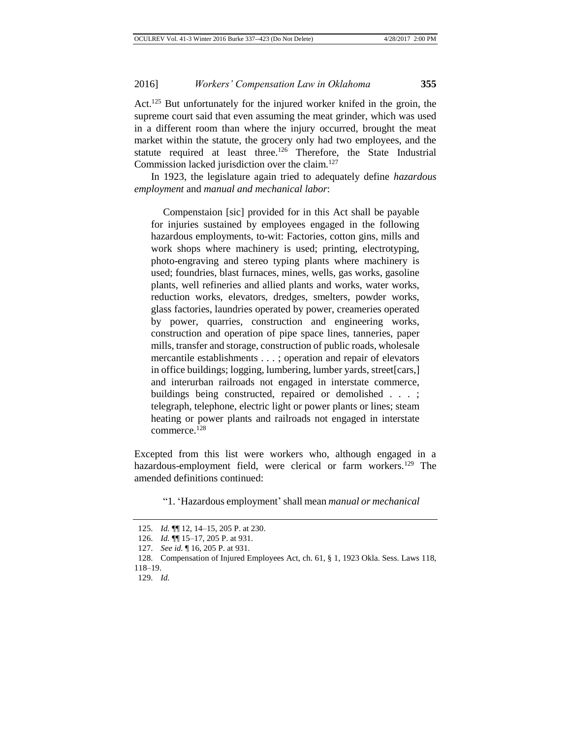Act.<sup>125</sup> But unfortunately for the injured worker knifed in the groin, the supreme court said that even assuming the meat grinder, which was used in a different room than where the injury occurred, brought the meat market within the statute, the grocery only had two employees, and the statute required at least three.<sup>126</sup> Therefore, the State Industrial Commission lacked jurisdiction over the claim.<sup>127</sup>

In 1923, the legislature again tried to adequately define *hazardous employment* and *manual and mechanical labor*:

Compenstaion [sic] provided for in this Act shall be payable for injuries sustained by employees engaged in the following hazardous employments, to-wit: Factories, cotton gins, mills and work shops where machinery is used; printing, electrotyping, photo-engraving and stereo typing plants where machinery is used; foundries, blast furnaces, mines, wells, gas works, gasoline plants, well refineries and allied plants and works, water works, reduction works, elevators, dredges, smelters, powder works, glass factories, laundries operated by power, creameries operated by power, quarries, construction and engineering works, construction and operation of pipe space lines, tanneries, paper mills, transfer and storage, construction of public roads, wholesale mercantile establishments . . . ; operation and repair of elevators in office buildings; logging, lumbering, lumber yards, street[cars,] and interurban railroads not engaged in interstate commerce, buildings being constructed, repaired or demolished . . . ; telegraph, telephone, electric light or power plants or lines; steam heating or power plants and railroads not engaged in interstate commerce.<sup>128</sup>

Excepted from this list were workers who, although engaged in a hazardous-employment field, were clerical or farm workers.<sup>129</sup> The amended definitions continued:

"1. 'Hazardous employment'shall mean *manual or mechanical* 

<sup>125.</sup> *Id.* ¶¶ 12, 14–15, 205 P. at 230.

<sup>126.</sup> *Id.* ¶¶ 15–17, 205 P. at 931.

<sup>127.</sup> *See id.* ¶ 16, 205 P. at 931.

<sup>128.</sup> Compensation of Injured Employees Act, ch. 61, § 1, 1923 Okla. Sess. Laws 118, 118–19.

<sup>129.</sup> *Id.*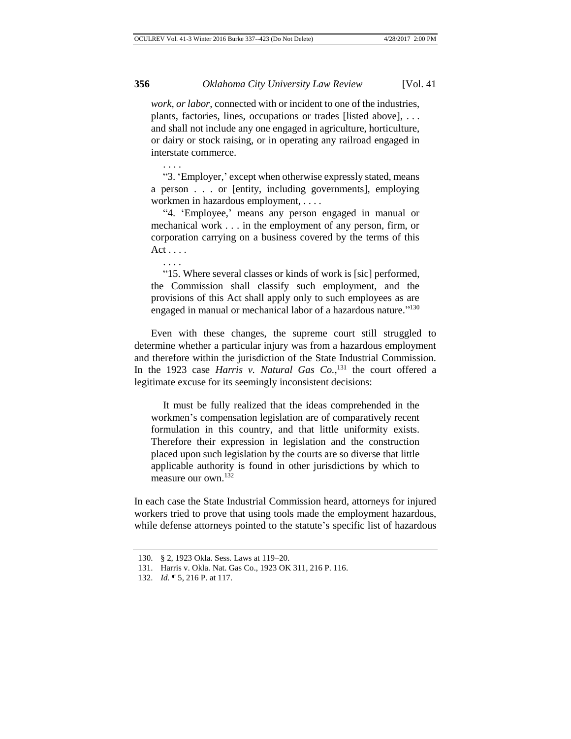*work, or labor*, connected with or incident to one of the industries, plants, factories, lines, occupations or trades [listed above], . . . and shall not include any one engaged in agriculture, horticulture, or dairy or stock raising, or in operating any railroad engaged in interstate commerce.

"3. 'Employer,' except when otherwise expressly stated, means a person . . . or [entity, including governments], employing workmen in hazardous employment, . . . .

"4. 'Employee,' means any person engaged in manual or mechanical work . . . in the employment of any person, firm, or corporation carrying on a business covered by the terms of this Act . . . .

. . . .

. . . .

"15. Where several classes or kinds of work is [sic] performed, the Commission shall classify such employment, and the provisions of this Act shall apply only to such employees as are engaged in manual or mechanical labor of a hazardous nature."<sup>130</sup>

Even with these changes, the supreme court still struggled to determine whether a particular injury was from a hazardous employment and therefore within the jurisdiction of the State Industrial Commission. In the 1923 case *Harris v. Natural Gas Co.*, <sup>131</sup> the court offered a legitimate excuse for its seemingly inconsistent decisions:

It must be fully realized that the ideas comprehended in the workmen's compensation legislation are of comparatively recent formulation in this country, and that little uniformity exists. Therefore their expression in legislation and the construction placed upon such legislation by the courts are so diverse that little applicable authority is found in other jurisdictions by which to measure our own.<sup>132</sup>

In each case the State Industrial Commission heard, attorneys for injured workers tried to prove that using tools made the employment hazardous, while defense attorneys pointed to the statute's specific list of hazardous

<sup>130.</sup> § 2, 1923 Okla. Sess. Laws at 119–20.

<sup>131.</sup> Harris v. Okla. Nat. Gas Co., 1923 OK 311, 216 P. 116.

<sup>132.</sup> *Id.* ¶ 5, 216 P. at 117.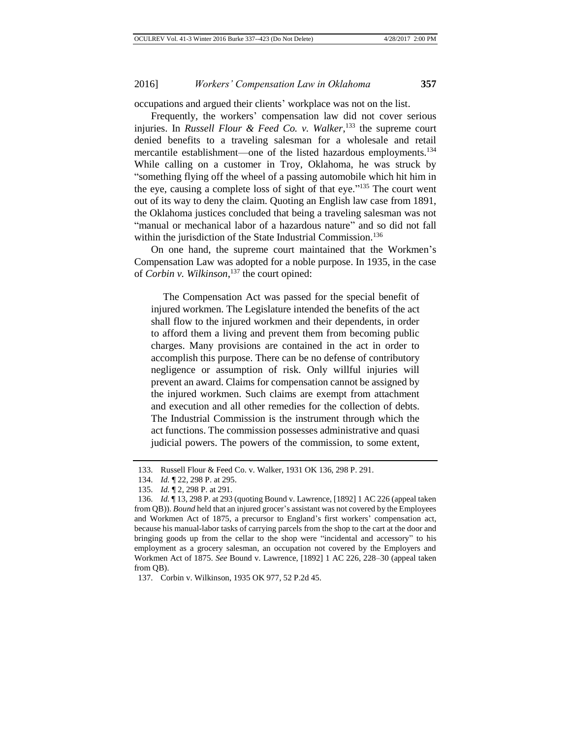occupations and argued their clients' workplace was not on the list.

Frequently, the workers' compensation law did not cover serious injuries. In *Russell Flour & Feed Co. v. Walker*, <sup>133</sup> the supreme court denied benefits to a traveling salesman for a wholesale and retail mercantile establishment—one of the listed hazardous employments.<sup>134</sup> While calling on a customer in Troy, Oklahoma, he was struck by "something flying off the wheel of a passing automobile which hit him in the eye, causing a complete loss of sight of that eye."<sup>135</sup> The court went out of its way to deny the claim. Quoting an English law case from 1891, the Oklahoma justices concluded that being a traveling salesman was not "manual or mechanical labor of a hazardous nature" and so did not fall within the jurisdiction of the State Industrial Commission.<sup>136</sup>

On one hand, the supreme court maintained that the Workmen's Compensation Law was adopted for a noble purpose. In 1935, in the case of *Corbin v. Wilkinson*, <sup>137</sup> the court opined:

The Compensation Act was passed for the special benefit of injured workmen. The Legislature intended the benefits of the act shall flow to the injured workmen and their dependents, in order to afford them a living and prevent them from becoming public charges. Many provisions are contained in the act in order to accomplish this purpose. There can be no defense of contributory negligence or assumption of risk. Only willful injuries will prevent an award. Claims for compensation cannot be assigned by the injured workmen. Such claims are exempt from attachment and execution and all other remedies for the collection of debts. The Industrial Commission is the instrument through which the act functions. The commission possesses administrative and quasi judicial powers. The powers of the commission, to some extent,

<sup>133.</sup> Russell Flour & Feed Co. v. Walker, 1931 OK 136, 298 P. 291.

<sup>134.</sup> *Id.* ¶ 22, 298 P. at 295.

<sup>135.</sup> *Id.* ¶ 2, 298 P. at 291.

<sup>136.</sup> *Id.* ¶ 13, 298 P. at 293 (quoting Bound v. Lawrence, [1892] 1 AC 226 (appeal taken from QB)). *Bound* held that an injured grocer's assistant was not covered by the Employees and Workmen Act of 1875, a precursor to England's first workers' compensation act, because his manual-labor tasks of carrying parcels from the shop to the cart at the door and bringing goods up from the cellar to the shop were "incidental and accessory" to his employment as a grocery salesman, an occupation not covered by the Employers and Workmen Act of 1875. *See* Bound v. Lawrence, [1892] 1 AC 226, 228–30 (appeal taken from OB).

<sup>137.</sup> Corbin v. Wilkinson, 1935 OK 977, 52 P.2d 45.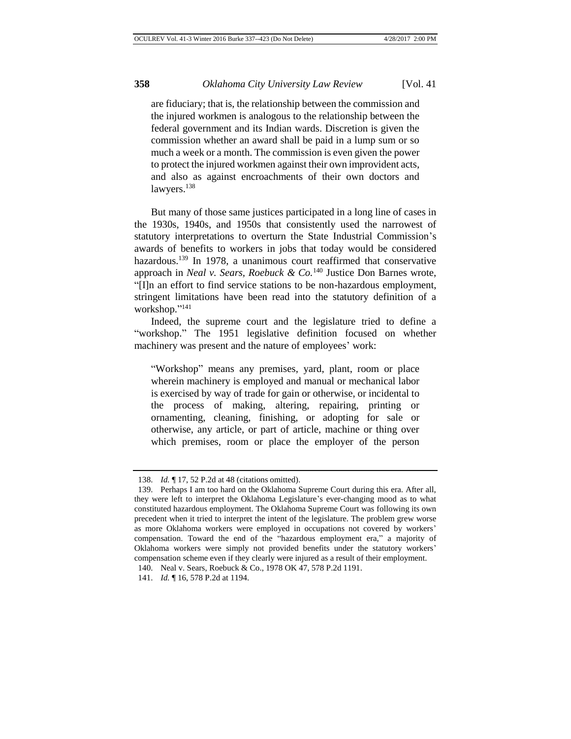are fiduciary; that is, the relationship between the commission and the injured workmen is analogous to the relationship between the federal government and its Indian wards. Discretion is given the commission whether an award shall be paid in a lump sum or so much a week or a month. The commission is even given the power to protect the injured workmen against their own improvident acts, and also as against encroachments of their own doctors and lawyers.<sup>138</sup>

But many of those same justices participated in a long line of cases in the 1930s, 1940s, and 1950s that consistently used the narrowest of statutory interpretations to overturn the State Industrial Commission's awards of benefits to workers in jobs that today would be considered hazardous.<sup>139</sup> In 1978, a unanimous court reaffirmed that conservative approach in *Neal v. Sears, Roebuck & Co.*<sup>140</sup> Justice Don Barnes wrote, "[I]n an effort to find service stations to be non-hazardous employment, stringent limitations have been read into the statutory definition of a workshop." 141

Indeed, the supreme court and the legislature tried to define a "workshop." The 1951 legislative definition focused on whether machinery was present and the nature of employees' work:

"Workshop" means any premises, yard, plant, room or place wherein machinery is employed and manual or mechanical labor is exercised by way of trade for gain or otherwise, or incidental to the process of making, altering, repairing, printing or ornamenting, cleaning, finishing, or adopting for sale or otherwise, any article, or part of article, machine or thing over which premises, room or place the employer of the person

<sup>138.</sup> *Id.* ¶ 17, 52 P.2d at 48 (citations omitted).

<sup>139.</sup> Perhaps I am too hard on the Oklahoma Supreme Court during this era. After all, they were left to interpret the Oklahoma Legislature's ever-changing mood as to what constituted hazardous employment. The Oklahoma Supreme Court was following its own precedent when it tried to interpret the intent of the legislature. The problem grew worse as more Oklahoma workers were employed in occupations not covered by workers' compensation. Toward the end of the "hazardous employment era," a majority of Oklahoma workers were simply not provided benefits under the statutory workers' compensation scheme even if they clearly were injured as a result of their employment.

<sup>140.</sup> Neal v. Sears, Roebuck & Co., 1978 OK 47, 578 P.2d 1191.

<sup>141.</sup> *Id.* ¶ 16, 578 P.2d at 1194.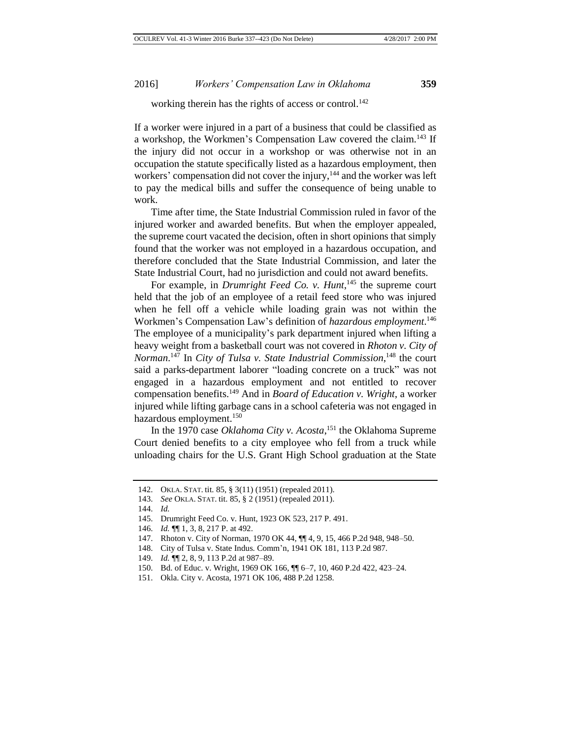working therein has the rights of access or control.<sup>142</sup>

If a worker were injured in a part of a business that could be classified as a workshop, the Workmen's Compensation Law covered the claim.<sup>143</sup> If the injury did not occur in a workshop or was otherwise not in an occupation the statute specifically listed as a hazardous employment, then workers' compensation did not cover the injury, <sup>144</sup> and the worker was left to pay the medical bills and suffer the consequence of being unable to work.

Time after time, the State Industrial Commission ruled in favor of the injured worker and awarded benefits. But when the employer appealed, the supreme court vacated the decision, often in short opinions that simply found that the worker was not employed in a hazardous occupation, and therefore concluded that the State Industrial Commission, and later the State Industrial Court, had no jurisdiction and could not award benefits.

For example, in *Drumright Feed Co. v. Hunt*, <sup>145</sup> the supreme court held that the job of an employee of a retail feed store who was injured when he fell off a vehicle while loading grain was not within the Workmen's Compensation Law's definition of *hazardous employment*. 146 The employee of a municipality's park department injured when lifting a heavy weight from a basketball court was not covered in *Rhoton v. City of Norman*. <sup>147</sup> In *City of Tulsa v. State Industrial Commission*, <sup>148</sup> the court said a parks-department laborer "loading concrete on a truck" was not engaged in a hazardous employment and not entitled to recover compensation benefits.<sup>149</sup> And in *Board of Education v. Wright*, a worker injured while lifting garbage cans in a school cafeteria was not engaged in hazardous employment.<sup>150</sup>

In the 1970 case *Oklahoma City v. Acosta*, <sup>151</sup> the Oklahoma Supreme Court denied benefits to a city employee who fell from a truck while unloading chairs for the U.S. Grant High School graduation at the State

<sup>142.</sup> OKLA. STAT. tit. 85, § 3(11) (1951) (repealed 2011).

<sup>143.</sup> *See* OKLA. STAT. tit. 85, § 2 (1951) (repealed 2011).

<sup>144.</sup> *Id.*

<sup>145.</sup> Drumright Feed Co. v. Hunt, 1923 OK 523, 217 P. 491.

<sup>146.</sup> *Id.* ¶¶ 1, 3, 8, 217 P. at 492.

<sup>147.</sup> Rhoton v. City of Norman, 1970 OK 44, ¶¶ 4, 9, 15, 466 P.2d 948, 948–50.

<sup>148.</sup> City of Tulsa v. State Indus. Comm'n, 1941 OK 181, 113 P.2d 987.

<sup>149.</sup> *Id.* ¶¶ 2, 8, 9, 113 P.2d at 987–89.

<sup>150.</sup> Bd. of Educ. v. Wright, 1969 OK 166, ¶¶ 6–7, 10, 460 P.2d 422, 423–24.

<sup>151.</sup> Okla. City v. Acosta, 1971 OK 106, 488 P.2d 1258.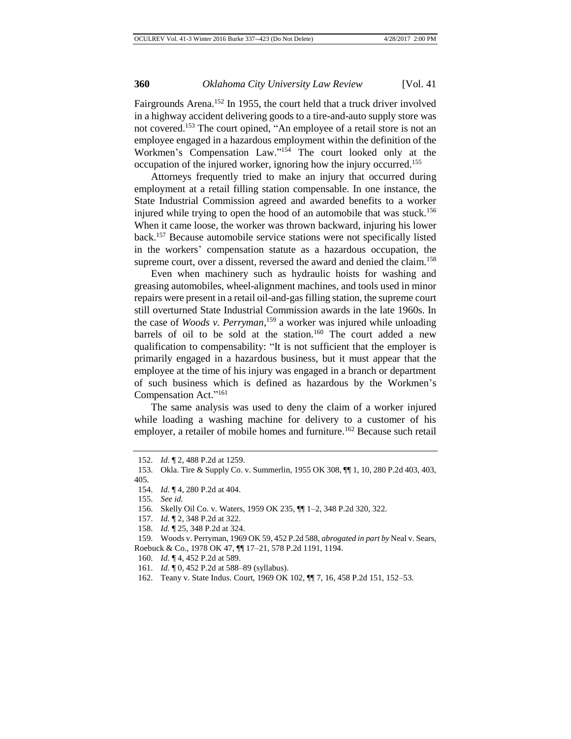Fairgrounds Arena.<sup>152</sup> In 1955, the court held that a truck driver involved in a highway accident delivering goods to a tire-and-auto supply store was not covered.<sup>153</sup> The court opined, "An employee of a retail store is not an employee engaged in a hazardous employment within the definition of the Workmen's Compensation Law." <sup>154</sup> The court looked only at the occupation of the injured worker, ignoring how the injury occurred.<sup>155</sup>

Attorneys frequently tried to make an injury that occurred during employment at a retail filling station compensable. In one instance, the State Industrial Commission agreed and awarded benefits to a worker injured while trying to open the hood of an automobile that was stuck.<sup>156</sup> When it came loose, the worker was thrown backward, injuring his lower back.<sup>157</sup> Because automobile service stations were not specifically listed in the workers' compensation statute as a hazardous occupation, the supreme court, over a dissent, reversed the award and denied the claim.<sup>158</sup>

Even when machinery such as hydraulic hoists for washing and greasing automobiles, wheel-alignment machines, and tools used in minor repairs were present in a retail oil-and-gas filling station, the supreme court still overturned State Industrial Commission awards in the late 1960s. In the case of *Woods v. Perryman*, <sup>159</sup> a worker was injured while unloading barrels of oil to be sold at the station.<sup>160</sup> The court added a new qualification to compensability: "It is not sufficient that the employer is primarily engaged in a hazardous business, but it must appear that the employee at the time of his injury was engaged in a branch or department of such business which is defined as hazardous by the Workmen's Compensation Act."<sup>161</sup>

The same analysis was used to deny the claim of a worker injured while loading a washing machine for delivery to a customer of his employer, a retailer of mobile homes and furniture.<sup>162</sup> Because such retail

<sup>152.</sup> *Id.* ¶ 2, 488 P.2d at 1259.

<sup>153.</sup> Okla. Tire & Supply Co. v. Summerlin, 1955 OK 308, ¶¶ 1, 10, 280 P.2d 403, 403, 405.

<sup>154.</sup> *Id.* ¶ 4, 280 P.2d at 404.

<sup>155.</sup> *See id.*

<sup>156.</sup> Skelly Oil Co. v. Waters, 1959 OK 235, ¶¶ 1–2, 348 P.2d 320, 322.

<sup>157.</sup> *Id.* ¶ 2, 348 P.2d at 322.

<sup>158.</sup> *Id.* ¶ 25, 348 P.2d at 324.

<sup>159.</sup> Woods v. Perryman, 1969 OK 59, 452 P.2d 588, *abrogated in part by* Neal v. Sears, Roebuck & Co., 1978 OK 47, ¶¶ 17–21, 578 P.2d 1191, 1194.

<sup>160.</sup> *Id.* ¶ 4, 452 P.2d at 589.

<sup>161.</sup> *Id.* ¶ 0, 452 P.2d at 588–89 (syllabus).

<sup>162.</sup> Teany v. State Indus. Court, 1969 OK 102, ¶¶ 7, 16, 458 P.2d 151, 152–53.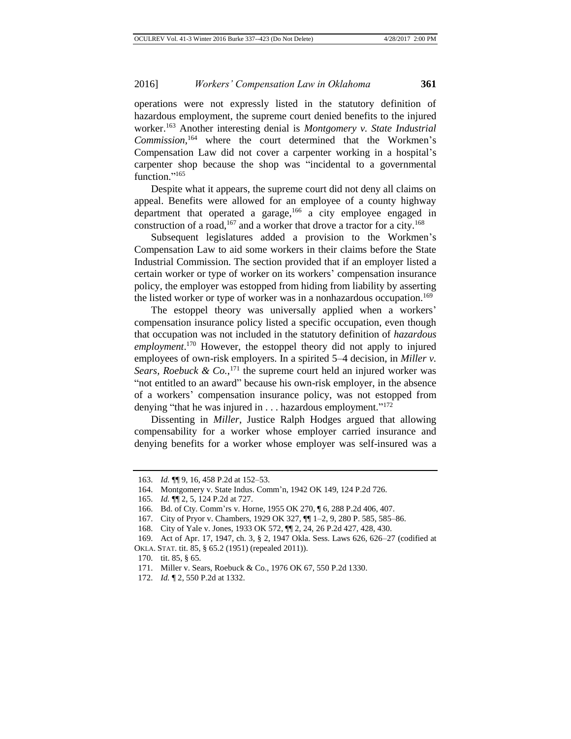operations were not expressly listed in the statutory definition of hazardous employment, the supreme court denied benefits to the injured worker.<sup>163</sup> Another interesting denial is *Montgomery v. State Industrial Commission*, <sup>164</sup> where the court determined that the Workmen's Compensation Law did not cover a carpenter working in a hospital's carpenter shop because the shop was "incidental to a governmental function."<sup>165</sup>

Despite what it appears, the supreme court did not deny all claims on appeal. Benefits were allowed for an employee of a county highway department that operated a garage,  $166$  a city employee engaged in construction of a road,<sup>167</sup> and a worker that drove a tractor for a city.<sup>168</sup>

Subsequent legislatures added a provision to the Workmen's Compensation Law to aid some workers in their claims before the State Industrial Commission. The section provided that if an employer listed a certain worker or type of worker on its workers' compensation insurance policy, the employer was estopped from hiding from liability by asserting the listed worker or type of worker was in a nonhazardous occupation.<sup>169</sup>

The estoppel theory was universally applied when a workers' compensation insurance policy listed a specific occupation, even though that occupation was not included in the statutory definition of *hazardous employment*. <sup>170</sup> However, the estoppel theory did not apply to injured employees of own-risk employers. In a spirited 5–4 decision, in *Miller v.*  Sears, Roebuck &  $Co$ ,  $^{171}$  the supreme court held an injured worker was "not entitled to an award" because his own-risk employer, in the absence of a workers' compensation insurance policy, was not estopped from denying "that he was injured in . . . hazardous employment."<sup>172</sup>

Dissenting in *Miller*, Justice Ralph Hodges argued that allowing compensability for a worker whose employer carried insurance and denying benefits for a worker whose employer was self-insured was a

<sup>163.</sup> *Id.* ¶¶ 9, 16, 458 P.2d at 152–53.

<sup>164.</sup> Montgomery v. State Indus. Comm'n, 1942 OK 149, 124 P.2d 726.

<sup>165.</sup> *Id.* ¶¶ 2, 5, 124 P.2d at 727.

<sup>166.</sup> Bd. of Cty. Comm'rs v. Horne, 1955 OK 270, ¶ 6, 288 P.2d 406, 407.

<sup>167.</sup> City of Pryor v. Chambers, 1929 OK 327, ¶¶ 1–2, 9, 280 P. 585, 585–86.

<sup>168.</sup> City of Yale v. Jones, 1933 OK 572, ¶¶ 2, 24, 26 P.2d 427, 428, 430.

<sup>169.</sup> Act of Apr. 17, 1947, ch. 3, § 2, 1947 Okla. Sess. Laws 626, 626–27 (codified at OKLA. STAT. tit. 85, § 65.2 (1951) (repealed 2011)).

<sup>170.</sup> tit. 85, § 65.

<sup>171.</sup> Miller v. Sears, Roebuck & Co., 1976 OK 67, 550 P.2d 1330.

<sup>172.</sup> *Id.* ¶ 2, 550 P.2d at 1332.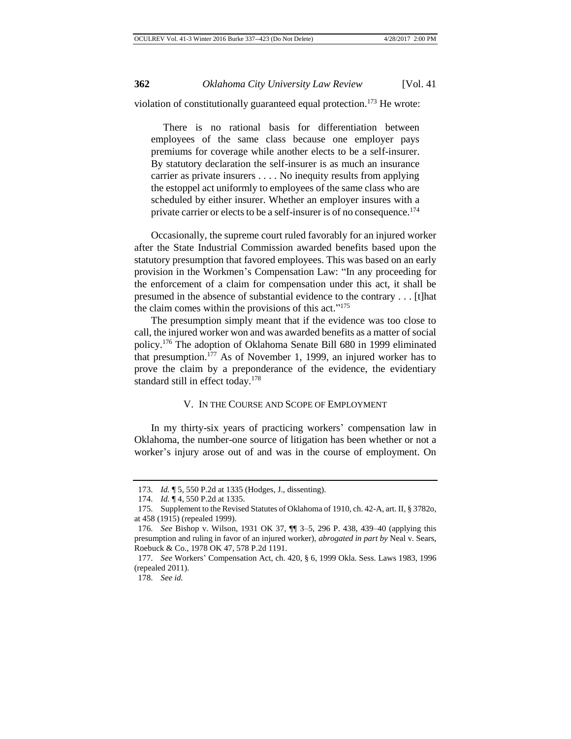violation of constitutionally guaranteed equal protection.<sup>173</sup> He wrote:

There is no rational basis for differentiation between employees of the same class because one employer pays premiums for coverage while another elects to be a self-insurer. By statutory declaration the self-insurer is as much an insurance carrier as private insurers . . . . No inequity results from applying the estoppel act uniformly to employees of the same class who are scheduled by either insurer. Whether an employer insures with a private carrier or elects to be a self-insurer is of no consequence.<sup>174</sup>

Occasionally, the supreme court ruled favorably for an injured worker after the State Industrial Commission awarded benefits based upon the statutory presumption that favored employees. This was based on an early provision in the Workmen's Compensation Law: "In any proceeding for the enforcement of a claim for compensation under this act, it shall be presumed in the absence of substantial evidence to the contrary . . . [t]hat the claim comes within the provisions of this act." 175

The presumption simply meant that if the evidence was too close to call, the injured worker won and was awarded benefits as a matter of social policy.<sup>176</sup> The adoption of Oklahoma Senate Bill 680 in 1999 eliminated that presumption.<sup>177</sup> As of November 1, 1999, an injured worker has to prove the claim by a preponderance of the evidence, the evidentiary standard still in effect today.<sup>178</sup>

## V. IN THE COURSE AND SCOPE OF EMPLOYMENT

In my thirty-six years of practicing workers' compensation law in Oklahoma, the number-one source of litigation has been whether or not a worker's injury arose out of and was in the course of employment. On

<sup>173.</sup> *Id.* ¶ 5, 550 P.2d at 1335 (Hodges, J., dissenting).

<sup>174.</sup> *Id.* ¶ 4, 550 P.2d at 1335.

<sup>175.</sup> Supplement to the Revised Statutes of Oklahoma of 1910, ch. 42-A, art. II, § 3782o, at 458 (1915) (repealed 1999).

<sup>176.</sup> *See* Bishop v. Wilson, 1931 OK 37, ¶¶ 3–5, 296 P. 438, 439–40 (applying this presumption and ruling in favor of an injured worker), *abrogated in part by* Neal v. Sears, Roebuck & Co., 1978 OK 47, 578 P.2d 1191.

<sup>177.</sup> *See* Workers' Compensation Act, ch. 420, § 6, 1999 Okla. Sess. Laws 1983, 1996 (repealed 2011).

<sup>178.</sup> *See id.*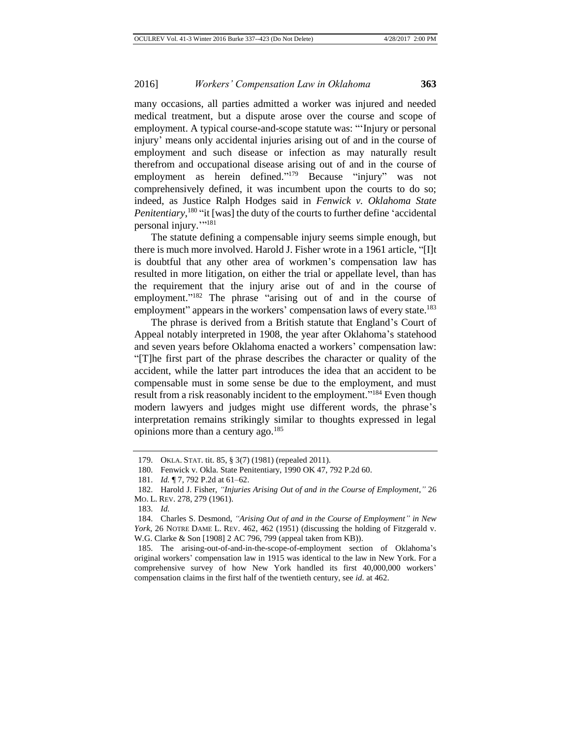many occasions, all parties admitted a worker was injured and needed medical treatment, but a dispute arose over the course and scope of employment. A typical course-and-scope statute was: "'Injury or personal injury' means only accidental injuries arising out of and in the course of employment and such disease or infection as may naturally result therefrom and occupational disease arising out of and in the course of employment as herein defined."<sup>179</sup> Because "injury" was not comprehensively defined, it was incumbent upon the courts to do so; indeed, as Justice Ralph Hodges said in *Fenwick v. Oklahoma State Penitentiary*,<sup>180</sup> "it [was] the duty of the courts to further define 'accidental personal injury.""<sup>181</sup>

The statute defining a compensable injury seems simple enough, but there is much more involved. Harold J. Fisher wrote in a 1961 article, "[I]t is doubtful that any other area of workmen's compensation law has resulted in more litigation, on either the trial or appellate level, than has the requirement that the injury arise out of and in the course of employment."<sup>182</sup> The phrase "arising out of and in the course of employment" appears in the workers' compensation laws of every state.<sup>183</sup>

The phrase is derived from a British statute that England's Court of Appeal notably interpreted in 1908, the year after Oklahoma's statehood and seven years before Oklahoma enacted a workers' compensation law: "[T]he first part of the phrase describes the character or quality of the accident, while the latter part introduces the idea that an accident to be compensable must in some sense be due to the employment, and must result from a risk reasonably incident to the employment."<sup>184</sup> Even though modern lawyers and judges might use different words, the phrase's interpretation remains strikingly similar to thoughts expressed in legal opinions more than a century ago.<sup>185</sup>

<sup>179.</sup> OKLA. STAT. tit. 85, § 3(7) (1981) (repealed 2011).

<sup>180.</sup> Fenwick v. Okla. State Penitentiary, 1990 OK 47, 792 P.2d 60.

<sup>181.</sup> *Id.* ¶ 7, 792 P.2d at 61–62.

<sup>182.</sup> Harold J. Fisher, *"Injuries Arising Out of and in the Course of Employment*,*"* 26 MO. L. REV. 278, 279 (1961).

<sup>183.</sup> *Id.*

<sup>184.</sup> Charles S. Desmond, *"Arising Out of and in the Course of Employment" in New York*, 26 NOTRE DAME L. REV. 462, 462 (1951) (discussing the holding of Fitzgerald v. W.G. Clarke & Son [1908] 2 AC 796, 799 (appeal taken from KB)).

<sup>185.</sup> The arising-out-of-and-in-the-scope-of-employment section of Oklahoma's original workers' compensation law in 1915 was identical to the law in New York. For a comprehensive survey of how New York handled its first 40,000,000 workers' compensation claims in the first half of the twentieth century, see *id.* at 462.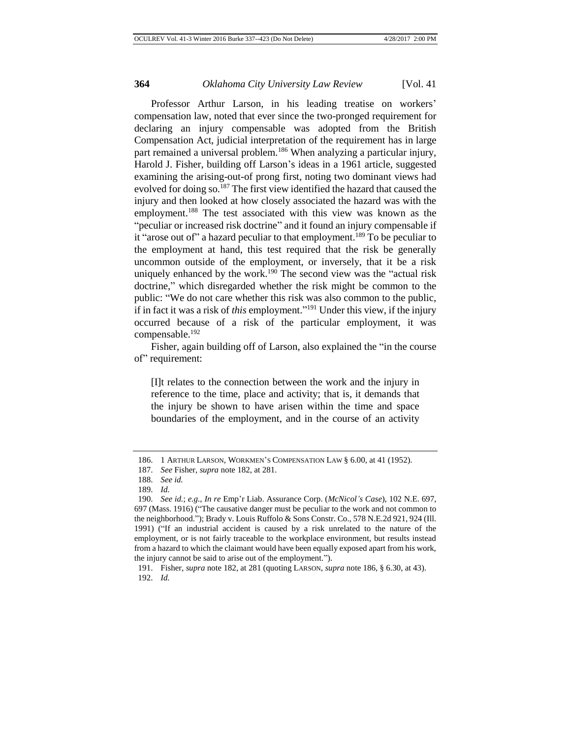Professor Arthur Larson, in his leading treatise on workers' compensation law, noted that ever since the two-pronged requirement for declaring an injury compensable was adopted from the British Compensation Act, judicial interpretation of the requirement has in large part remained a universal problem.<sup>186</sup> When analyzing a particular injury, Harold J. Fisher, building off Larson's ideas in a 1961 article, suggested examining the arising-out-of prong first, noting two dominant views had evolved for doing so.<sup>187</sup> The first view identified the hazard that caused the injury and then looked at how closely associated the hazard was with the employment.<sup>188</sup> The test associated with this view was known as the "peculiar or increased risk doctrine" and it found an injury compensable if it "arose out of" a hazard peculiar to that employment.<sup>189</sup> To be peculiar to the employment at hand, this test required that the risk be generally uncommon outside of the employment, or inversely, that it be a risk uniquely enhanced by the work.<sup>190</sup> The second view was the "actual risk" doctrine," which disregarded whether the risk might be common to the public: "We do not care whether this risk was also common to the public, if in fact it was a risk of *this* employment." <sup>191</sup> Under this view, if the injury occurred because of a risk of the particular employment, it was compensable.<sup>192</sup>

Fisher, again building off of Larson, also explained the "in the course of" requirement:

[I]t relates to the connection between the work and the injury in reference to the time, place and activity; that is, it demands that the injury be shown to have arisen within the time and space boundaries of the employment, and in the course of an activity

<sup>186.</sup> 1 ARTHUR LARSON, WORKMEN'S COMPENSATION LAW § 6.00, at 41 (1952).

<sup>187.</sup> *See* Fisher, *supra* note 182, at 281.

<sup>188.</sup> *See id.*

<sup>189.</sup> *Id.*

<sup>190.</sup> *See id.*; *e.g.*, *In re* Emp'r Liab. Assurance Corp. (*McNicol's Case*), 102 N.E. 697, 697 (Mass. 1916) ("The causative danger must be peculiar to the work and not common to the neighborhood."); Brady v. Louis Ruffolo & Sons Constr. Co., 578 N.E.2d 921, 924 (Ill. 1991) ("If an industrial accident is caused by a risk unrelated to the nature of the employment, or is not fairly traceable to the workplace environment, but results instead from a hazard to which the claimant would have been equally exposed apart from his work, the injury cannot be said to arise out of the employment.").

<sup>191.</sup> Fisher, *supra* note 182, at 281 (quoting LARSON, *supra* note 186, § 6.30, at 43). 192. *Id.*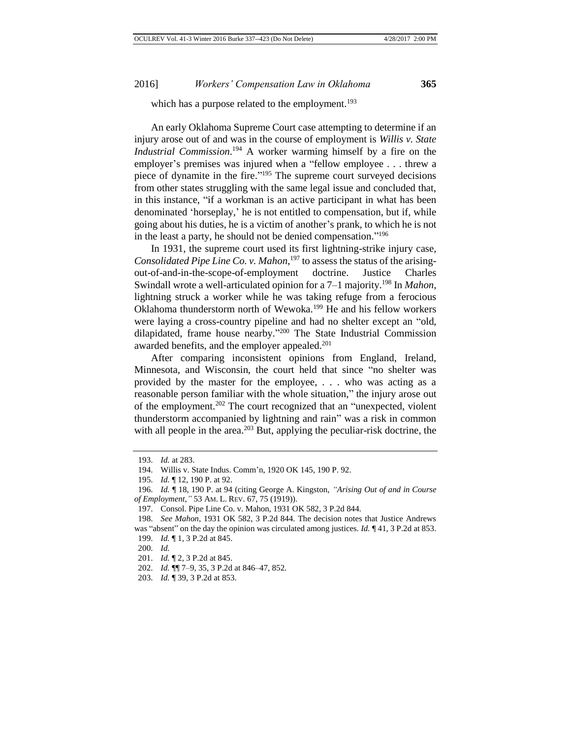which has a purpose related to the employment.<sup>193</sup>

An early Oklahoma Supreme Court case attempting to determine if an injury arose out of and was in the course of employment is *Willis v. State Industrial Commission*. <sup>194</sup> A worker warming himself by a fire on the employer's premises was injured when a "fellow employee . . . threw a piece of dynamite in the fire."<sup>195</sup> The supreme court surveyed decisions from other states struggling with the same legal issue and concluded that, in this instance, "if a workman is an active participant in what has been denominated 'horseplay,' he is not entitled to compensation, but if, while going about his duties, he is a victim of another's prank, to which he is not in the least a party, he should not be denied compensation." 196

In 1931, the supreme court used its first lightning-strike injury case, *Consolidated Pipe Line Co. v. Mahon*, <sup>197</sup> to assess the status of the arisingout-of-and-in-the-scope-of-employment doctrine. Justice Charles Swindall wrote a well-articulated opinion for a 7–1 majority.<sup>198</sup> In *Mahon*, lightning struck a worker while he was taking refuge from a ferocious Oklahoma thunderstorm north of Wewoka.<sup>199</sup> He and his fellow workers were laying a cross-country pipeline and had no shelter except an "old, dilapidated, frame house nearby." <sup>200</sup> The State Industrial Commission awarded benefits, and the employer appealed.<sup>201</sup>

After comparing inconsistent opinions from England, Ireland, Minnesota, and Wisconsin, the court held that since "no shelter was provided by the master for the employee, . . . who was acting as a reasonable person familiar with the whole situation," the injury arose out of the employment.<sup>202</sup> The court recognized that an "unexpected, violent thunderstorm accompanied by lightning and rain" was a risk in common with all people in the area.<sup>203</sup> But, applying the peculiar-risk doctrine, the

<sup>193.</sup> *Id.* at 283.

<sup>194.</sup> Willis v. State Indus. Comm'n, 1920 OK 145, 190 P. 92.

<sup>195.</sup> *Id.* ¶ 12, 190 P. at 92.

<sup>196.</sup> *Id.* ¶ 18, 190 P. at 94 (citing George A. Kingston, *"Arising Out of and in Course of Employment*,*"* 53 AM. L. REV. 67, 75 (1919)).

<sup>197.</sup> Consol. Pipe Line Co. v. Mahon, 1931 OK 582, 3 P.2d 844.

<sup>198.</sup> *See Mahon*, 1931 OK 582, 3 P.2d 844. The decision notes that Justice Andrews was "absent" on the day the opinion was circulated among justices. *Id.* ¶41, 3 P.2d at 853.

<sup>199.</sup> *Id.* ¶ 1, 3 P.2d at 845.

<sup>200.</sup> *Id.*

<sup>201.</sup> *Id.* ¶ 2, 3 P.2d at 845.

<sup>202.</sup> *Id.* ¶¶ 7–9, 35, 3 P.2d at 846–47, 852.

<sup>203.</sup> *Id.* ¶ 39, 3 P.2d at 853.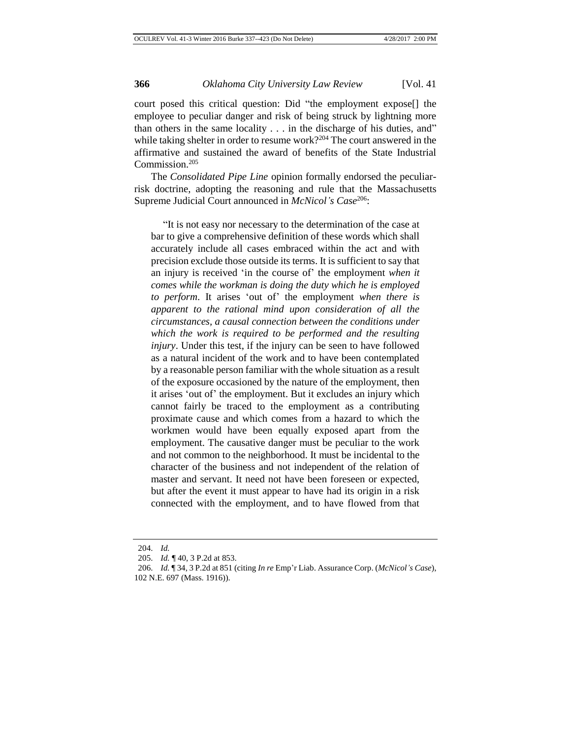court posed this critical question: Did "the employment expose[] the employee to peculiar danger and risk of being struck by lightning more than others in the same locality . . . in the discharge of his duties, and" while taking shelter in order to resume work?<sup>204</sup> The court answered in the affirmative and sustained the award of benefits of the State Industrial Commission.<sup>205</sup>

The *Consolidated Pipe Line* opinion formally endorsed the peculiarrisk doctrine, adopting the reasoning and rule that the Massachusetts Supreme Judicial Court announced in *McNicol's Case*<sup>206</sup>:

"It is not easy nor necessary to the determination of the case at bar to give a comprehensive definition of these words which shall accurately include all cases embraced within the act and with precision exclude those outside its terms. It is sufficient to say that an injury is received 'in the course of' the employment *when it comes while the workman is doing the duty which he is employed to perform*. It arises 'out of' the employment *when there is apparent to the rational mind upon consideration of all the circumstances, a causal connection between the conditions under which the work is required to be performed and the resulting injury*. Under this test, if the injury can be seen to have followed as a natural incident of the work and to have been contemplated by a reasonable person familiar with the whole situation as a result of the exposure occasioned by the nature of the employment, then it arises 'out of' the employment. But it excludes an injury which cannot fairly be traced to the employment as a contributing proximate cause and which comes from a hazard to which the workmen would have been equally exposed apart from the employment. The causative danger must be peculiar to the work and not common to the neighborhood. It must be incidental to the character of the business and not independent of the relation of master and servant. It need not have been foreseen or expected, but after the event it must appear to have had its origin in a risk connected with the employment, and to have flowed from that

<sup>204.</sup> *Id.*

<sup>205.</sup> *Id.* ¶ 40, 3 P.2d at 853.

<sup>206.</sup> *Id.* ¶ 34, 3 P.2d at 851 (citing *In re* Emp'r Liab. Assurance Corp. (*McNicol's Case*), 102 N.E. 697 (Mass. 1916)).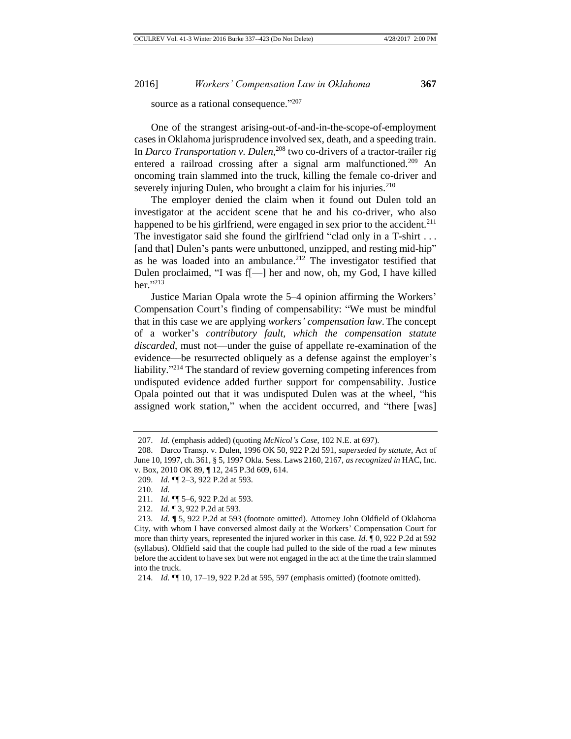source as a rational consequence."<sup>207</sup>

One of the strangest arising-out-of-and-in-the-scope-of-employment cases in Oklahoma jurisprudence involved sex, death, and a speeding train. In *Darco Transportation v. Dulen*, <sup>208</sup> two co-drivers of a tractor-trailer rig entered a railroad crossing after a signal arm malfunctioned.<sup>209</sup> An oncoming train slammed into the truck, killing the female co-driver and severely injuring Dulen, who brought a claim for his injuries.<sup>210</sup>

The employer denied the claim when it found out Dulen told an investigator at the accident scene that he and his co-driver, who also happened to be his girlfriend, were engaged in sex prior to the accident.<sup>211</sup> The investigator said she found the girlfriend "clad only in a T-shirt ... [and that] Dulen's pants were unbuttoned, unzipped, and resting mid-hip" as he was loaded into an ambulance.<sup>212</sup> The investigator testified that Dulen proclaimed, "I was f[—] her and now, oh, my God, I have killed her." 213

Justice Marian Opala wrote the 5–4 opinion affirming the Workers' Compensation Court's finding of compensability: "We must be mindful that in this case we are applying *workers' compensation law*.The concept of a worker's *contributory fault, which the compensation statute discarded*, must not—under the guise of appellate re-examination of the evidence—be resurrected obliquely as a defense against the employer's liability."<sup>214</sup> The standard of review governing competing inferences from undisputed evidence added further support for compensability. Justice Opala pointed out that it was undisputed Dulen was at the wheel, "his assigned work station," when the accident occurred, and "there [was]

212. *Id.* ¶ 3, 922 P.2d at 593.

<sup>207.</sup> *Id.* (emphasis added) (quoting *McNicol's Case*, 102 N.E. at 697).

<sup>208.</sup> Darco Transp. v. Dulen, 1996 OK 50, 922 P.2d 591, *superseded by statute*, Act of June 10, 1997, ch. 361, § 5, 1997 Okla. Sess. Laws 2160, 2167, *as recognized in* HAC, Inc. v. Box, 2010 OK 89, ¶ 12, 245 P.3d 609, 614.

<sup>209.</sup> *Id.* ¶¶ 2–3, 922 P.2d at 593.

<sup>210.</sup> *Id.*

<sup>211.</sup> *Id.* ¶¶ 5–6, 922 P.2d at 593.

<sup>213.</sup> *Id.* ¶ 5, 922 P.2d at 593 (footnote omitted). Attorney John Oldfield of Oklahoma City, with whom I have conversed almost daily at the Workers' Compensation Court for more than thirty years, represented the injured worker in this case. *Id.* ¶ 0, 922 P.2d at 592 (syllabus). Oldfield said that the couple had pulled to the side of the road a few minutes before the accident to have sex but were not engaged in the act at the time the train slammed into the truck.

<sup>214.</sup> *Id.* ¶¶ 10, 17–19, 922 P.2d at 595, 597 (emphasis omitted) (footnote omitted).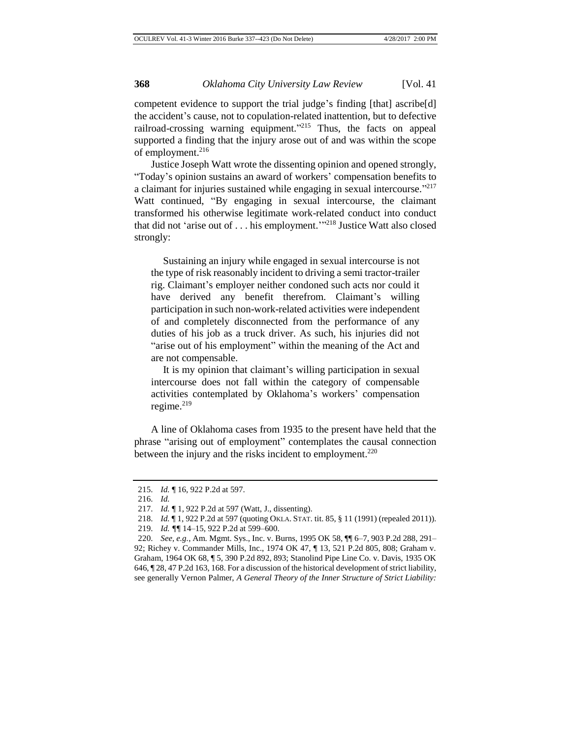competent evidence to support the trial judge's finding [that] ascribe[d] the accident's cause, not to copulation-related inattention, but to defective railroad-crossing warning equipment."<sup>215</sup> Thus, the facts on appeal supported a finding that the injury arose out of and was within the scope of employment.<sup>216</sup>

Justice Joseph Watt wrote the dissenting opinion and opened strongly, "Today's opinion sustains an award of workers' compensation benefits to a claimant for injuries sustained while engaging in sexual intercourse."<sup>217</sup> Watt continued, "By engaging in sexual intercourse, the claimant transformed his otherwise legitimate work-related conduct into conduct that did not 'arise out of . . . his employment.'" <sup>218</sup> Justice Watt also closed strongly:

Sustaining an injury while engaged in sexual intercourse is not the type of risk reasonably incident to driving a semi tractor-trailer rig. Claimant's employer neither condoned such acts nor could it have derived any benefit therefrom. Claimant's willing participation in such non-work-related activities were independent of and completely disconnected from the performance of any duties of his job as a truck driver. As such, his injuries did not "arise out of his employment" within the meaning of the Act and are not compensable.

It is my opinion that claimant's willing participation in sexual intercourse does not fall within the category of compensable activities contemplated by Oklahoma's workers' compensation regime.<sup>219</sup>

A line of Oklahoma cases from 1935 to the present have held that the phrase "arising out of employment" contemplates the causal connection between the injury and the risks incident to employment.<sup>220</sup>

<sup>215.</sup> *Id.* ¶ 16, 922 P.2d at 597.

<sup>216.</sup> *Id.*

<sup>217.</sup> *Id.* ¶ 1, 922 P.2d at 597 (Watt, J., dissenting).

<sup>218.</sup> *Id.* ¶ 1, 922 P.2d at 597 (quoting OKLA. STAT. tit. 85, § 11 (1991) (repealed 2011)).

<sup>219.</sup> *Id. ¶¶* 14–15, 922 P.2d at 599–600.

<sup>220.</sup> *See, e.g.*, Am. Mgmt. Sys., Inc. v. Burns, 1995 OK 58, ¶¶ 6–7, 903 P.2d 288, 291– 92; Richey v. Commander Mills, Inc., 1974 OK 47, ¶ 13, 521 P.2d 805, 808; Graham v. Graham, 1964 OK 68, ¶ 5, 390 P.2d 892, 893; Stanolind Pipe Line Co. v. Davis, 1935 OK 646, ¶ 28, 47 P.2d 163, 168. For a discussion of the historical development of strict liability, see generally Vernon Palmer, *A General Theory of the Inner Structure of Strict Liability:*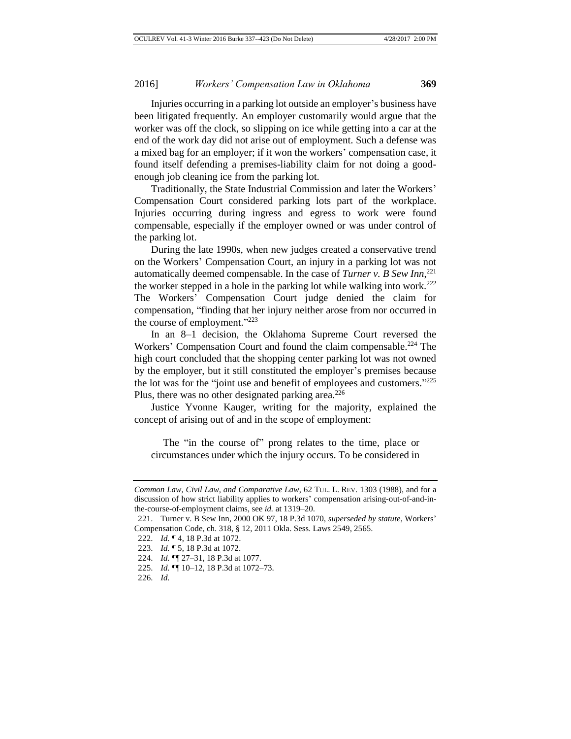Injuries occurring in a parking lot outside an employer's business have been litigated frequently. An employer customarily would argue that the worker was off the clock, so slipping on ice while getting into a car at the end of the work day did not arise out of employment. Such a defense was a mixed bag for an employer; if it won the workers' compensation case, it found itself defending a premises-liability claim for not doing a goodenough job cleaning ice from the parking lot.

Traditionally, the State Industrial Commission and later the Workers' Compensation Court considered parking lots part of the workplace. Injuries occurring during ingress and egress to work were found compensable, especially if the employer owned or was under control of the parking lot.

During the late 1990s, when new judges created a conservative trend on the Workers' Compensation Court, an injury in a parking lot was not automatically deemed compensable. In the case of *Turner v. B Sew Inn*, 221 the worker stepped in a hole in the parking lot while walking into work.<sup>222</sup> The Workers' Compensation Court judge denied the claim for compensation, "finding that her injury neither arose from nor occurred in the course of employment."<sup>223</sup>

In an 8–1 decision, the Oklahoma Supreme Court reversed the Workers' Compensation Court and found the claim compensable.<sup>224</sup> The high court concluded that the shopping center parking lot was not owned by the employer, but it still constituted the employer's premises because the lot was for the "joint use and benefit of employees and customers."<sup>225</sup> Plus, there was no other designated parking area.<sup>226</sup>

Justice Yvonne Kauger, writing for the majority, explained the concept of arising out of and in the scope of employment:

The "in the course of" prong relates to the time, place or circumstances under which the injury occurs. To be considered in

*Common Law, Civil Law, and Comparative Law*, 62 TUL. L. REV. 1303 (1988), and for a discussion of how strict liability applies to workers' compensation arising-out-of-and-inthe-course-of-employment claims, see *id.* at 1319–20.

<sup>221.</sup> Turner v. B Sew Inn, 2000 OK 97, 18 P.3d 1070, *superseded by statute*, Workers' Compensation Code, ch. 318, § 12, 2011 Okla. Sess. Laws 2549, 2565.

<sup>222.</sup> *Id.* ¶ 4, 18 P.3d at 1072.

<sup>223.</sup> *Id.* ¶ 5, 18 P.3d at 1072.

<sup>224.</sup> *Id.* ¶¶ 27–31, 18 P.3d at 1077.

<sup>225.</sup> *Id.* ¶¶ 10–12, 18 P.3d at 1072–73.

<sup>226.</sup> *Id.*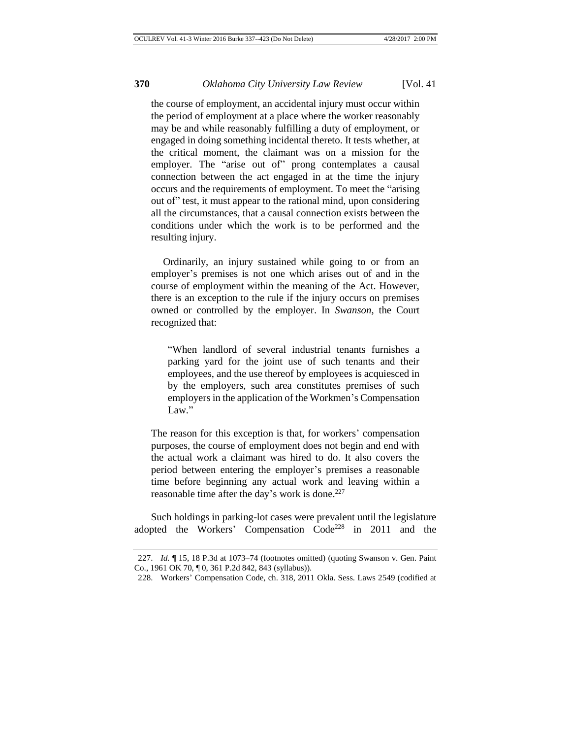the course of employment, an accidental injury must occur within the period of employment at a place where the worker reasonably may be and while reasonably fulfilling a duty of employment, or engaged in doing something incidental thereto. It tests whether, at the critical moment, the claimant was on a mission for the employer. The "arise out of" prong contemplates a causal connection between the act engaged in at the time the injury occurs and the requirements of employment. To meet the "arising out of" test, it must appear to the rational mind, upon considering all the circumstances, that a causal connection exists between the conditions under which the work is to be performed and the resulting injury.

Ordinarily, an injury sustained while going to or from an employer's premises is not one which arises out of and in the course of employment within the meaning of the Act. However, there is an exception to the rule if the injury occurs on premises owned or controlled by the employer. In *Swanson*, the Court recognized that:

"When landlord of several industrial tenants furnishes a parking yard for the joint use of such tenants and their employees, and the use thereof by employees is acquiesced in by the employers, such area constitutes premises of such employers in the application of the Workmen's Compensation Law."

The reason for this exception is that, for workers' compensation purposes, the course of employment does not begin and end with the actual work a claimant was hired to do. It also covers the period between entering the employer's premises a reasonable time before beginning any actual work and leaving within a reasonable time after the day's work is done.<sup>227</sup>

Such holdings in parking-lot cases were prevalent until the legislature adopted the Workers' Compensation  $Code^{228}$  in 2011 and the

<sup>227.</sup> *Id.* ¶ 15, 18 P.3d at 1073–74 (footnotes omitted) (quoting Swanson v. Gen. Paint Co., 1961 OK 70, ¶ 0, 361 P.2d 842, 843 (syllabus)).

<sup>228.</sup> Workers' Compensation Code, ch. 318, 2011 Okla. Sess. Laws 2549 (codified at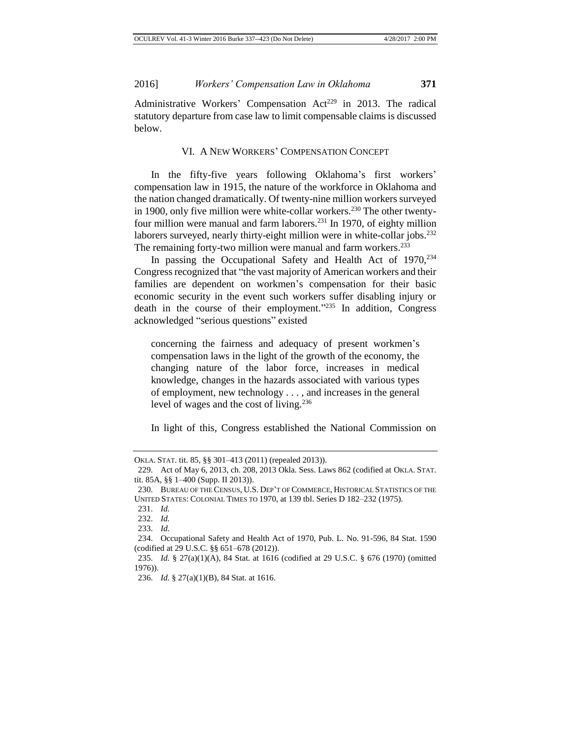Administrative Workers' Compensation Act<sup>229</sup> in 2013. The radical statutory departure from case law to limit compensable claims is discussed below.

#### VI. A NEW WORKERS' COMPENSATION CONCEPT

In the fifty-five years following Oklahoma's first workers' compensation law in 1915, the nature of the workforce in Oklahoma and the nation changed dramatically. Of twenty-nine million workers surveyed in 1900, only five million were white-collar workers.<sup>230</sup> The other twentyfour million were manual and farm laborers.<sup>231</sup> In 1970, of eighty million laborers surveyed, nearly thirty-eight million were in white-collar jobs.<sup>232</sup> The remaining forty-two million were manual and farm workers.<sup>233</sup>

In passing the Occupational Safety and Health Act of 1970, 234 Congress recognized that "the vast majority of American workers and their families are dependent on workmen's compensation for their basic economic security in the event such workers suffer disabling injury or death in the course of their employment." <sup>235</sup> In addition, Congress acknowledged "serious questions" existed

concerning the fairness and adequacy of present workmen's compensation laws in the light of the growth of the economy, the changing nature of the labor force, increases in medical knowledge, changes in the hazards associated with various types of employment, new technology . . . , and increases in the general level of wages and the cost of living.<sup>236</sup>

In light of this, Congress established the National Commission on

OKLA. STAT. tit. 85, §§ 301–413 (2011) (repealed 2013)).

<sup>229.</sup> Act of May 6, 2013, ch. 208, 2013 Okla. Sess. Laws 862 (codified at OKLA. STAT. tit. 85A, §§ 1–400 (Supp. II 2013)).

<sup>230.</sup> BUREAU OF THE CENSUS, U.S. DEP'T OF COMMERCE, HISTORICAL STATISTICS OF THE UNITED STATES: COLONIAL TIMES TO 1970, at 139 tbl. Series D 182–232 (1975).

<sup>231.</sup> *Id.*

<sup>232.</sup> *Id.*

<sup>233.</sup> *Id.*

<sup>234.</sup> Occupational Safety and Health Act of 1970, Pub. L. No. 91-596, 84 Stat. 1590 (codified at 29 U.S.C. §§ 651–678 (2012)).

<sup>235.</sup> *Id.* § 27(a)(1)(A), 84 Stat. at 1616 (codified at 29 U.S.C. § 676 (1970) (omitted 1976)).

<sup>236.</sup> *Id.* § 27(a)(1)(B), 84 Stat. at 1616.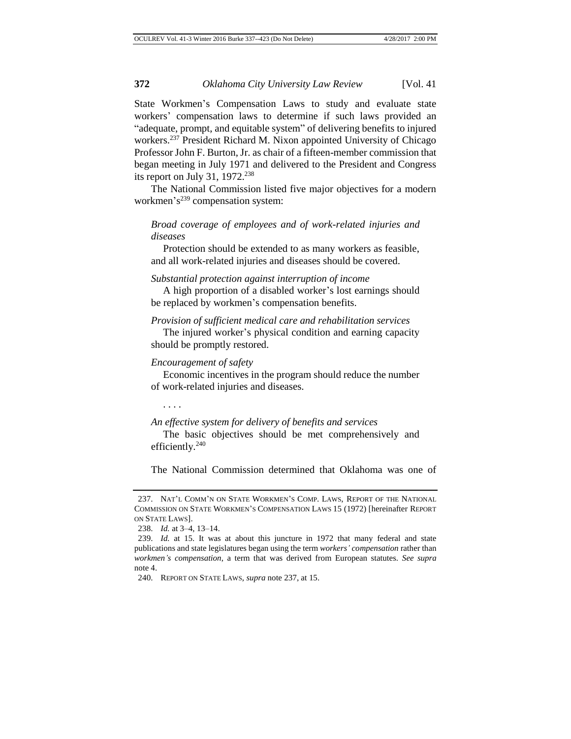State Workmen's Compensation Laws to study and evaluate state workers' compensation laws to determine if such laws provided an "adequate, prompt, and equitable system" of delivering benefits to injured workers.<sup>237</sup> President Richard M. Nixon appointed University of Chicago Professor John F. Burton, Jr. as chair of a fifteen-member commission that began meeting in July 1971 and delivered to the President and Congress its report on July 31,  $1972.^{238}$ 

The National Commission listed five major objectives for a modern workmen's<sup>239</sup> compensation system:

## *Broad coverage of employees and of work-related injuries and diseases*

Protection should be extended to as many workers as feasible, and all work-related injuries and diseases should be covered.

*Substantial protection against interruption of income*

A high proportion of a disabled worker's lost earnings should be replaced by workmen's compensation benefits.

*Provision of sufficient medical care and rehabilitation services* The injured worker's physical condition and earning capacity should be promptly restored.

#### *Encouragement of safety*

Economic incentives in the program should reduce the number of work-related injuries and diseases.

. . . .

#### *An effective system for delivery of benefits and services*

The basic objectives should be met comprehensively and efficiently.<sup>240</sup>

The National Commission determined that Oklahoma was one of

<sup>237.</sup> NAT'L COMM'N ON STATE WORKMEN'S COMP. LAWS, REPORT OF THE NATIONAL COMMISSION ON STATE WORKMEN'S COMPENSATION LAWS 15 (1972) [hereinafter REPORT ON STATE LAWS].

<sup>238.</sup> *Id.* at 3–4, 13–14.

<sup>239.</sup> *Id.* at 15. It was at about this juncture in 1972 that many federal and state publications and state legislatures began using the term *workers' compensation* rather than *workmen's compensation*, a term that was derived from European statutes. *See supra* note 4.

<sup>240.</sup> REPORT ON STATE LAWS, *supra* note 237, at 15.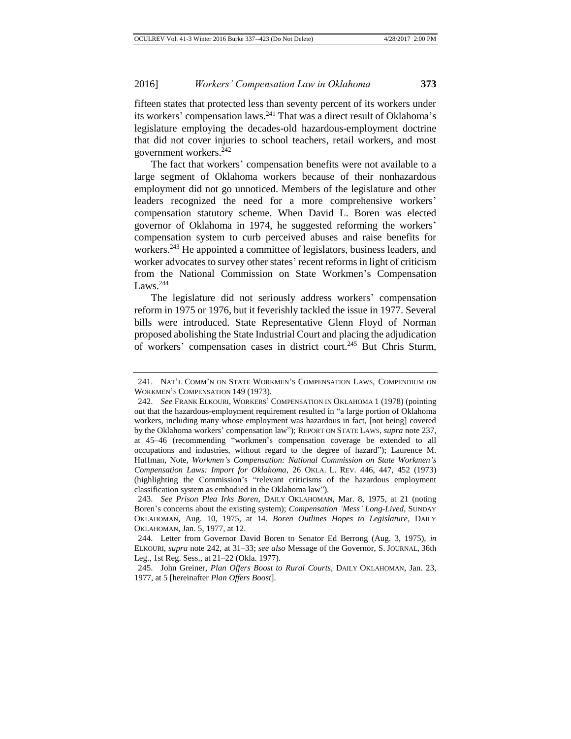fifteen states that protected less than seventy percent of its workers under its workers' compensation laws.<sup>241</sup> That was a direct result of Oklahoma's legislature employing the decades-old hazardous-employment doctrine that did not cover injuries to school teachers, retail workers, and most government workers.<sup>242</sup>

The fact that workers' compensation benefits were not available to a large segment of Oklahoma workers because of their nonhazardous employment did not go unnoticed. Members of the legislature and other leaders recognized the need for a more comprehensive workers' compensation statutory scheme. When David L. Boren was elected governor of Oklahoma in 1974, he suggested reforming the workers' compensation system to curb perceived abuses and raise benefits for workers.<sup>243</sup> He appointed a committee of legislators, business leaders, and worker advocates to survey other states' recent reforms in light of criticism from the National Commission on State Workmen's Compensation Laws. $244$ 

The legislature did not seriously address workers' compensation reform in 1975 or 1976, but it feverishly tackled the issue in 1977. Several bills were introduced. State Representative Glenn Floyd of Norman proposed abolishing the State Industrial Court and placing the adjudication of workers' compensation cases in district court.<sup>245</sup> But Chris Sturm,

<sup>241.</sup> NAT'L COMM'N ON STATE WORKMEN'S COMPENSATION LAWS, COMPENDIUM ON WORKMEN'S COMPENSATION 149 (1973).

<sup>242.</sup> *See* FRANK ELKOURI, WORKERS' COMPENSATION IN OKLAHOMA 1 (1978) (pointing out that the hazardous-employment requirement resulted in "a large portion of Oklahoma workers, including many whose employment was hazardous in fact, [not being] covered by the Oklahoma workers' compensation law"); REPORT ON STATE LAWS, *supra* note 237, at 45–46 (recommending "workmen's compensation coverage be extended to all occupations and industries, without regard to the degree of hazard"); Laurence M. Huffman, Note, *Workmen's Compensation: National Commission on State Workmen's Compensation Laws: Import for Oklahoma*, 26 OKLA. L. REV. 446, 447, 452 (1973) (highlighting the Commission's "relevant criticisms of the hazardous employment classification system as embodied in the Oklahoma law").

<sup>243.</sup> *See Prison Plea Irks Boren*, DAILY OKLAHOMAN, Mar. 8, 1975, at 21 (noting Boren's concerns about the existing system); *Compensation 'Mess' Long-Lived*, SUNDAY OKLAHOMAN, Aug. 10, 1975, at 14. *Boren Outlines Hopes to Legislature*, DAILY OKLAHOMAN, Jan. 5, 1977, at 12.

<sup>244.</sup> Letter from Governor David Boren to Senator Ed Berrong (Aug. 3, 1975), *in* ELKOURI, *supra* note 242, at 31–33; *see also* Message of the Governor, S. JOURNAL, 36th Leg., 1st Reg. Sess., at 21–22 (Okla. 1977).

<sup>245.</sup> John Greiner, *Plan Offers Boost to Rural Courts*, DAILY OKLAHOMAN, Jan. 23, 1977, at 5 [hereinafter *Plan Offers Boost*].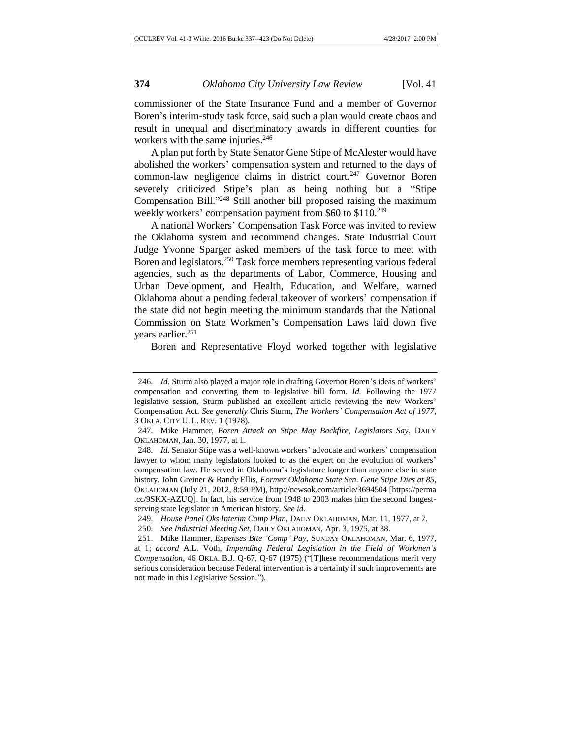commissioner of the State Insurance Fund and a member of Governor Boren's interim-study task force, said such a plan would create chaos and result in unequal and discriminatory awards in different counties for workers with the same injuries.<sup>246</sup>

A plan put forth by State Senator Gene Stipe of McAlester would have abolished the workers' compensation system and returned to the days of common-law negligence claims in district court.<sup>247</sup> Governor Boren severely criticized Stipe's plan as being nothing but a "Stipe Compensation Bill." <sup>248</sup> Still another bill proposed raising the maximum weekly workers' compensation payment from \$60 to \$110.<sup>249</sup>

A national Workers' Compensation Task Force was invited to review the Oklahoma system and recommend changes. State Industrial Court Judge Yvonne Sparger asked members of the task force to meet with Boren and legislators.<sup>250</sup> Task force members representing various federal agencies, such as the departments of Labor, Commerce, Housing and Urban Development, and Health, Education, and Welfare, warned Oklahoma about a pending federal takeover of workers' compensation if the state did not begin meeting the minimum standards that the National Commission on State Workmen's Compensation Laws laid down five years earlier.<sup>251</sup>

Boren and Representative Floyd worked together with legislative

<sup>246.</sup> *Id.* Sturm also played a major role in drafting Governor Boren's ideas of workers' compensation and converting them to legislative bill form. *Id.* Following the 1977 legislative session, Sturm published an excellent article reviewing the new Workers' Compensation Act. *See generally* Chris Sturm, *The Workers' Compensation Act of 1977*, 3 OKLA. CITY U. L. REV. 1 (1978).

<sup>247.</sup> Mike Hammer, *Boren Attack on Stipe May Backfire, Legislators Say*, DAILY OKLAHOMAN, Jan. 30, 1977, at 1.

<sup>248.</sup> *Id.* Senator Stipe was a well-known workers' advocate and workers' compensation lawyer to whom many legislators looked to as the expert on the evolution of workers' compensation law. He served in Oklahoma's legislature longer than anyone else in state history. John Greiner & Randy Ellis, *Former Oklahoma State Sen. Gene Stipe Dies at 85*, OKLAHOMAN (July 21, 2012, 8:59 PM), http://newsok.com/article/3694504 [https://perma .cc/9SKX-AZUQ]. In fact, his service from 1948 to 2003 makes him the second longestserving state legislator in American history. *See id.*

<sup>249.</sup> *House Panel Oks Interim Comp Plan*, DAILY OKLAHOMAN, Mar. 11, 1977, at 7.

<sup>250.</sup> *See Industrial Meeting Set*, DAILY OKLAHOMAN, Apr. 3, 1975, at 38.

<sup>251.</sup> Mike Hammer, *Expenses Bite 'Comp' Pay*, SUNDAY OKLAHOMAN, Mar. 6, 1977, at 1; *accord* A.L. Voth, *Impending Federal Legislation in the Field of Workmen's Compensation*, 46 OKLA. B.J. Q-67, Q-67 (1975) ("[T]hese recommendations merit very serious consideration because Federal intervention is a certainty if such improvements are not made in this Legislative Session.").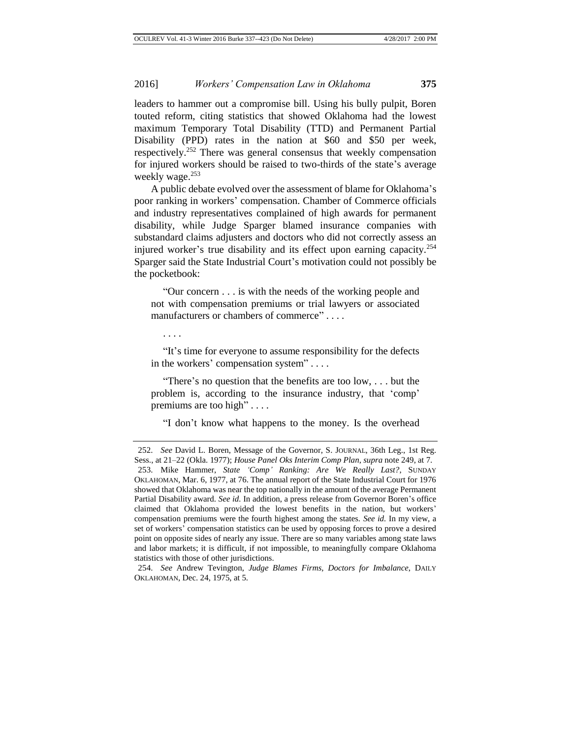leaders to hammer out a compromise bill. Using his bully pulpit, Boren touted reform, citing statistics that showed Oklahoma had the lowest maximum Temporary Total Disability (TTD) and Permanent Partial Disability (PPD) rates in the nation at \$60 and \$50 per week, respectively.<sup>252</sup> There was general consensus that weekly compensation for injured workers should be raised to two-thirds of the state's average weekly wage.<sup>253</sup>

A public debate evolved over the assessment of blame for Oklahoma's poor ranking in workers' compensation. Chamber of Commerce officials and industry representatives complained of high awards for permanent disability, while Judge Sparger blamed insurance companies with substandard claims adjusters and doctors who did not correctly assess an injured worker's true disability and its effect upon earning capacity.<sup>254</sup> Sparger said the State Industrial Court's motivation could not possibly be the pocketbook:

"Our concern . . . is with the needs of the working people and not with compensation premiums or trial lawyers or associated manufacturers or chambers of commerce" . . . .

. . . .

"It's time for everyone to assume responsibility for the defects in the workers' compensation system" . . . .

"There's no question that the benefits are too low, . . . but the problem is, according to the insurance industry, that 'comp' premiums are too high" . . . .

"I don't know what happens to the money. Is the overhead

<sup>252.</sup> *See* David L. Boren, Message of the Governor, S. JOURNAL, 36th Leg., 1st Reg. Sess., at 21–22 (Okla. 1977); *House Panel Oks Interim Comp Plan*, *supra* note 249, at 7. 253. Mike Hammer, *State 'Comp' Ranking: Are We Really Last?*, SUNDAY OKLAHOMAN, Mar. 6, 1977, at 76. The annual report of the State Industrial Court for 1976 showed that Oklahoma was near the top nationally in the amount of the average Permanent Partial Disability award. *See id.* In addition, a press release from Governor Boren's office claimed that Oklahoma provided the lowest benefits in the nation, but workers' compensation premiums were the fourth highest among the states. *See id.* In my view, a set of workers' compensation statistics can be used by opposing forces to prove a desired point on opposite sides of nearly any issue. There are so many variables among state laws and labor markets; it is difficult, if not impossible, to meaningfully compare Oklahoma statistics with those of other jurisdictions.

<sup>254.</sup> *See* Andrew Tevington, *Judge Blames Firms, Doctors for Imbalance*, DAILY OKLAHOMAN, Dec. 24, 1975, at 5.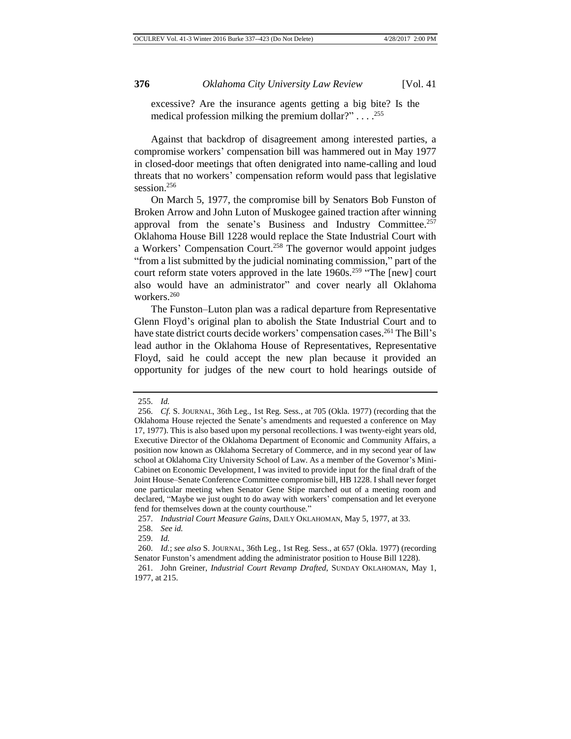excessive? Are the insurance agents getting a big bite? Is the medical profession milking the premium dollar?" . . . .<sup>255</sup>

Against that backdrop of disagreement among interested parties, a compromise workers' compensation bill was hammered out in May 1977 in closed-door meetings that often denigrated into name-calling and loud threats that no workers' compensation reform would pass that legislative session.<sup>256</sup>

On March 5, 1977, the compromise bill by Senators Bob Funston of Broken Arrow and John Luton of Muskogee gained traction after winning approval from the senate's Business and Industry Committee.<sup>257</sup> Oklahoma House Bill 1228 would replace the State Industrial Court with a Workers' Compensation Court.<sup>258</sup> The governor would appoint judges "from a list submitted by the judicial nominating commission," part of the court reform state voters approved in the late  $1960s$ <sup>259</sup> "The [new] court also would have an administrator" and cover nearly all Oklahoma workers.<sup>260</sup>

The Funston–Luton plan was a radical departure from Representative Glenn Floyd's original plan to abolish the State Industrial Court and to have state district courts decide workers' compensation cases.<sup>261</sup> The Bill's lead author in the Oklahoma House of Representatives, Representative Floyd, said he could accept the new plan because it provided an opportunity for judges of the new court to hold hearings outside of

<sup>255.</sup> *Id.*

<sup>256.</sup> *Cf.* S. JOURNAL, 36th Leg., 1st Reg. Sess., at 705 (Okla. 1977) (recording that the Oklahoma House rejected the Senate's amendments and requested a conference on May 17, 1977). This is also based upon my personal recollections. I was twenty-eight years old, Executive Director of the Oklahoma Department of Economic and Community Affairs, a position now known as Oklahoma Secretary of Commerce, and in my second year of law school at Oklahoma City University School of Law. As a member of the Governor's Mini-Cabinet on Economic Development, I was invited to provide input for the final draft of the Joint House–Senate Conference Committee compromise bill, HB 1228. I shall never forget one particular meeting when Senator Gene Stipe marched out of a meeting room and declared, "Maybe we just ought to do away with workers' compensation and let everyone fend for themselves down at the county courthouse."

<sup>257.</sup> *Industrial Court Measure Gains*, DAILY OKLAHOMAN, May 5, 1977, at 33.

<sup>258.</sup> *See id.*

<sup>259.</sup> *Id.*

<sup>260.</sup> *Id.*; *see also* S. JOURNAL, 36th Leg., 1st Reg. Sess., at 657 (Okla. 1977) (recording Senator Funston's amendment adding the administrator position to House Bill 1228).

<sup>261.</sup> John Greiner, *Industrial Court Revamp Drafted*, SUNDAY OKLAHOMAN, May 1, 1977, at 215.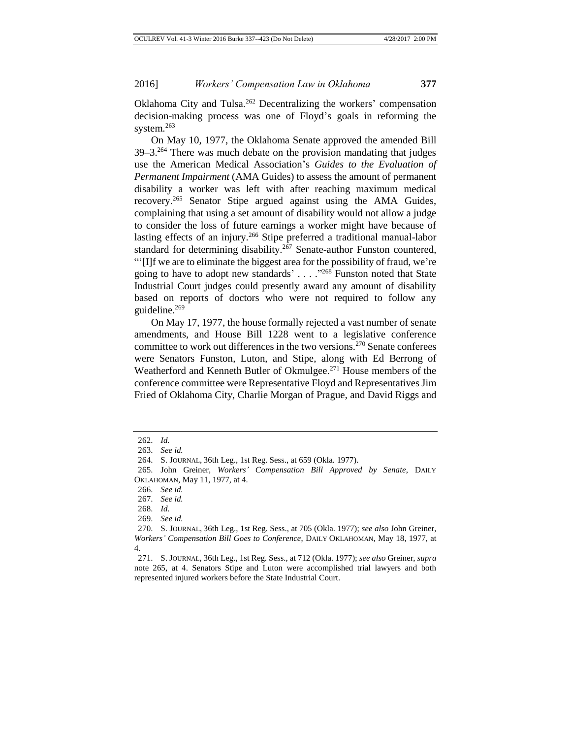Oklahoma City and Tulsa.<sup>262</sup> Decentralizing the workers' compensation decision-making process was one of Floyd's goals in reforming the system.<sup>263</sup>

On May 10, 1977, the Oklahoma Senate approved the amended Bill 39–3.<sup>264</sup> There was much debate on the provision mandating that judges use the American Medical Association's *Guides to the Evaluation of Permanent Impairment* (AMA Guides) to assess the amount of permanent disability a worker was left with after reaching maximum medical recovery.<sup>265</sup> Senator Stipe argued against using the AMA Guides, complaining that using a set amount of disability would not allow a judge to consider the loss of future earnings a worker might have because of lasting effects of an injury.<sup>266</sup> Stipe preferred a traditional manual-labor standard for determining disability.<sup>267</sup> Senate-author Funston countered, "'[I]f we are to eliminate the biggest area for the possibility of fraud, we're going to have to adopt new standards' . . . . "<sup>268</sup> Funston noted that State Industrial Court judges could presently award any amount of disability based on reports of doctors who were not required to follow any guideline.<sup>269</sup>

On May 17, 1977, the house formally rejected a vast number of senate amendments, and House Bill 1228 went to a legislative conference committee to work out differences in the two versions.<sup>270</sup> Senate conferees were Senators Funston, Luton, and Stipe, along with Ed Berrong of Weatherford and Kenneth Butler of Okmulgee.<sup>271</sup> House members of the conference committee were Representative Floyd and Representatives Jim Fried of Oklahoma City, Charlie Morgan of Prague, and David Riggs and

<sup>262.</sup> *Id.*

<sup>263.</sup> *See id.*

<sup>264.</sup> S. JOURNAL, 36th Leg., 1st Reg. Sess., at 659 (Okla. 1977).

<sup>265.</sup> John Greiner, *Workers' Compensation Bill Approved by Senate*, DAILY OKLAHOMAN, May 11, 1977, at 4.

<sup>266.</sup> *See id.*

<sup>267.</sup> *See id.*

<sup>268.</sup> *Id.*

<sup>269.</sup> *See id.*

<sup>270.</sup> S. JOURNAL, 36th Leg., 1st Reg. Sess., at 705 (Okla. 1977); *see also* John Greiner, *Workers' Compensation Bill Goes to Conference*, DAILY OKLAHOMAN, May 18, 1977, at 4.

<sup>271.</sup> S. JOURNAL, 36th Leg., 1st Reg. Sess., at 712 (Okla. 1977); *see also* Greiner, *supra* note 265, at 4. Senators Stipe and Luton were accomplished trial lawyers and both represented injured workers before the State Industrial Court.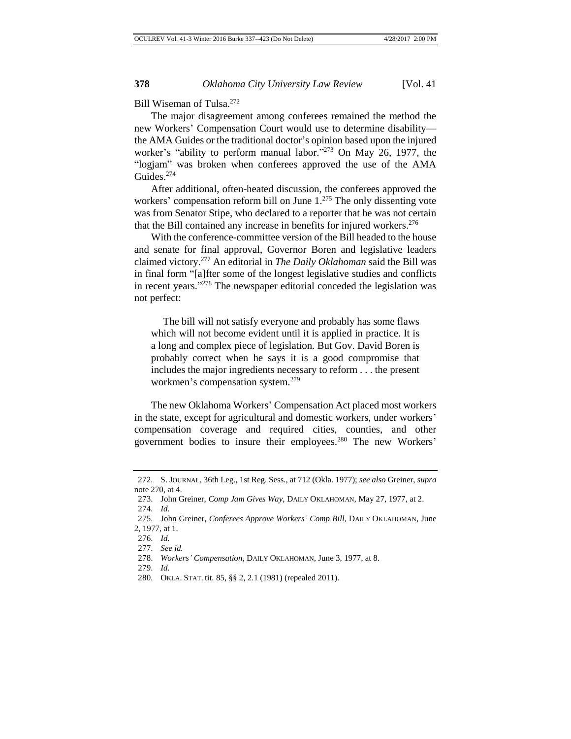Bill Wiseman of Tulsa.<sup>272</sup>

The major disagreement among conferees remained the method the new Workers' Compensation Court would use to determine disability the AMA Guides or the traditional doctor's opinion based upon the injured worker's "ability to perform manual labor."<sup>273</sup> On May 26, 1977, the "logjam" was broken when conferees approved the use of the AMA Guides.<sup>274</sup>

After additional, often-heated discussion, the conferees approved the workers' compensation reform bill on June 1.<sup>275</sup> The only dissenting vote was from Senator Stipe, who declared to a reporter that he was not certain that the Bill contained any increase in benefits for injured workers.<sup>276</sup>

With the conference-committee version of the Bill headed to the house and senate for final approval, Governor Boren and legislative leaders claimed victory.<sup>277</sup> An editorial in *The Daily Oklahoman* said the Bill was in final form "[a]fter some of the longest legislative studies and conflicts in recent years." <sup>278</sup> The newspaper editorial conceded the legislation was not perfect:

The bill will not satisfy everyone and probably has some flaws which will not become evident until it is applied in practice. It is a long and complex piece of legislation. But Gov. David Boren is probably correct when he says it is a good compromise that includes the major ingredients necessary to reform . . . the present workmen's compensation system.<sup>279</sup>

The new Oklahoma Workers' Compensation Act placed most workers in the state, except for agricultural and domestic workers, under workers' compensation coverage and required cities, counties, and other government bodies to insure their employees.<sup>280</sup> The new Workers'

<sup>272.</sup> S. JOURNAL, 36th Leg., 1st Reg. Sess., at 712 (Okla. 1977); *see also* Greiner, *supra* note 270, at 4.

<sup>273.</sup> John Greiner, *Comp Jam Gives Way*, DAILY OKLAHOMAN, May 27, 1977, at 2. 274. *Id.*

<sup>275.</sup> John Greiner, *Conferees Approve Workers' Comp Bill*, DAILY OKLAHOMAN, June 2, 1977, at 1.

<sup>276.</sup> *Id.*

<sup>277.</sup> *See id.*

<sup>278.</sup> *Workers' Compensation*, DAILY OKLAHOMAN, June 3, 1977, at 8.

<sup>279.</sup> *Id.*

<sup>280.</sup> OKLA. STAT. tit. 85, §§ 2, 2.1 (1981) (repealed 2011).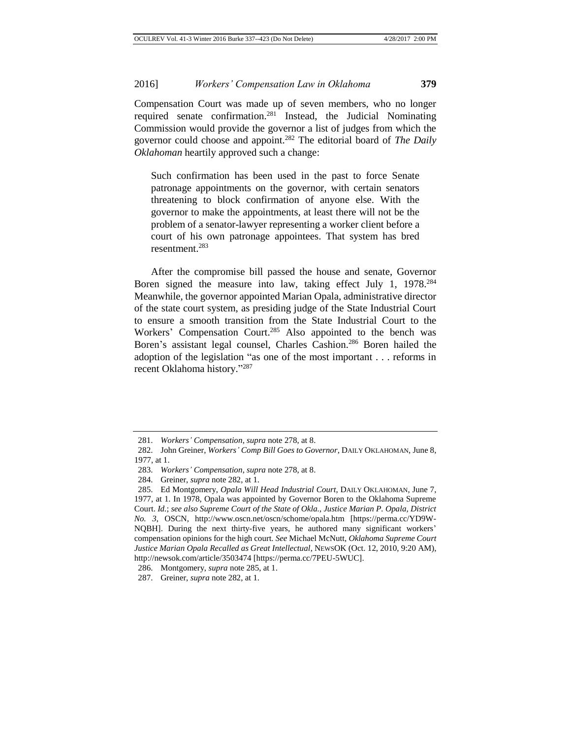Compensation Court was made up of seven members, who no longer required senate confirmation.<sup>281</sup> Instead, the Judicial Nominating Commission would provide the governor a list of judges from which the governor could choose and appoint.<sup>282</sup> The editorial board of *The Daily Oklahoman* heartily approved such a change:

Such confirmation has been used in the past to force Senate patronage appointments on the governor, with certain senators threatening to block confirmation of anyone else. With the governor to make the appointments, at least there will not be the problem of a senator-lawyer representing a worker client before a court of his own patronage appointees. That system has bred resentment.<sup>283</sup>

After the compromise bill passed the house and senate, Governor Boren signed the measure into law, taking effect July 1, 1978<sup>284</sup> Meanwhile, the governor appointed Marian Opala, administrative director of the state court system, as presiding judge of the State Industrial Court to ensure a smooth transition from the State Industrial Court to the Workers' Compensation Court.<sup>285</sup> Also appointed to the bench was Boren's assistant legal counsel, Charles Cashion.<sup>286</sup> Boren hailed the adoption of the legislation "as one of the most important . . . reforms in recent Oklahoma history." 287

<sup>281.</sup> *Workers' Compensation*, *supra* note 278, at 8.

<sup>282.</sup> John Greiner, *Workers' Comp Bill Goes to Governor*, DAILY OKLAHOMAN, June 8, 1977, at 1.

<sup>283.</sup> *Workers' Compensation*, *supra* note 278, at 8.

<sup>284.</sup> Greiner, *supra* note 282, at 1.

<sup>285.</sup> Ed Montgomery, *Opala Will Head Industrial Court*, DAILY OKLAHOMAN, June 7, 1977, at 1. In 1978, Opala was appointed by Governor Boren to the Oklahoma Supreme Court. *Id.*; *see also Supreme Court of the State of Okla., Justice Marian P. Opala, District No. 3*, OSCN, http://www.oscn.net/oscn/schome/opala.htm [https://perma.cc/YD9W-NQBH]. During the next thirty-five years, he authored many significant workers' compensation opinions for the high court. *See* Michael McNutt, *Oklahoma Supreme Court Justice Marian Opala Recalled as Great Intellectual*, NEWSOK (Oct. 12, 2010, 9:20 AM), http://newsok.com/article/3503474 [https://perma.cc/7PEU-5WUC].

<sup>286.</sup> Montgomery, *supra* note 285, at 1.

<sup>287.</sup> Greiner, *supra* note 282, at 1.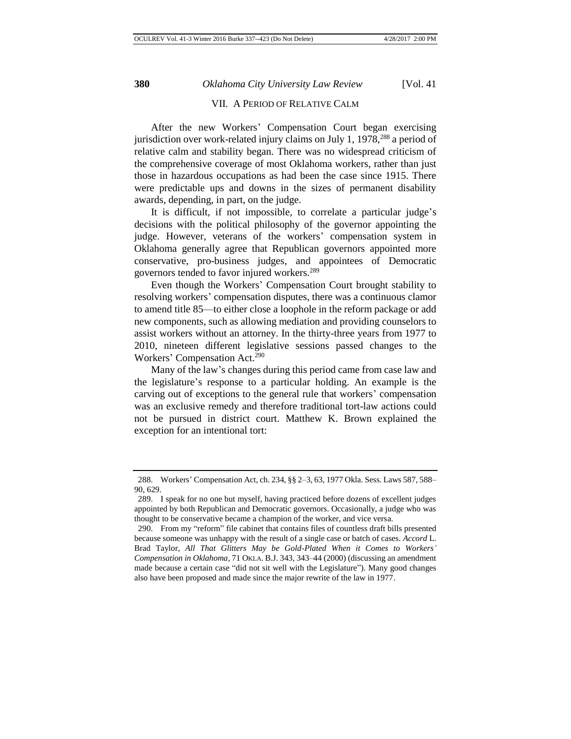#### VII. A PERIOD OF RELATIVE CALM

After the new Workers' Compensation Court began exercising jurisdiction over work-related injury claims on July 1,  $1978<sup>288</sup>$  a period of relative calm and stability began. There was no widespread criticism of the comprehensive coverage of most Oklahoma workers, rather than just those in hazardous occupations as had been the case since 1915. There were predictable ups and downs in the sizes of permanent disability awards, depending, in part, on the judge.

It is difficult, if not impossible, to correlate a particular judge's decisions with the political philosophy of the governor appointing the judge. However, veterans of the workers' compensation system in Oklahoma generally agree that Republican governors appointed more conservative, pro-business judges, and appointees of Democratic governors tended to favor injured workers.<sup>289</sup>

Even though the Workers' Compensation Court brought stability to resolving workers' compensation disputes, there was a continuous clamor to amend title 85—to either close a loophole in the reform package or add new components, such as allowing mediation and providing counselors to assist workers without an attorney. In the thirty-three years from 1977 to 2010, nineteen different legislative sessions passed changes to the Workers' Compensation Act.<sup>290</sup>

Many of the law's changes during this period came from case law and the legislature's response to a particular holding. An example is the carving out of exceptions to the general rule that workers' compensation was an exclusive remedy and therefore traditional tort-law actions could not be pursued in district court. Matthew K. Brown explained the exception for an intentional tort:

<sup>288.</sup> Workers' Compensation Act, ch. 234, §§ 2–3, 63, 1977 Okla. Sess. Laws 587, 588– 90, 629.

<sup>289.</sup> I speak for no one but myself, having practiced before dozens of excellent judges appointed by both Republican and Democratic governors. Occasionally, a judge who was thought to be conservative became a champion of the worker, and vice versa.

<sup>290.</sup> From my "reform" file cabinet that contains files of countless draft bills presented because someone was unhappy with the result of a single case or batch of cases. *Accord* L. Brad Taylor, *All That Glitters May be Gold-Plated When it Comes to Workers' Compensation in Oklahoma*, 71 OKLA. B.J. 343, 343–44 (2000) (discussing an amendment made because a certain case "did not sit well with the Legislature"). Many good changes also have been proposed and made since the major rewrite of the law in 1977.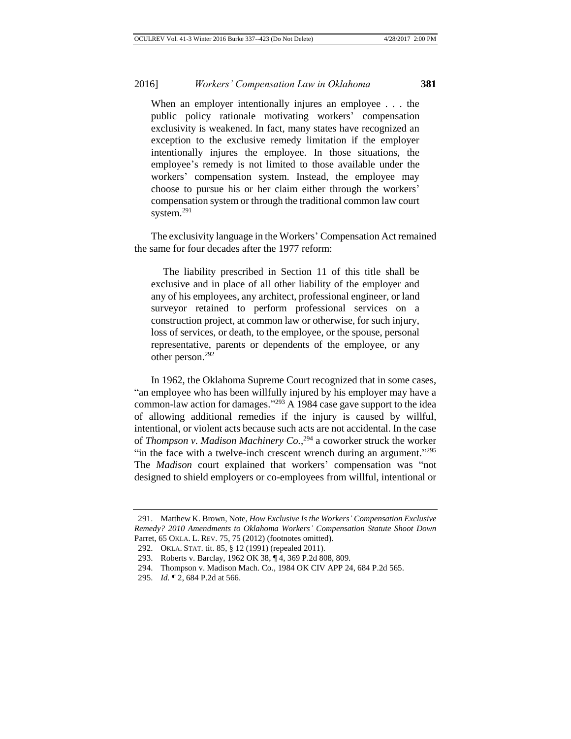When an employer intentionally injures an employee . . . the public policy rationale motivating workers' compensation exclusivity is weakened. In fact, many states have recognized an exception to the exclusive remedy limitation if the employer intentionally injures the employee. In those situations, the employee's remedy is not limited to those available under the workers' compensation system. Instead, the employee may choose to pursue his or her claim either through the workers' compensation system or through the traditional common law court system.<sup>291</sup>

The exclusivity language in the Workers' Compensation Act remained the same for four decades after the 1977 reform:

The liability prescribed in Section 11 of this title shall be exclusive and in place of all other liability of the employer and any of his employees, any architect, professional engineer, or land surveyor retained to perform professional services on a construction project, at common law or otherwise, for such injury, loss of services, or death, to the employee, or the spouse, personal representative, parents or dependents of the employee, or any other person.<sup>292</sup>

In 1962, the Oklahoma Supreme Court recognized that in some cases, "an employee who has been willfully injured by his employer may have a common-law action for damages." <sup>293</sup> A 1984 case gave support to the idea of allowing additional remedies if the injury is caused by willful, intentional, or violent acts because such acts are not accidental. In the case of *Thompson v. Madison Machinery Co.*, <sup>294</sup> a coworker struck the worker "in the face with a twelve-inch crescent wrench during an argument."<sup>295</sup> The *Madison* court explained that workers' compensation was "not designed to shield employers or co-employees from willful, intentional or

<sup>291.</sup> Matthew K. Brown, Note, *How Exclusive Is the Workers' Compensation Exclusive Remedy? 2010 Amendments to Oklahoma Workers' Compensation Statute Shoot Down*  Parret, 65 OKLA. L. REV. 75, 75 (2012) (footnotes omitted).

<sup>292.</sup> OKLA. STAT. tit. 85, § 12 (1991) (repealed 2011).

<sup>293.</sup> Roberts v. Barclay, 1962 OK 38, ¶ 4, 369 P.2d 808, 809.

<sup>294.</sup> Thompson v. Madison Mach. Co., 1984 OK CIV APP 24, 684 P.2d 565.

<sup>295.</sup> *Id.* ¶ 2, 684 P.2d at 566.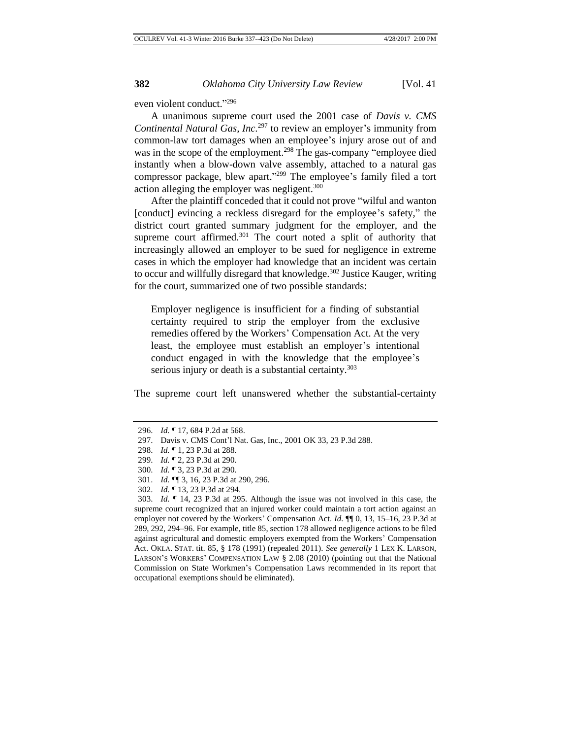even violent conduct." 296

A unanimous supreme court used the 2001 case of *Davis v. CMS Continental Natural Gas, Inc.*<sup>297</sup> to review an employer's immunity from common-law tort damages when an employee's injury arose out of and was in the scope of the employment.<sup>298</sup> The gas-company "employee died instantly when a blow-down valve assembly, attached to a natural gas compressor package, blew apart." <sup>299</sup> The employee's family filed a tort action alleging the employer was negligent.<sup>300</sup>

After the plaintiff conceded that it could not prove "wilful and wanton [conduct] evincing a reckless disregard for the employee's safety," the district court granted summary judgment for the employer, and the supreme court affirmed. $301$  The court noted a split of authority that increasingly allowed an employer to be sued for negligence in extreme cases in which the employer had knowledge that an incident was certain to occur and willfully disregard that knowledge.<sup>302</sup> Justice Kauger, writing for the court, summarized one of two possible standards:

Employer negligence is insufficient for a finding of substantial certainty required to strip the employer from the exclusive remedies offered by the Workers' Compensation Act. At the very least, the employee must establish an employer's intentional conduct engaged in with the knowledge that the employee's serious injury or death is a substantial certainty. $303$ 

The supreme court left unanswered whether the substantial-certainty

<sup>296.</sup> *Id.* ¶ 17, 684 P.2d at 568.

<sup>297.</sup> Davis v. CMS Cont'l Nat. Gas, Inc., 2001 OK 33, 23 P.3d 288.

<sup>298.</sup> *Id.* ¶ 1, 23 P.3d at 288.

<sup>299.</sup> *Id.* ¶ 2, 23 P.3d at 290.

<sup>300.</sup> *Id.* ¶ 3, 23 P.3d at 290.

<sup>301.</sup> *Id.* ¶¶ 3, 16, 23 P.3d at 290, 296.

<sup>302.</sup> *Id.* ¶ 13, 23 P.3d at 294.

<sup>303.</sup> *Id.* ¶ 14, 23 P.3d at 295. Although the issue was not involved in this case, the supreme court recognized that an injured worker could maintain a tort action against an employer not covered by the Workers' Compensation Act. *Id.* ¶¶ 0, 13, 15–16, 23 P.3d at 289, 292, 294–96. For example, title 85, section 178 allowed negligence actions to be filed against agricultural and domestic employers exempted from the Workers' Compensation Act. OKLA. STAT. tit. 85, § 178 (1991) (repealed 2011). *See generally* 1 LEX K. LARSON, LARSON'S WORKERS' COMPENSATION LAW § 2.08 (2010) (pointing out that the National Commission on State Workmen's Compensation Laws recommended in its report that occupational exemptions should be eliminated).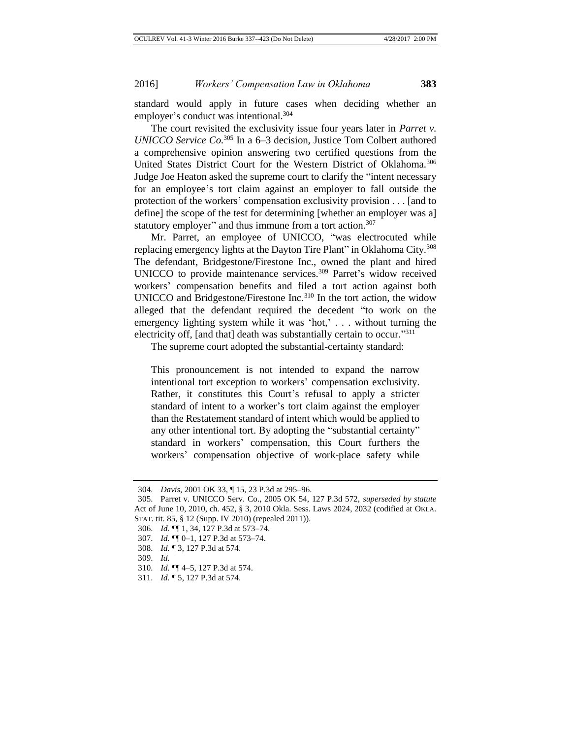standard would apply in future cases when deciding whether an employer's conduct was intentional.<sup>304</sup>

The court revisited the exclusivity issue four years later in *Parret v. UNICCO Service Co.* <sup>305</sup> In a 6–3 decision, Justice Tom Colbert authored a comprehensive opinion answering two certified questions from the United States District Court for the Western District of Oklahoma.<sup>306</sup> Judge Joe Heaton asked the supreme court to clarify the "intent necessary for an employee's tort claim against an employer to fall outside the protection of the workers' compensation exclusivity provision . . . [and to define] the scope of the test for determining [whether an employer was a] statutory employer" and thus immune from a tort action.<sup>307</sup>

Mr. Parret, an employee of UNICCO, "was electrocuted while replacing emergency lights at the Dayton Tire Plant" in Oklahoma City.<sup>308</sup> The defendant, Bridgestone/Firestone Inc., owned the plant and hired UNICCO to provide maintenance services.<sup>309</sup> Parret's widow received workers' compensation benefits and filed a tort action against both UNICCO and Bridgestone/Firestone Inc.<sup>310</sup> In the tort action, the widow alleged that the defendant required the decedent "to work on the emergency lighting system while it was 'hot,' . . . without turning the electricity off, [and that] death was substantially certain to occur."311

The supreme court adopted the substantial-certainty standard:

This pronouncement is not intended to expand the narrow intentional tort exception to workers' compensation exclusivity. Rather, it constitutes this Court's refusal to apply a stricter standard of intent to a worker's tort claim against the employer than the Restatement standard of intent which would be applied to any other intentional tort. By adopting the "substantial certainty" standard in workers' compensation, this Court furthers the workers' compensation objective of work-place safety while

<sup>304.</sup> *Davis*, 2001 OK 33, ¶ 15, 23 P.3d at 295–96.

<sup>305.</sup> Parret v. UNICCO Serv. Co., 2005 OK 54, 127 P.3d 572, *superseded by statute*  Act of June 10, 2010, ch. 452, § 3, 2010 Okla. Sess. Laws 2024, 2032 (codified at OKLA. STAT. tit. 85, § 12 (Supp. IV 2010) (repealed 2011)).

<sup>306.</sup> *Id.* ¶¶ 1, 34, 127 P.3d at 573–74.

<sup>307.</sup> *Id.* ¶¶ 0–1, 127 P.3d at 573–74.

<sup>308.</sup> *Id.* ¶ 3, 127 P.3d at 574.

<sup>309.</sup> *Id.*

<sup>310.</sup> *Id.* ¶¶ 4–5, 127 P.3d at 574.

<sup>311.</sup> *Id.* ¶ 5, 127 P.3d at 574.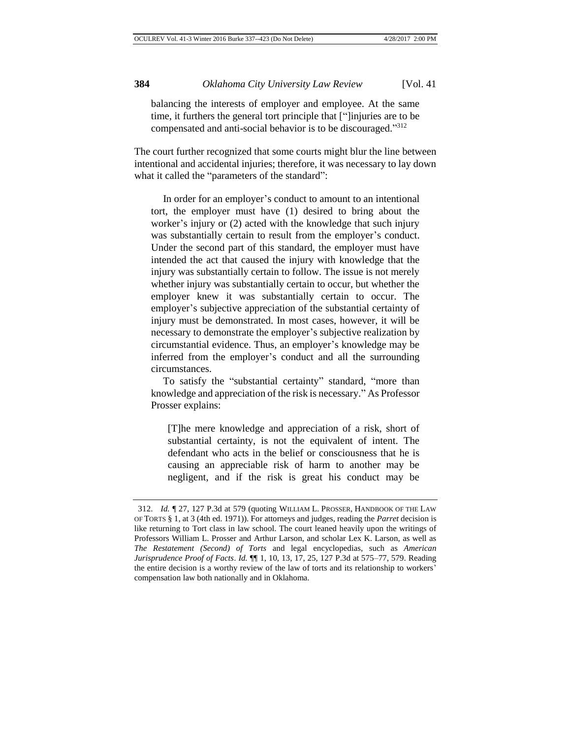balancing the interests of employer and employee. At the same time, it furthers the general tort principle that ["]injuries are to be compensated and anti-social behavior is to be discouraged." 312

The court further recognized that some courts might blur the line between intentional and accidental injuries; therefore, it was necessary to lay down what it called the "parameters of the standard":

In order for an employer's conduct to amount to an intentional tort, the employer must have (1) desired to bring about the worker's injury or (2) acted with the knowledge that such injury was substantially certain to result from the employer's conduct. Under the second part of this standard, the employer must have intended the act that caused the injury with knowledge that the injury was substantially certain to follow. The issue is not merely whether injury was substantially certain to occur, but whether the employer knew it was substantially certain to occur. The employer's subjective appreciation of the substantial certainty of injury must be demonstrated. In most cases, however, it will be necessary to demonstrate the employer's subjective realization by circumstantial evidence. Thus, an employer's knowledge may be inferred from the employer's conduct and all the surrounding circumstances.

To satisfy the "substantial certainty" standard, "more than knowledge and appreciation of the risk is necessary." As Professor Prosser explains:

[T]he mere knowledge and appreciation of a risk, short of substantial certainty, is not the equivalent of intent. The defendant who acts in the belief or consciousness that he is causing an appreciable risk of harm to another may be negligent, and if the risk is great his conduct may be

<sup>312.</sup> *Id.* ¶ 27, 127 P.3d at 579 (quoting WILLIAM L. PROSSER, HANDBOOK OF THE LAW OF TORTS § 1, at 3 (4th ed. 1971)). For attorneys and judges, reading the *Parret* decision is like returning to Tort class in law school. The court leaned heavily upon the writings of Professors William L. Prosser and Arthur Larson, and scholar Lex K. Larson, as well as *The Restatement (Second) of Torts* and legal encyclopedias, such as *American Jurisprudence Proof of Facts*. *Id.* ¶¶ 1, 10, 13, 17, 25, 127 P.3d at 575–77, 579. Reading the entire decision is a worthy review of the law of torts and its relationship to workers' compensation law both nationally and in Oklahoma.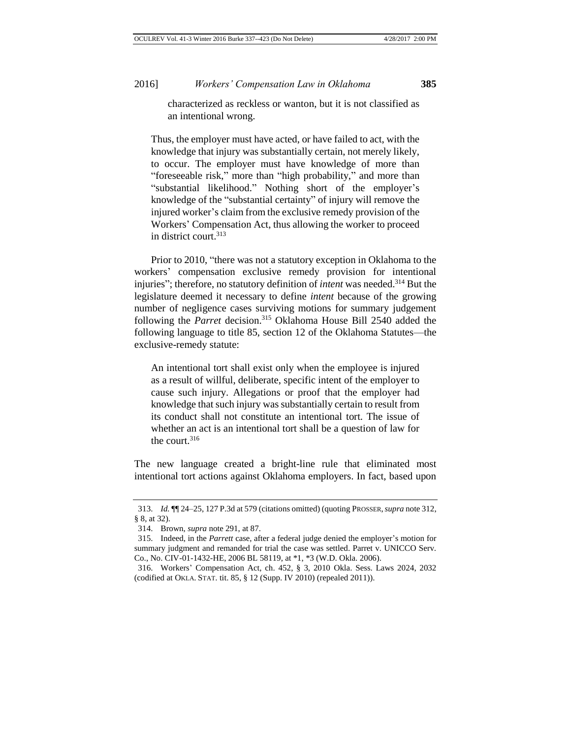characterized as reckless or wanton, but it is not classified as an intentional wrong.

Thus, the employer must have acted, or have failed to act, with the knowledge that injury was substantially certain, not merely likely, to occur. The employer must have knowledge of more than "foreseeable risk," more than "high probability," and more than "substantial likelihood." Nothing short of the employer's knowledge of the "substantial certainty" of injury will remove the injured worker's claim from the exclusive remedy provision of the Workers' Compensation Act, thus allowing the worker to proceed in district court.<sup>313</sup>

Prior to 2010, "there was not a statutory exception in Oklahoma to the workers' compensation exclusive remedy provision for intentional injuries"; therefore, no statutory definition of *intent* was needed.<sup>314</sup> But the legislature deemed it necessary to define *intent* because of the growing number of negligence cases surviving motions for summary judgement following the *Parret* decision.<sup>315</sup> Oklahoma House Bill 2540 added the following language to title 85, section 12 of the Oklahoma Statutes—the exclusive-remedy statute:

An intentional tort shall exist only when the employee is injured as a result of willful, deliberate, specific intent of the employer to cause such injury. Allegations or proof that the employer had knowledge that such injury was substantially certain to result from its conduct shall not constitute an intentional tort. The issue of whether an act is an intentional tort shall be a question of law for the court.<sup>316</sup>

The new language created a bright-line rule that eliminated most intentional tort actions against Oklahoma employers. In fact, based upon

<sup>313.</sup> *Id.* ¶¶ 24–25, 127 P.3d at 579 (citations omitted) (quoting PROSSER,*supra* note 312, § 8, at 32).

<sup>314.</sup> Brown, *supra* note 291, at 87.

<sup>315.</sup> Indeed, in the *Parrett* case, after a federal judge denied the employer's motion for summary judgment and remanded for trial the case was settled. Parret v. UNICCO Serv. Co., No. CIV-01-1432-HE, 2006 BL 58119, at \*1, \*3 (W.D. Okla. 2006).

<sup>316.</sup> Workers' Compensation Act, ch. 452, § 3, 2010 Okla. Sess. Laws 2024, 2032 (codified at OKLA. STAT. tit. 85, § 12 (Supp. IV 2010) (repealed 2011)).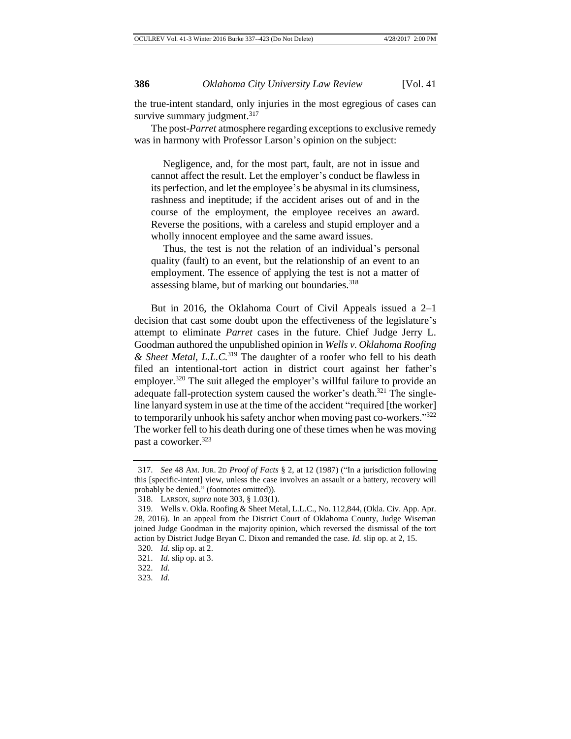the true-intent standard, only injuries in the most egregious of cases can survive summary judgment.<sup>317</sup>

The post-*Parret* atmosphere regarding exceptions to exclusive remedy was in harmony with Professor Larson's opinion on the subject:

Negligence, and, for the most part, fault, are not in issue and cannot affect the result. Let the employer's conduct be flawless in its perfection, and let the employee's be abysmal in its clumsiness, rashness and ineptitude; if the accident arises out of and in the course of the employment, the employee receives an award. Reverse the positions, with a careless and stupid employer and a wholly innocent employee and the same award issues.

Thus, the test is not the relation of an individual's personal quality (fault) to an event, but the relationship of an event to an employment. The essence of applying the test is not a matter of assessing blame, but of marking out boundaries.<sup>318</sup>

But in 2016, the Oklahoma Court of Civil Appeals issued a 2–1 decision that cast some doubt upon the effectiveness of the legislature's attempt to eliminate *Parret* cases in the future. Chief Judge Jerry L. Goodman authored the unpublished opinion in *Wells v. Oklahoma Roofing & Sheet Metal, L.L.C.* <sup>319</sup> The daughter of a roofer who fell to his death filed an intentional-tort action in district court against her father's employer.<sup>320</sup> The suit alleged the employer's willful failure to provide an adequate fall-protection system caused the worker's death.<sup>321</sup> The singleline lanyard system in use at the time of the accident "required [the worker] to temporarily unhook his safety anchor when moving past co-workers."<sup>322</sup> The worker fell to his death during one of these times when he was moving past a coworker.<sup>323</sup>

<sup>317.</sup> *See* 48 AM. JUR. 2D *Proof of Facts* § 2, at 12 (1987) ("In a jurisdiction following this [specific-intent] view, unless the case involves an assault or a battery, recovery will probably be denied." (footnotes omitted)).

<sup>318.</sup> LARSON, *supra* note 303, § 1.03(1).

<sup>319.</sup> Wells v. Okla. Roofing & Sheet Metal, L.L.C., No. 112,844, (Okla. Civ. App. Apr. 28, 2016). In an appeal from the District Court of Oklahoma County, Judge Wiseman joined Judge Goodman in the majority opinion, which reversed the dismissal of the tort action by District Judge Bryan C. Dixon and remanded the case. *Id.* slip op. at 2, 15.

<sup>320.</sup> *Id.* slip op. at 2.

<sup>321.</sup> *Id.* slip op. at 3.

<sup>322.</sup> *Id.*

<sup>323.</sup> *Id.*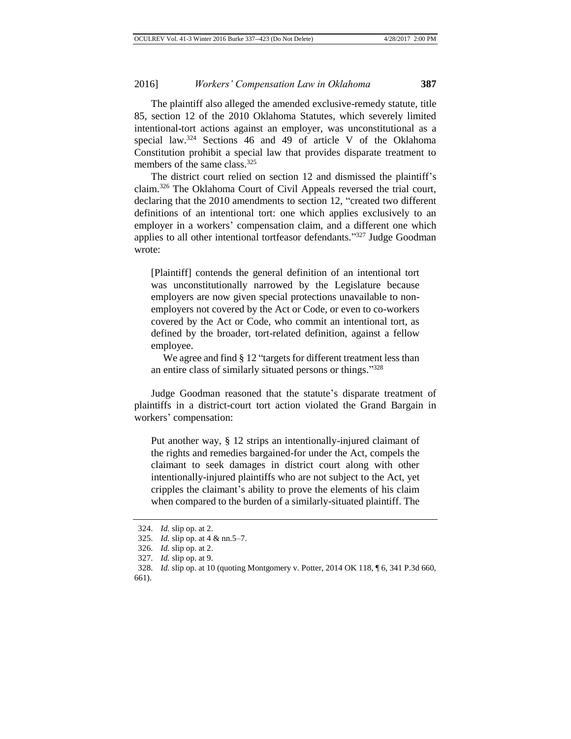The plaintiff also alleged the amended exclusive-remedy statute, title 85, section 12 of the 2010 Oklahoma Statutes, which severely limited intentional-tort actions against an employer, was unconstitutional as a special law.<sup>324</sup> Sections 46 and 49 of article V of the Oklahoma Constitution prohibit a special law that provides disparate treatment to members of the same class.<sup>325</sup>

The district court relied on section 12 and dismissed the plaintiff's claim.<sup>326</sup> The Oklahoma Court of Civil Appeals reversed the trial court, declaring that the 2010 amendments to section 12, "created two different definitions of an intentional tort: one which applies exclusively to an employer in a workers' compensation claim, and a different one which applies to all other intentional tortfeasor defendants."<sup>327</sup> Judge Goodman wrote:

[Plaintiff] contends the general definition of an intentional tort was unconstitutionally narrowed by the Legislature because employers are now given special protections unavailable to nonemployers not covered by the Act or Code, or even to co-workers covered by the Act or Code, who commit an intentional tort, as defined by the broader, tort-related definition, against a fellow employee.

We agree and find § 12 "targets for different treatment less than an entire class of similarly situated persons or things."328

Judge Goodman reasoned that the statute's disparate treatment of plaintiffs in a district-court tort action violated the Grand Bargain in workers' compensation:

Put another way, § 12 strips an intentionally-injured claimant of the rights and remedies bargained-for under the Act, compels the claimant to seek damages in district court along with other intentionally-injured plaintiffs who are not subject to the Act, yet cripples the claimant's ability to prove the elements of his claim when compared to the burden of a similarly-situated plaintiff. The

<sup>324.</sup> *Id.* slip op. at 2.

<sup>325.</sup> *Id.* slip op. at 4 & nn.5–7.

<sup>326.</sup> *Id.* slip op. at 2.

<sup>327.</sup> *Id.* slip op. at 9.

<sup>328.</sup> *Id.* slip op. at 10 (quoting Montgomery v. Potter, 2014 OK 118, ¶ 6, 341 P.3d 660, 661).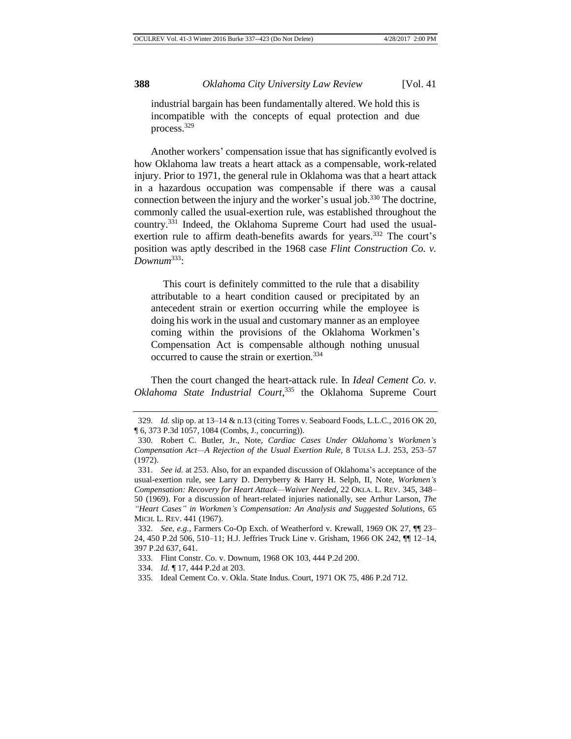industrial bargain has been fundamentally altered. We hold this is incompatible with the concepts of equal protection and due process.<sup>329</sup>

Another workers' compensation issue that has significantly evolved is how Oklahoma law treats a heart attack as a compensable, work-related injury. Prior to 1971, the general rule in Oklahoma was that a heart attack in a hazardous occupation was compensable if there was a causal connection between the injury and the worker's usual job.<sup>330</sup> The doctrine, commonly called the usual-exertion rule, was established throughout the country.<sup>331</sup> Indeed, the Oklahoma Supreme Court had used the usualexertion rule to affirm death-benefits awards for years.<sup>332</sup> The court's position was aptly described in the 1968 case *Flint Construction Co. v. Downum*<sup>333</sup>:

This court is definitely committed to the rule that a disability attributable to a heart condition caused or precipitated by an antecedent strain or exertion occurring while the employee is doing his work in the usual and customary manner as an employee coming within the provisions of the Oklahoma Workmen's Compensation Act is compensable although nothing unusual occurred to cause the strain or exertion.<sup>334</sup>

Then the court changed the heart-attack rule. In *Ideal Cement Co. v. Oklahoma State Industrial Court*, <sup>335</sup> the Oklahoma Supreme Court

<sup>329.</sup> *Id.* slip op. at 13–14 & n.13 (citing Torres v. Seaboard Foods, L.L.C., 2016 OK 20, ¶ 6, 373 P.3d 1057, 1084 (Combs, J., concurring)).

<sup>330.</sup> Robert C. Butler, Jr., Note, *Cardiac Cases Under Oklahoma's Workmen's Compensation Act—A Rejection of the Usual Exertion Rule*, 8 TULSA L.J. 253, 253–57 (1972).

<sup>331.</sup> *See id.* at 253. Also, for an expanded discussion of Oklahoma's acceptance of the usual-exertion rule, see Larry D. Derryberry & Harry H. Selph, II, Note, *Workmen's Compensation: Recovery for Heart Attack—Waiver Needed*, 22 OKLA. L. REV. 345, 348– 50 (1969). For a discussion of heart-related injuries nationally, see Arthur Larson, *The "Heart Cases" in Workmen's Compensation: An Analysis and Suggested Solutions*, 65 MICH. L. REV. 441 (1967).

<sup>332.</sup> *See, e.g.*, Farmers Co-Op Exch. of Weatherford v. Krewall, 1969 OK 27, ¶¶ 23– 24, 450 P.2d 506, 510–11; H.J. Jeffries Truck Line v. Grisham, 1966 OK 242, ¶¶ 12–14, 397 P.2d 637, 641.

<sup>333.</sup> Flint Constr. Co. v. Downum, 1968 OK 103, 444 P.2d 200.

<sup>334.</sup> *Id.* ¶ 17, 444 P.2d at 203.

<sup>335.</sup> Ideal Cement Co. v. Okla. State Indus. Court, 1971 OK 75, 486 P.2d 712.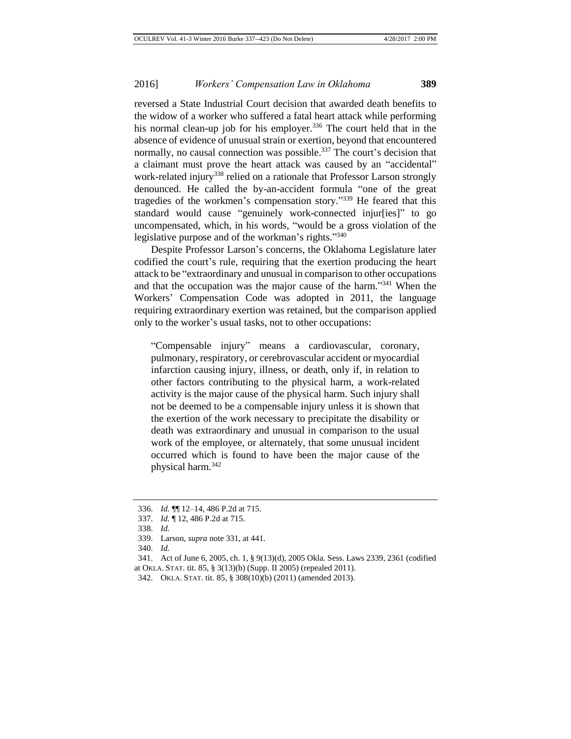reversed a State Industrial Court decision that awarded death benefits to the widow of a worker who suffered a fatal heart attack while performing his normal clean-up job for his employer.<sup>336</sup> The court held that in the absence of evidence of unusual strain or exertion, beyond that encountered normally, no causal connection was possible.<sup>337</sup> The court's decision that a claimant must prove the heart attack was caused by an "accidental" work-related injury<sup>338</sup> relied on a rationale that Professor Larson strongly denounced. He called the by-an-accident formula "one of the great tragedies of the workmen's compensation story." <sup>339</sup> He feared that this standard would cause "genuinely work-connected injur[ies]" to go uncompensated, which, in his words, "would be a gross violation of the legislative purpose and of the workman's rights."340

Despite Professor Larson's concerns, the Oklahoma Legislature later codified the court's rule, requiring that the exertion producing the heart attack to be "extraordinary and unusual in comparison to other occupations and that the occupation was the major cause of the harm."<sup>341</sup> When the Workers' Compensation Code was adopted in 2011, the language requiring extraordinary exertion was retained, but the comparison applied only to the worker's usual tasks, not to other occupations:

"Compensable injury" means a cardiovascular, coronary, pulmonary, respiratory, or cerebrovascular accident or myocardial infarction causing injury, illness, or death, only if, in relation to other factors contributing to the physical harm, a work-related activity is the major cause of the physical harm. Such injury shall not be deemed to be a compensable injury unless it is shown that the exertion of the work necessary to precipitate the disability or death was extraordinary and unusual in comparison to the usual work of the employee, or alternately, that some unusual incident occurred which is found to have been the major cause of the physical harm.<sup>342</sup>

<sup>336.</sup> *Id.* ¶¶ 12–14, 486 P.2d at 715.

<sup>337.</sup> *Id.* ¶ 12, 486 P.2d at 715.

<sup>338.</sup> *Id.*

<sup>339.</sup> Larson, *supra* note 331, at 441.

<sup>340.</sup> *Id.*

<sup>341.</sup> Act of June 6, 2005, ch. 1, § 9(13)(d), 2005 Okla. Sess. Laws 2339, 2361 (codified at OKLA. STAT. tit. 85, § 3(13)(b) (Supp. II 2005) (repealed 2011).

<sup>342.</sup> OKLA. STAT. tit. 85, § 308(10)(b) (2011) (amended 2013).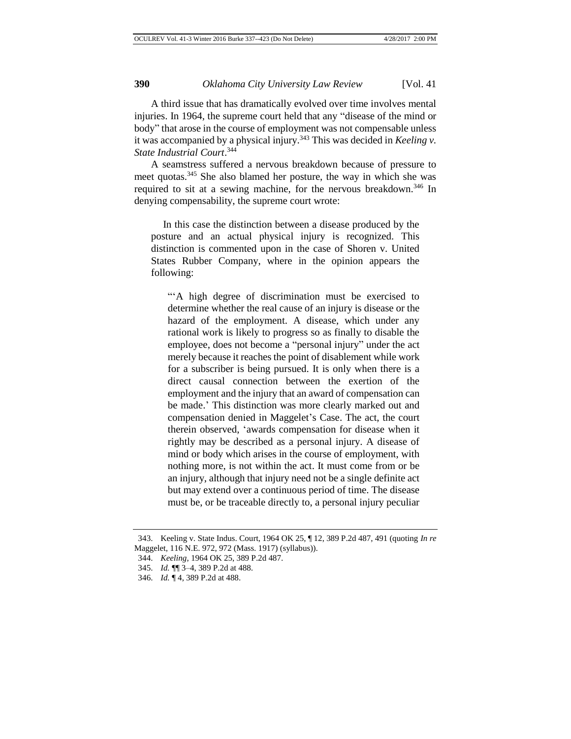A third issue that has dramatically evolved over time involves mental injuries. In 1964, the supreme court held that any "disease of the mind or body" that arose in the course of employment was not compensable unless it was accompanied by a physical injury.<sup>343</sup> This was decided in *Keeling v*. *State Industrial Court*. 344

A seamstress suffered a nervous breakdown because of pressure to meet quotas.<sup>345</sup> She also blamed her posture, the way in which she was required to sit at a sewing machine, for the nervous breakdown.<sup>346</sup> In denying compensability, the supreme court wrote:

In this case the distinction between a disease produced by the posture and an actual physical injury is recognized. This distinction is commented upon in the case of Shoren v. United States Rubber Company, where in the opinion appears the following:

"'A high degree of discrimination must be exercised to determine whether the real cause of an injury is disease or the hazard of the employment. A disease, which under any rational work is likely to progress so as finally to disable the employee, does not become a "personal injury" under the act merely because it reaches the point of disablement while work for a subscriber is being pursued. It is only when there is a direct causal connection between the exertion of the employment and the injury that an award of compensation can be made.' This distinction was more clearly marked out and compensation denied in Maggelet's Case. The act, the court therein observed, 'awards compensation for disease when it rightly may be described as a personal injury. A disease of mind or body which arises in the course of employment, with nothing more, is not within the act. It must come from or be an injury, although that injury need not be a single definite act but may extend over a continuous period of time. The disease must be, or be traceable directly to, a personal injury peculiar

<sup>343.</sup> Keeling v. State Indus. Court, 1964 OK 25, ¶ 12, 389 P.2d 487, 491 (quoting *In re* Maggelet, 116 N.E. 972, 972 (Mass. 1917) (syllabus)).

<sup>344.</sup> *Keeling*, 1964 OK 25, 389 P.2d 487.

<sup>345.</sup> *Id.* ¶¶ 3–4, 389 P.2d at 488.

<sup>346.</sup> *Id.* ¶ 4, 389 P.2d at 488.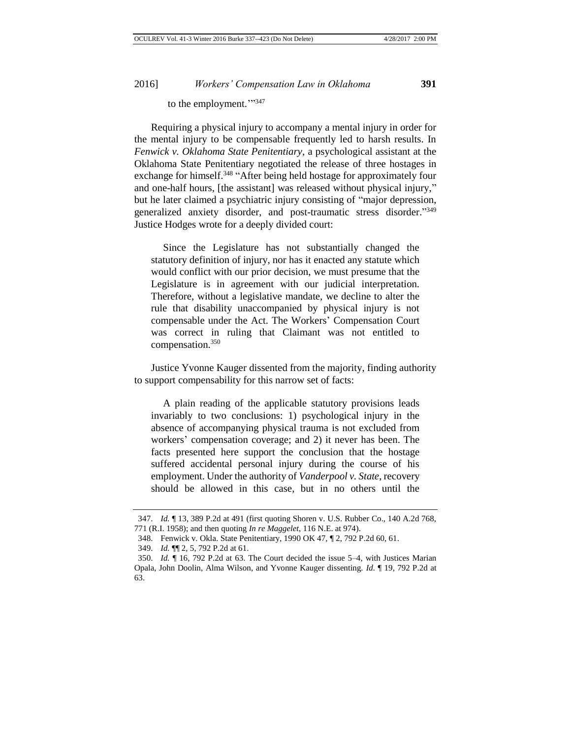to the employment.""347

Requiring a physical injury to accompany a mental injury in order for the mental injury to be compensable frequently led to harsh results. In *Fenwick v. Oklahoma State Penitentiary*, a psychological assistant at the Oklahoma State Penitentiary negotiated the release of three hostages in exchange for himself.<sup>348</sup> "After being held hostage for approximately four and one-half hours, [the assistant] was released without physical injury," but he later claimed a psychiatric injury consisting of "major depression, generalized anxiety disorder, and post-traumatic stress disorder."349 Justice Hodges wrote for a deeply divided court:

Since the Legislature has not substantially changed the statutory definition of injury, nor has it enacted any statute which would conflict with our prior decision, we must presume that the Legislature is in agreement with our judicial interpretation. Therefore, without a legislative mandate, we decline to alter the rule that disability unaccompanied by physical injury is not compensable under the Act. The Workers' Compensation Court was correct in ruling that Claimant was not entitled to compensation.<sup>350</sup>

Justice Yvonne Kauger dissented from the majority, finding authority to support compensability for this narrow set of facts:

A plain reading of the applicable statutory provisions leads invariably to two conclusions: 1) psychological injury in the absence of accompanying physical trauma is not excluded from workers' compensation coverage; and 2) it never has been. The facts presented here support the conclusion that the hostage suffered accidental personal injury during the course of his employment. Under the authority of *Vanderpool v. State*, recovery should be allowed in this case, but in no others until the

<sup>347.</sup> *Id.* ¶ 13, 389 P.2d at 491 (first quoting Shoren v. U.S. Rubber Co., 140 A.2d 768, 771 (R.I. 1958); and then quoting *In re Maggelet*, 116 N.E. at 974).

<sup>348.</sup> Fenwick v. Okla. State Penitentiary, 1990 OK 47, ¶ 2, 792 P.2d 60, 61.

<sup>349.</sup> *Id.* ¶¶ 2, 5, 792 P.2d at 61.

<sup>350.</sup> *Id.* ¶ 16, 792 P.2d at 63. The Court decided the issue 5–4, with Justices Marian Opala, John Doolin, Alma Wilson, and Yvonne Kauger dissenting. *Id.* ¶ 19, 792 P.2d at 63.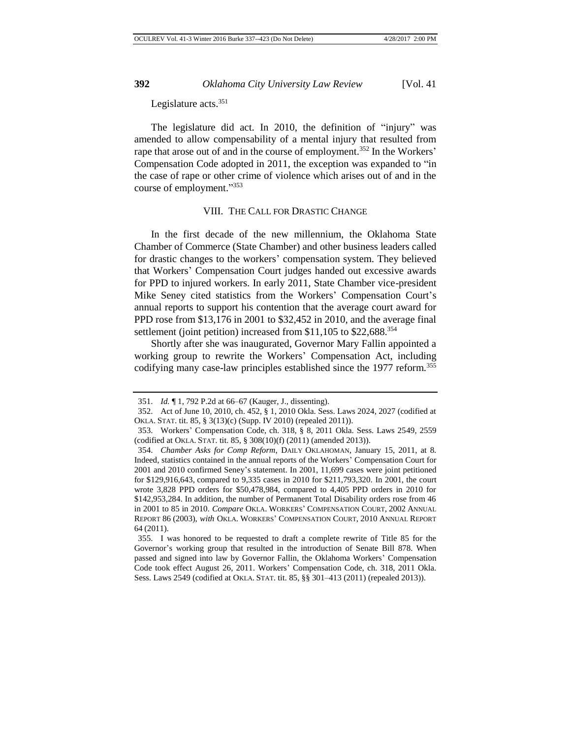Legislature acts.<sup>351</sup>

The legislature did act. In 2010, the definition of "injury" was amended to allow compensability of a mental injury that resulted from rape that arose out of and in the course of employment.<sup>352</sup> In the Workers' Compensation Code adopted in 2011, the exception was expanded to "in the case of rape or other crime of violence which arises out of and in the course of employment." 353

#### VIII. THE CALL FOR DRASTIC CHANGE

In the first decade of the new millennium, the Oklahoma State Chamber of Commerce (State Chamber) and other business leaders called for drastic changes to the workers' compensation system. They believed that Workers' Compensation Court judges handed out excessive awards for PPD to injured workers. In early 2011, State Chamber vice-president Mike Seney cited statistics from the Workers' Compensation Court's annual reports to support his contention that the average court award for PPD rose from \$13,176 in 2001 to \$32,452 in 2010, and the average final settlement (joint petition) increased from  $$11,105$  to  $$22,688<sup>354</sup>$ 

Shortly after she was inaugurated, Governor Mary Fallin appointed a working group to rewrite the Workers' Compensation Act, including codifying many case-law principles established since the 1977 reform.<sup>355</sup>

<sup>351.</sup> *Id.* ¶ 1, 792 P.2d at 66–67 (Kauger, J., dissenting).

<sup>352.</sup> Act of June 10, 2010, ch. 452, § 1, 2010 Okla. Sess. Laws 2024, 2027 (codified at OKLA. STAT. tit. 85, § 3(13)(c) (Supp. IV 2010) (repealed 2011)).

<sup>353.</sup> Workers' Compensation Code, ch. 318, § 8, 2011 Okla. Sess. Laws 2549, 2559 (codified at OKLA. STAT. tit. 85, § 308(10)(f) (2011) (amended 2013)).

<sup>354.</sup> *Chamber Asks for Comp Reform*, DAILY OKLAHOMAN, January 15, 2011, at 8. Indeed, statistics contained in the annual reports of the Workers' Compensation Court for 2001 and 2010 confirmed Seney's statement. In 2001, 11,699 cases were joint petitioned for \$129,916,643, compared to 9,335 cases in 2010 for \$211,793,320. In 2001, the court wrote 3,828 PPD orders for \$50,478,984, compared to 4,405 PPD orders in 2010 for \$142,953,284. In addition, the number of Permanent Total Disability orders rose from 46 in 2001 to 85 in 2010. *Compare* OKLA. WORKERS' COMPENSATION COURT, 2002 ANNUAL REPORT 86 (2003), *with* OKLA. WORKERS' COMPENSATION COURT, 2010 ANNUAL REPORT 64 (2011).

<sup>355.</sup> I was honored to be requested to draft a complete rewrite of Title 85 for the Governor's working group that resulted in the introduction of Senate Bill 878. When passed and signed into law by Governor Fallin, the Oklahoma Workers' Compensation Code took effect August 26, 2011. Workers' Compensation Code, ch. 318, 2011 Okla. Sess. Laws 2549 (codified at OKLA. STAT. tit. 85, §§ 301–413 (2011) (repealed 2013)).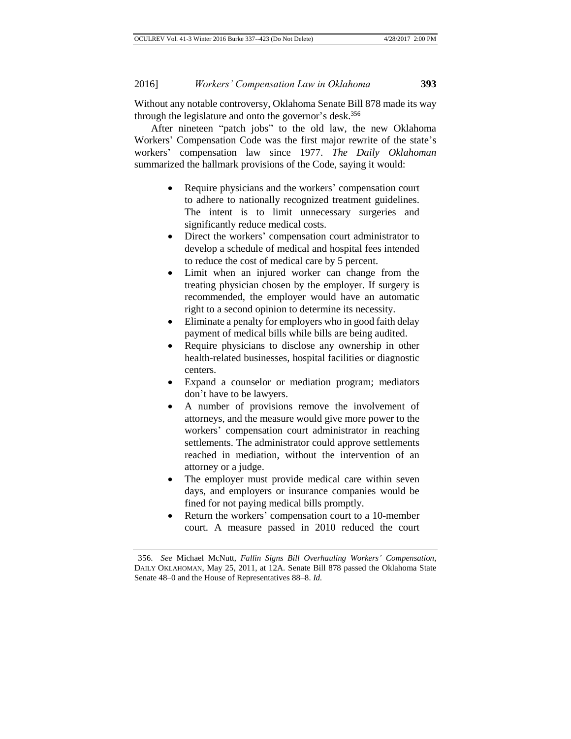Without any notable controversy, Oklahoma Senate Bill 878 made its way through the legislature and onto the governor's desk.<sup>356</sup>

After nineteen "patch jobs" to the old law, the new Oklahoma Workers' Compensation Code was the first major rewrite of the state's workers' compensation law since 1977. *The Daily Oklahoman* summarized the hallmark provisions of the Code, saying it would:

- Require physicians and the workers' compensation court to adhere to nationally recognized treatment guidelines. The intent is to limit unnecessary surgeries and significantly reduce medical costs.
- Direct the workers' compensation court administrator to develop a schedule of medical and hospital fees intended to reduce the cost of medical care by 5 percent.
- Limit when an injured worker can change from the treating physician chosen by the employer. If surgery is recommended, the employer would have an automatic right to a second opinion to determine its necessity.
- Eliminate a penalty for employers who in good faith delay payment of medical bills while bills are being audited.
- Require physicians to disclose any ownership in other health-related businesses, hospital facilities or diagnostic centers.
- Expand a counselor or mediation program; mediators don't have to be lawyers.
- A number of provisions remove the involvement of attorneys, and the measure would give more power to the workers' compensation court administrator in reaching settlements. The administrator could approve settlements reached in mediation, without the intervention of an attorney or a judge.
- The employer must provide medical care within seven days, and employers or insurance companies would be fined for not paying medical bills promptly.
- Return the workers' compensation court to a 10-member court. A measure passed in 2010 reduced the court

<sup>356.</sup> *See* Michael McNutt, *Fallin Signs Bill Overhauling Workers' Compensation*, DAILY OKLAHOMAN, May 25, 2011, at 12A. Senate Bill 878 passed the Oklahoma State Senate 48–0 and the House of Representatives 88–8. *Id.*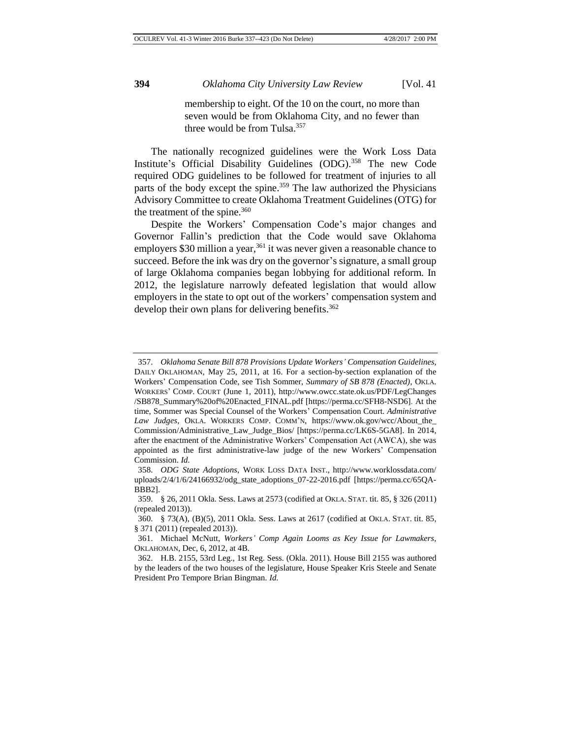membership to eight. Of the 10 on the court, no more than seven would be from Oklahoma City, and no fewer than three would be from Tulsa.<sup>357</sup>

The nationally recognized guidelines were the Work Loss Data Institute's Official Disability Guidelines (ODG).<sup>358</sup> The new Code required ODG guidelines to be followed for treatment of injuries to all parts of the body except the spine.<sup>359</sup> The law authorized the Physicians Advisory Committee to create Oklahoma Treatment Guidelines (OTG) for the treatment of the spine. $360$ 

Despite the Workers' Compensation Code's major changes and Governor Fallin's prediction that the Code would save Oklahoma employers \$30 million a year,  $361$  it was never given a reasonable chance to succeed. Before the ink was dry on the governor's signature, a small group of large Oklahoma companies began lobbying for additional reform. In 2012, the legislature narrowly defeated legislation that would allow employers in the state to opt out of the workers' compensation system and develop their own plans for delivering benefits.<sup>362</sup>

<sup>357.</sup> *Oklahoma Senate Bill 878 Provisions Update Workers' Compensation Guidelines*, DAILY OKLAHOMAN, May 25, 2011, at 16. For a section-by-section explanation of the Workers' Compensation Code, see Tish Sommer, *Summary of SB 878 (Enacted)*, OKLA. WORKERS' COMP. COURT (June 1, 2011), http://www.owcc.state.ok.us/PDF/LegChanges /SB878\_Summary%20of%20Enacted\_FINAL.pdf [https://perma.cc/SFH8-NSD6]. At the time, Sommer was Special Counsel of the Workers' Compensation Court. *Administrative Law Judges*, OKLA. WORKERS COMP. COMM'N, https://www.ok.gov/wcc/About\_the\_ Commission/Administrative\_Law\_Judge\_Bios/ [https://perma.cc/LK6S-5GA8]. In 2014, after the enactment of the Administrative Workers' Compensation Act (AWCA), she was appointed as the first administrative-law judge of the new Workers' Compensation Commission. *Id.*

<sup>358.</sup> *ODG State Adoptions*, WORK LOSS DATA INST., http://www.worklossdata.com/ uploads/2/4/1/6/24166932/odg\_state\_adoptions\_07-22-2016.pdf [https://perma.cc/65QA-BBB2].

<sup>359.</sup> § 26, 2011 Okla. Sess. Laws at 2573 (codified at OKLA. STAT. tit. 85, § 326 (2011) (repealed 2013)).

<sup>360.</sup> § 73(A), (B)(5), 2011 Okla. Sess. Laws at 2617 (codified at OKLA. STAT. tit. 85, § 371 (2011) (repealed 2013)).

<sup>361.</sup> Michael McNutt, *Workers' Comp Again Looms as Key Issue for Lawmakers*, OKLAHOMAN, Dec, 6, 2012, at 4B.

<sup>362.</sup> H.B. 2155, 53rd Leg., 1st Reg. Sess. (Okla. 2011). House Bill 2155 was authored by the leaders of the two houses of the legislature, House Speaker Kris Steele and Senate President Pro Tempore Brian Bingman. *Id.*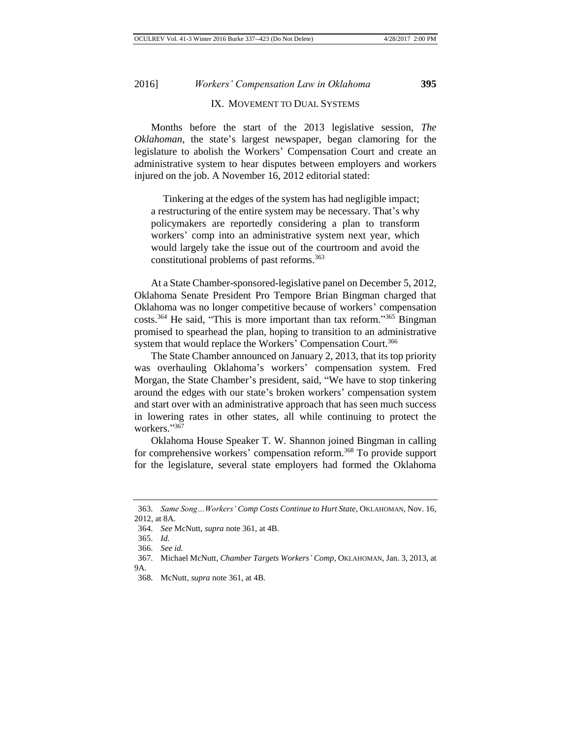## IX. MOVEMENT TO DUAL SYSTEMS

Months before the start of the 2013 legislative session, *The Oklahoman*, the state's largest newspaper, began clamoring for the legislature to abolish the Workers' Compensation Court and create an administrative system to hear disputes between employers and workers injured on the job. A November 16, 2012 editorial stated:

Tinkering at the edges of the system has had negligible impact; a restructuring of the entire system may be necessary. That's why policymakers are reportedly considering a plan to transform workers' comp into an administrative system next year, which would largely take the issue out of the courtroom and avoid the constitutional problems of past reforms.<sup>363</sup>

At a State Chamber-sponsored-legislative panel on December 5, 2012, Oklahoma Senate President Pro Tempore Brian Bingman charged that Oklahoma was no longer competitive because of workers' compensation costs.<sup>364</sup> He said, "This is more important than tax reform."<sup>365</sup> Bingman promised to spearhead the plan, hoping to transition to an administrative system that would replace the Workers' Compensation Court.<sup>366</sup>

The State Chamber announced on January 2, 2013, that its top priority was overhauling Oklahoma's workers' compensation system. Fred Morgan, the State Chamber's president, said, "We have to stop tinkering around the edges with our state's broken workers' compensation system and start over with an administrative approach that has seen much success in lowering rates in other states, all while continuing to protect the workers." 367

Oklahoma House Speaker T. W. Shannon joined Bingman in calling for comprehensive workers' compensation reform.<sup>368</sup> To provide support for the legislature, several state employers had formed the Oklahoma

<sup>363.</sup> *Same Song…Workers' Comp Costs Continue to Hurt State*, OKLAHOMAN, Nov. 16, 2012, at 8A.

<sup>364.</sup> *See* McNutt, *supra* note 361, at 4B.

<sup>365.</sup> *Id.*

<sup>366.</sup> *See id.*

<sup>367.</sup> Michael McNutt, *Chamber Targets Workers' Comp*, OKLAHOMAN, Jan. 3, 2013, at  $9A$ 

<sup>368.</sup> McNutt, *supra* note 361, at 4B.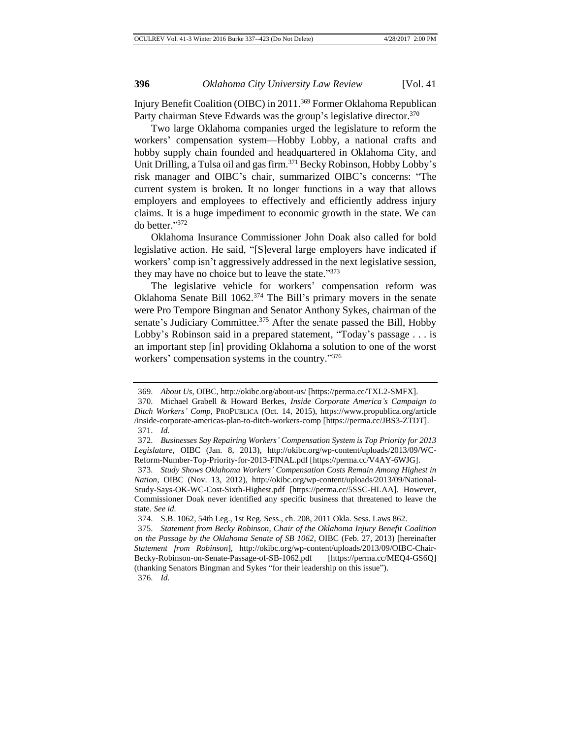Injury Benefit Coalition (OIBC) in 2011.<sup>369</sup> Former Oklahoma Republican Party chairman Steve Edwards was the group's legislative director.<sup>370</sup>

Two large Oklahoma companies urged the legislature to reform the workers' compensation system—Hobby Lobby, a national crafts and hobby supply chain founded and headquartered in Oklahoma City, and Unit Drilling, a Tulsa oil and gas firm.<sup>371</sup> Becky Robinson, Hobby Lobby's risk manager and OIBC's chair, summarized OIBC's concerns: "The current system is broken. It no longer functions in a way that allows employers and employees to effectively and efficiently address injury claims. It is a huge impediment to economic growth in the state. We can do better." 372

Oklahoma Insurance Commissioner John Doak also called for bold legislative action. He said, "[S]everal large employers have indicated if workers' comp isn't aggressively addressed in the next legislative session, they may have no choice but to leave the state."373

The legislative vehicle for workers' compensation reform was Oklahoma Senate Bill 1062.<sup>374</sup> The Bill's primary movers in the senate were Pro Tempore Bingman and Senator Anthony Sykes, chairman of the senate's Judiciary Committee.<sup>375</sup> After the senate passed the Bill, Hobby Lobby's Robinson said in a prepared statement, "Today's passage . . . is an important step [in] providing Oklahoma a solution to one of the worst workers' compensation systems in the country."376

<sup>369.</sup> *About Us*, OIBC, http://okibc.org/about-us/ [https://perma.cc/TXL2-SMFX].

<sup>370.</sup> Michael Grabell & Howard Berkes, *Inside Corporate America's Campaign to Ditch Workers' Comp*, PROPUBLICA (Oct. 14, 2015), https://www.propublica.org/article /inside-corporate-americas-plan-to-ditch-workers-comp [https://perma.cc/JBS3-ZTDT]. 371. *Id.*

<sup>372.</sup> *Businesses Say Repairing Workers' Compensation System is Top Priority for 2013 Legislature*, OIBC (Jan. 8, 2013), http://okibc.org/wp-content/uploads/2013/09/WC-Reform-Number-Top-Priority-for-2013-FINAL.pdf [https://perma.cc/V4AY-6WJG].

<sup>373.</sup> *Study Shows Oklahoma Workers' Compensation Costs Remain Among Highest in Nation*, OIBC (Nov. 13, 2012), http://okibc.org/wp-content/uploads/2013/09/National-Study-Says-OK-WC-Cost-Sixth-Highest.pdf [https://perma.cc/5SSC-HLAA]. However, Commissioner Doak never identified any specific business that threatened to leave the state. *See id.*

<sup>374.</sup> S.B. 1062, 54th Leg., 1st Reg. Sess., ch. 208, 2011 Okla. Sess. Laws 862.

<sup>375.</sup> *Statement from Becky Robinson, Chair of the Oklahoma Injury Benefit Coalition on the Passage by the Oklahoma Senate of SB 1062*, OIBC (Feb. 27, 2013) [hereinafter *Statement from Robinson*], http://okibc.org/wp-content/uploads/2013/09/OIBC-Chair-Becky-Robinson-on-Senate-Passage-of-SB-1062.pdf [https://perma.cc/MEQ4-GS6Q] (thanking Senators Bingman and Sykes "for their leadership on this issue").

<sup>376.</sup> *Id.*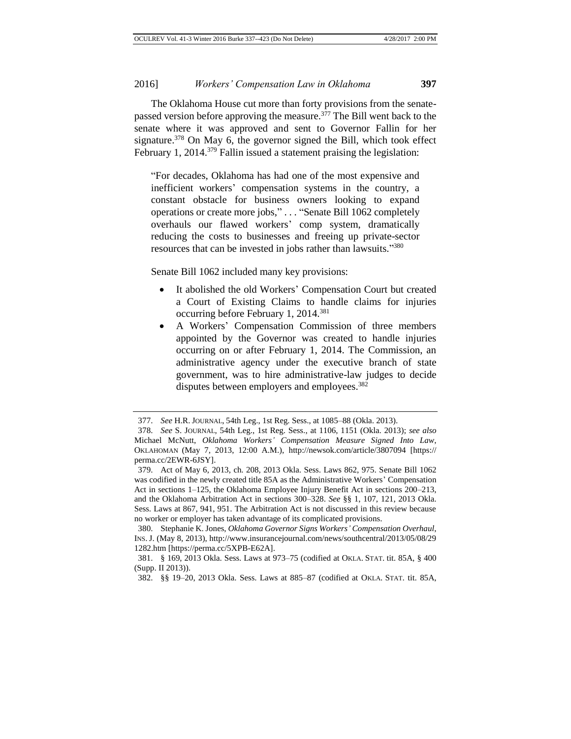The Oklahoma House cut more than forty provisions from the senatepassed version before approving the measure.<sup>377</sup> The Bill went back to the senate where it was approved and sent to Governor Fallin for her signature.<sup>378</sup> On May 6, the governor signed the Bill, which took effect February 1, 2014.<sup>379</sup> Fallin issued a statement praising the legislation:

"For decades, Oklahoma has had one of the most expensive and inefficient workers' compensation systems in the country, a constant obstacle for business owners looking to expand operations or create more jobs," . . . "Senate Bill 1062 completely overhauls our flawed workers' comp system, dramatically reducing the costs to businesses and freeing up private-sector resources that can be invested in jobs rather than lawsuits."<sup>380</sup>

Senate Bill 1062 included many key provisions:

- It abolished the old Workers' Compensation Court but created a Court of Existing Claims to handle claims for injuries occurring before February 1, 2014.<sup>381</sup>
- A Workers' Compensation Commission of three members appointed by the Governor was created to handle injuries occurring on or after February 1, 2014. The Commission, an administrative agency under the executive branch of state government, was to hire administrative-law judges to decide disputes between employers and employees.<sup>382</sup>

<sup>377.</sup> *See* H.R. JOURNAL, 54th Leg., 1st Reg. Sess., at 1085–88 (Okla. 2013).

<sup>378.</sup> *See* S. JOURNAL, 54th Leg., 1st Reg. Sess., at 1106, 1151 (Okla. 2013); *see also* Michael McNutt, *Oklahoma Workers' Compensation Measure Signed Into Law*, OKLAHOMAN (May 7, 2013, 12:00 A.M.), http://newsok.com/article/3807094 [https:// perma.cc/2EWR-6JSY].

<sup>379.</sup> Act of May 6, 2013, ch. 208, 2013 Okla. Sess. Laws 862, 975. Senate Bill 1062 was codified in the newly created title 85A as the Administrative Workers' Compensation Act in sections 1–125, the Oklahoma Employee Injury Benefit Act in sections 200–213, and the Oklahoma Arbitration Act in sections 300–328. *See* §§ 1, 107, 121, 2013 Okla. Sess. Laws at 867, 941, 951. The Arbitration Act is not discussed in this review because no worker or employer has taken advantage of its complicated provisions.

<sup>380.</sup> Stephanie K. Jones, *Oklahoma Governor Signs Workers' Compensation Overhaul*, INS. J. (May 8, 2013), http://www.insurancejournal.com/news/southcentral/2013/05/08/29 1282.htm [https://perma.cc/5XPB-E62A].

<sup>381.</sup> § 169, 2013 Okla. Sess. Laws at 973–75 (codified at OKLA. STAT. tit. 85A, § 400 (Supp. II 2013)).

<sup>382.</sup> §§ 19–20, 2013 Okla. Sess. Laws at 885–87 (codified at OKLA. STAT. tit. 85A,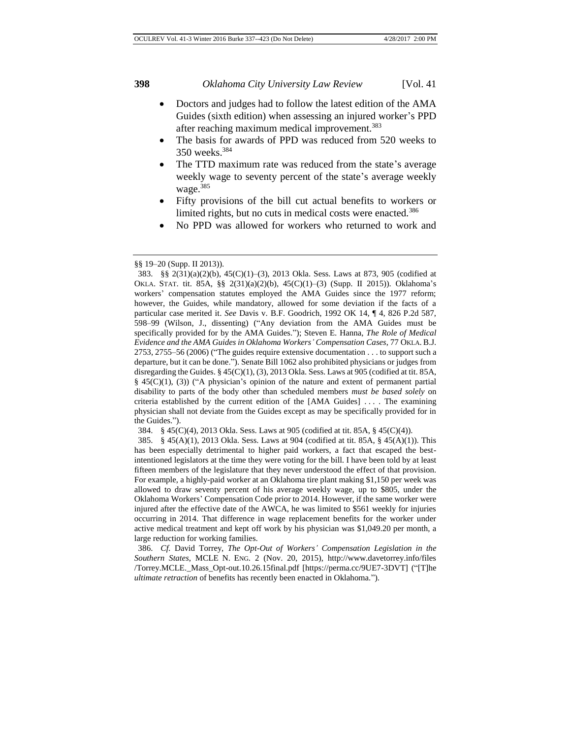- Doctors and judges had to follow the latest edition of the AMA Guides (sixth edition) when assessing an injured worker's PPD after reaching maximum medical improvement.<sup>383</sup>
- The basis for awards of PPD was reduced from 520 weeks to 350 weeks.<sup>384</sup>
- The TTD maximum rate was reduced from the state's average weekly wage to seventy percent of the state's average weekly wage.<sup>385</sup>
- Fifty provisions of the bill cut actual benefits to workers or limited rights, but no cuts in medical costs were enacted.<sup>386</sup>
- No PPD was allowed for workers who returned to work and

<sup>§§</sup> 19–20 (Supp. II 2013)).

<sup>383.</sup> §§ 2(31)(a)(2)(b), 45(C)(1)–(3), 2013 Okla. Sess. Laws at 873, 905 (codified at OKLA. STAT. tit. 85A, §§ 2(31)(a)(2)(b), 45(C)(1)–(3) (Supp. II 2015)). Oklahoma's workers' compensation statutes employed the AMA Guides since the 1977 reform; however, the Guides, while mandatory, allowed for some deviation if the facts of a particular case merited it. *See* Davis v. B.F. Goodrich, 1992 OK 14, ¶ 4, 826 P.2d 587, 598–99 (Wilson, J., dissenting) ("Any deviation from the AMA Guides must be specifically provided for by the AMA Guides."); Steven E. Hanna, *The Role of Medical Evidence and the AMA Guides in Oklahoma Workers' Compensation Cases*, 77 OKLA. B.J. 2753, 2755–56 (2006) ("The guides require extensive documentation . . . to support such a departure, but it can be done."). Senate Bill 1062 also prohibited physicians or judges from disregarding the Guides.  $\S 45(C)(1)$ , (3), 2013 Okla. Sess. Laws at 905 (codified at tit. 85A, § 45(C)(1), (3)) ("A physician's opinion of the nature and extent of permanent partial disability to parts of the body other than scheduled members *must be based solely* on criteria established by the current edition of the [AMA Guides] . . . . The examining physician shall not deviate from the Guides except as may be specifically provided for in the Guides.").

<sup>384.</sup> § 45(C)(4), 2013 Okla. Sess. Laws at 905 (codified at tit. 85A, § 45(C)(4)).

<sup>385.</sup> § 45(A)(1), 2013 Okla. Sess. Laws at 904 (codified at tit. 85A, § 45(A)(1)). This has been especially detrimental to higher paid workers, a fact that escaped the bestintentioned legislators at the time they were voting for the bill. I have been told by at least fifteen members of the legislature that they never understood the effect of that provision. For example, a highly-paid worker at an Oklahoma tire plant making \$1,150 per week was allowed to draw seventy percent of his average weekly wage, up to \$805, under the Oklahoma Workers' Compensation Code prior to 2014. However, if the same worker were injured after the effective date of the AWCA, he was limited to \$561 weekly for injuries occurring in 2014. That difference in wage replacement benefits for the worker under active medical treatment and kept off work by his physician was \$1,049.20 per month, a large reduction for working families.

<sup>386.</sup> *Cf.* David Torrey, *The Opt-Out of Workers' Compensation Legislation in the Southern States*, MCLE N. ENG. 2 (Nov. 20, 2015), http://www.davetorrey.info/files /Torrey.MCLE.\_Mass\_Opt-out.10.26.15final.pdf [https://perma.cc/9UE7-3DVT] ("[T]he *ultimate retraction* of benefits has recently been enacted in Oklahoma.").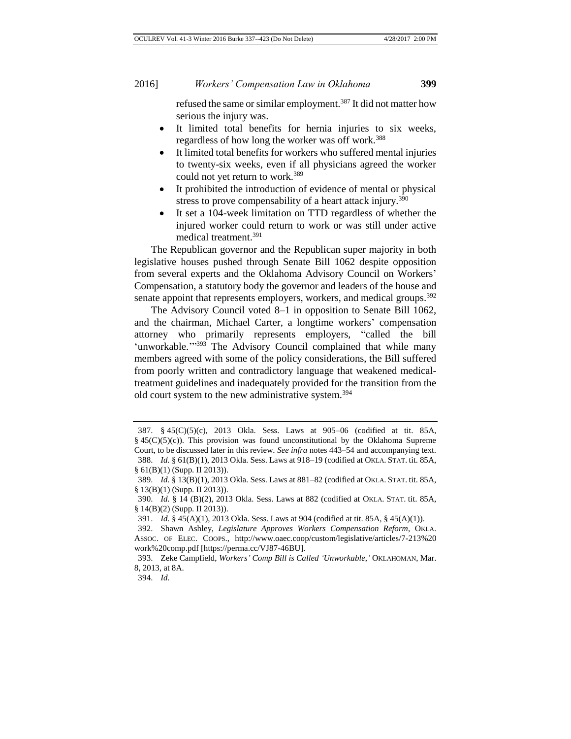refused the same or similar employment.<sup>387</sup> It did not matter how serious the injury was.

- It limited total benefits for hernia injuries to six weeks, regardless of how long the worker was off work.<sup>388</sup>
- It limited total benefits for workers who suffered mental injuries to twenty-six weeks, even if all physicians agreed the worker could not yet return to work.<sup>389</sup>
- It prohibited the introduction of evidence of mental or physical stress to prove compensability of a heart attack injury.<sup>390</sup>
- It set a 104-week limitation on TTD regardless of whether the injured worker could return to work or was still under active medical treatment.<sup>391</sup>

The Republican governor and the Republican super majority in both legislative houses pushed through Senate Bill 1062 despite opposition from several experts and the Oklahoma Advisory Council on Workers' Compensation, a statutory body the governor and leaders of the house and senate appoint that represents employers, workers, and medical groups.<sup>392</sup>

The Advisory Council voted 8–1 in opposition to Senate Bill 1062, and the chairman, Michael Carter, a longtime workers' compensation attorney who primarily represents employers, "called the bill 'unworkable."<sup>393</sup> The Advisory Council complained that while many members agreed with some of the policy considerations, the Bill suffered from poorly written and contradictory language that weakened medicaltreatment guidelines and inadequately provided for the transition from the old court system to the new administrative system.<sup>394</sup>

<sup>387.</sup> § 45(C)(5)(c), 2013 Okla. Sess. Laws at 905–06 (codified at tit. 85A,  $§$  45(C)(5)(c)). This provision was found unconstitutional by the Oklahoma Supreme Court, to be discussed later in this review. *See infra* notes 443–54 and accompanying text. 388. *Id.* § 61(B)(1), 2013 Okla. Sess. Laws at 918–19 (codified at OKLA. STAT. tit. 85A,

<sup>§</sup> 61(B)(1) (Supp. II 2013)).

<sup>389.</sup> *Id.* § 13(B)(1), 2013 Okla. Sess. Laws at 881–82 (codified at OKLA. STAT. tit. 85A, § 13(B)(1) (Supp. II 2013)).

<sup>390.</sup> *Id.* § 14 (B)(2), 2013 Okla. Sess. Laws at 882 (codified at OKLA. STAT. tit. 85A, § 14(B)(2) (Supp. II 2013)).

<sup>391.</sup> *Id.* § 45(A)(1), 2013 Okla. Sess. Laws at 904 (codified at tit. 85A, § 45(A)(1)).

<sup>392.</sup> Shawn Ashley, *Legislature Approves Workers Compensation Reform*, OKLA. ASSOC. OF ELEC. COOPS., http://www.oaec.coop/custom/legislative/articles/7-213%20 work%20comp.pdf [https://perma.cc/VJ87-46BU].

<sup>393.</sup> Zeke Campfield, *Workers' Comp Bill is Called 'Unworkable*,*'* OKLAHOMAN, Mar. 8, 2013, at 8A.

<sup>394.</sup> *Id.*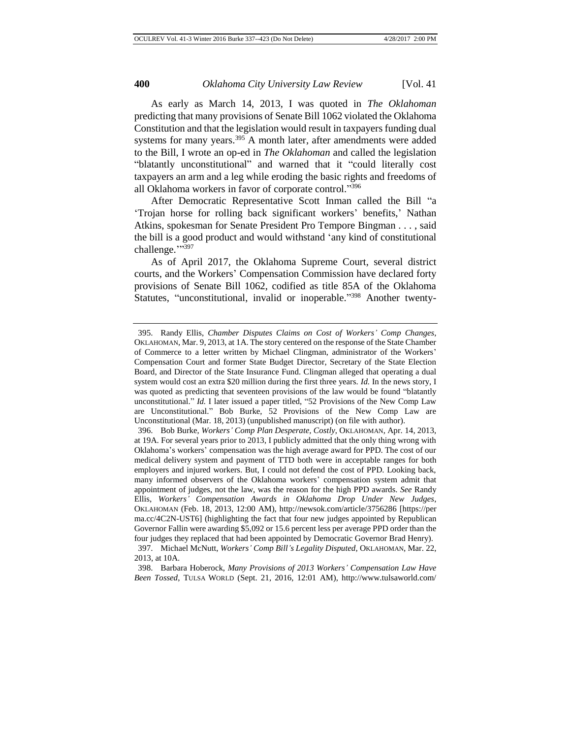As early as March 14, 2013, I was quoted in *The Oklahoman* predicting that many provisions of Senate Bill 1062 violated the Oklahoma Constitution and that the legislation would result in taxpayers funding dual systems for many years.<sup>395</sup> A month later, after amendments were added to the Bill, I wrote an op-ed in *The Oklahoman* and called the legislation "blatantly unconstitutional" and warned that it "could literally cost taxpayers an arm and a leg while eroding the basic rights and freedoms of all Oklahoma workers in favor of corporate control."396

After Democratic Representative Scott Inman called the Bill "a 'Trojan horse for rolling back significant workers' benefits,' Nathan Atkins, spokesman for Senate President Pro Tempore Bingman . . . , said the bill is a good product and would withstand 'any kind of constitutional challenge.">397

As of April 2017, the Oklahoma Supreme Court, several district courts, and the Workers' Compensation Commission have declared forty provisions of Senate Bill 1062, codified as title 85A of the Oklahoma Statutes, "unconstitutional, invalid or inoperable."<sup>398</sup> Another twenty-

398. Barbara Hoberock, *Many Provisions of 2013 Workers' Compensation Law Have Been Tossed*, TULSA WORLD (Sept. 21, 2016, 12:01 AM), http://www.tulsaworld.com/

<sup>395.</sup> Randy Ellis, *Chamber Disputes Claims on Cost of Workers' Comp Changes*, OKLAHOMAN, Mar. 9, 2013, at 1A. The story centered on the response of the State Chamber of Commerce to a letter written by Michael Clingman, administrator of the Workers' Compensation Court and former State Budget Director, Secretary of the State Election Board, and Director of the State Insurance Fund. Clingman alleged that operating a dual system would cost an extra \$20 million during the first three years. *Id.* In the news story, I was quoted as predicting that seventeen provisions of the law would be found "blatantly unconstitutional." *Id.* I later issued a paper titled, "52 Provisions of the New Comp Law are Unconstitutional." Bob Burke, 52 Provisions of the New Comp Law are Unconstitutional (Mar. 18, 2013) (unpublished manuscript) (on file with author).

<sup>396.</sup> Bob Burke, *Workers' Comp Plan Desperate, Costly*, OKLAHOMAN, Apr. 14, 2013, at 19A. For several years prior to 2013, I publicly admitted that the only thing wrong with Oklahoma's workers' compensation was the high average award for PPD. The cost of our medical delivery system and payment of TTD both were in acceptable ranges for both employers and injured workers. But, I could not defend the cost of PPD. Looking back, many informed observers of the Oklahoma workers' compensation system admit that appointment of judges, not the law, was the reason for the high PPD awards. *See* Randy Ellis, *Workers' Compensation Awards in Oklahoma Drop Under New Judges*, OKLAHOMAN (Feb. 18, 2013, 12:00 AM), http://newsok.com/article/3756286 [https://per ma.cc/4C2N-UST6] (highlighting the fact that four new judges appointed by Republican Governor Fallin were awarding \$5,092 or 15.6 percent less per average PPD order than the four judges they replaced that had been appointed by Democratic Governor Brad Henry). 397. Michael McNutt, *Workers' Comp Bill's Legality Disputed*, OKLAHOMAN, Mar. 22, 2013, at 10A.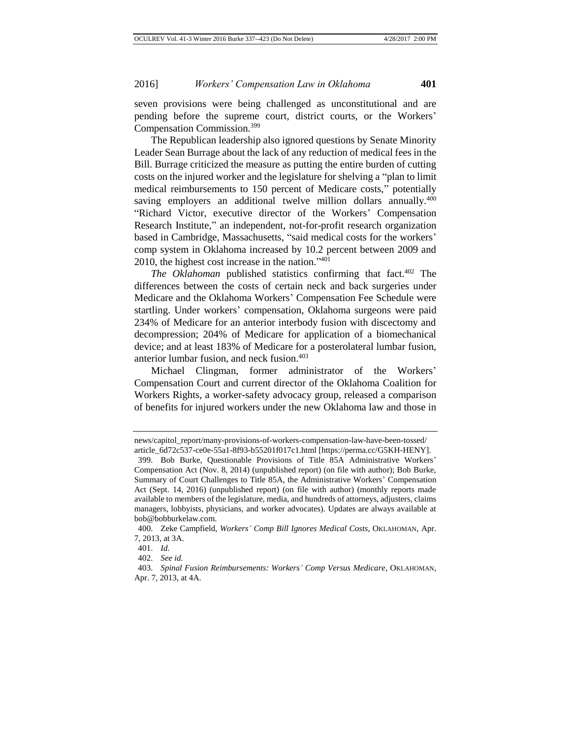seven provisions were being challenged as unconstitutional and are pending before the supreme court, district courts, or the Workers' Compensation Commission.<sup>399</sup>

The Republican leadership also ignored questions by Senate Minority Leader Sean Burrage about the lack of any reduction of medical fees in the Bill. Burrage criticized the measure as putting the entire burden of cutting costs on the injured worker and the legislature for shelving a "plan to limit medical reimbursements to 150 percent of Medicare costs," potentially saving employers an additional twelve million dollars annually.<sup>400</sup> "Richard Victor, executive director of the Workers' Compensation Research Institute," an independent, not-for-profit research organization based in Cambridge, Massachusetts, "said medical costs for the workers' comp system in Oklahoma increased by 10.2 percent between 2009 and 2010, the highest cost increase in the nation." 401

*The Oklahoman* published statistics confirming that fact.<sup>402</sup> The differences between the costs of certain neck and back surgeries under Medicare and the Oklahoma Workers' Compensation Fee Schedule were startling. Under workers' compensation, Oklahoma surgeons were paid 234% of Medicare for an anterior interbody fusion with discectomy and decompression; 204% of Medicare for application of a biomechanical device; and at least 183% of Medicare for a posterolateral lumbar fusion, anterior lumbar fusion, and neck fusion.<sup>403</sup>

Michael Clingman, former administrator of the Workers' Compensation Court and current director of the Oklahoma Coalition for Workers Rights, a worker-safety advocacy group, released a comparison of benefits for injured workers under the new Oklahoma law and those in

news/capitol\_report/many-provisions-of-workers-compensation-law-have-been-tossed/ article\_6d72c537-ce0e-55a1-8f93-b55201f017c1.html [https://perma.cc/G5KH-HENY].

<sup>399.</sup> Bob Burke, Questionable Provisions of Title 85A Administrative Workers' Compensation Act (Nov. 8, 2014) (unpublished report) (on file with author); Bob Burke, Summary of Court Challenges to Title 85A, the Administrative Workers' Compensation Act (Sept. 14, 2016) (unpublished report) (on file with author) (monthly reports made available to members of the legislature, media, and hundreds of attorneys, adjusters, claims managers, lobbyists, physicians, and worker advocates). Updates are always available at bob@bobburkelaw.com.

<sup>400.</sup> Zeke Campfield, *Workers' Comp Bill Ignores Medical Costs*, OKLAHOMAN, Apr. 7, 2013, at 3A.

<sup>401.</sup> *Id.*

<sup>402.</sup> *See id.*

<sup>403.</sup> *Spinal Fusion Reimbursements: Workers' Comp Versus Medicare*, OKLAHOMAN, Apr. 7, 2013, at 4A.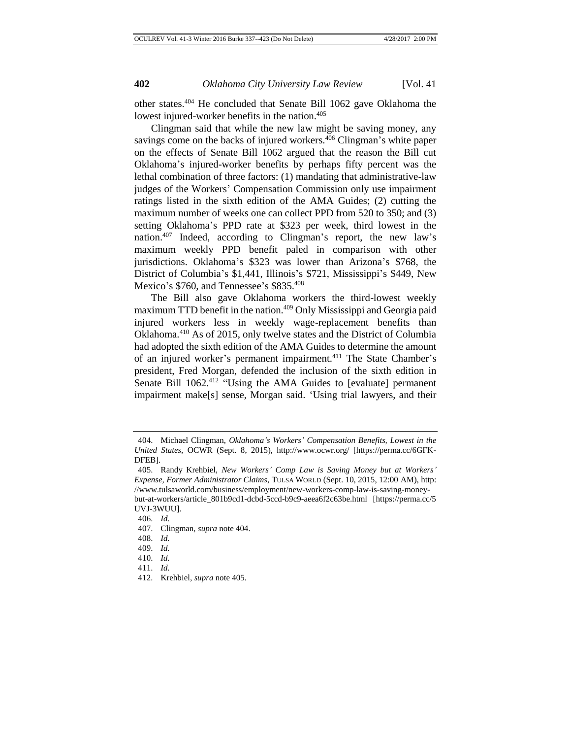other states.<sup>404</sup> He concluded that Senate Bill 1062 gave Oklahoma the lowest injured-worker benefits in the nation.<sup>405</sup>

Clingman said that while the new law might be saving money, any savings come on the backs of injured workers.<sup>406</sup> Clingman's white paper on the effects of Senate Bill 1062 argued that the reason the Bill cut Oklahoma's injured-worker benefits by perhaps fifty percent was the lethal combination of three factors: (1) mandating that administrative-law judges of the Workers' Compensation Commission only use impairment ratings listed in the sixth edition of the AMA Guides; (2) cutting the maximum number of weeks one can collect PPD from 520 to 350; and (3) setting Oklahoma's PPD rate at \$323 per week, third lowest in the nation.<sup>407</sup> Indeed, according to Clingman's report, the new law's maximum weekly PPD benefit paled in comparison with other jurisdictions. Oklahoma's \$323 was lower than Arizona's \$768, the District of Columbia's \$1,441, Illinois's \$721, Mississippi's \$449, New Mexico's \$760, and Tennessee's \$835.408

The Bill also gave Oklahoma workers the third-lowest weekly maximum TTD benefit in the nation.<sup>409</sup> Only Mississippi and Georgia paid injured workers less in weekly wage-replacement benefits than Oklahoma.<sup>410</sup> As of 2015, only twelve states and the District of Columbia had adopted the sixth edition of the AMA Guides to determine the amount of an injured worker's permanent impairment.<sup>411</sup> The State Chamber's president, Fred Morgan, defended the inclusion of the sixth edition in Senate Bill 1062.<sup>412</sup> "Using the AMA Guides to [evaluate] permanent impairment make[s] sense, Morgan said. 'Using trial lawyers, and their

408. *Id.*

- 410. *Id.*
- 411. *Id.*

<sup>404.</sup> Michael Clingman, *Oklahoma's Workers' Compensation Benefits, Lowest in the United States*, OCWR (Sept. 8, 2015), http://www.ocwr.org/ [https://perma.cc/6GFK-DFEB].

<sup>405.</sup> Randy Krehbiel, *New Workers' Comp Law is Saving Money but at Workers' Expense, Former Administrator Claims*, TULSA WORLD (Sept. 10, 2015, 12:00 AM), http: //www.tulsaworld.com/business/employment/new-workers-comp-law-is-saving-moneybut-at-workers/article\_801b9cd1-dcbd-5ccd-b9c9-aeea6f2c63be.html [https://perma.cc/5 UVJ-3WUU].

<sup>406.</sup> *Id.*

<sup>407.</sup> Clingman, *supra* note 404.

<sup>409.</sup> *Id.*

<sup>412.</sup> Krehbiel, *supra* note 405.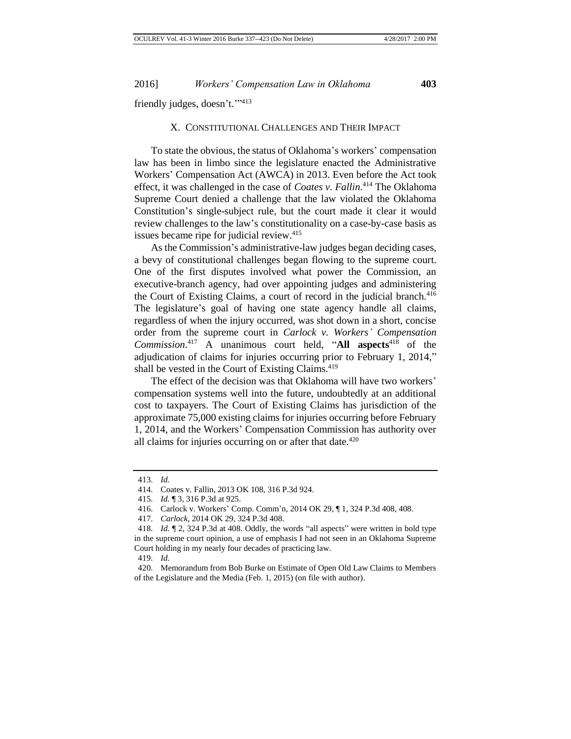friendly judges, doesn't."<sup>113</sup>

#### X. CONSTITUTIONAL CHALLENGES AND THEIR IMPACT

To state the obvious, the status of Oklahoma's workers' compensation law has been in limbo since the legislature enacted the Administrative Workers' Compensation Act (AWCA) in 2013. Even before the Act took effect, it was challenged in the case of *Coates v. Fallin*. <sup>414</sup> The Oklahoma Supreme Court denied a challenge that the law violated the Oklahoma Constitution's single-subject rule, but the court made it clear it would review challenges to the law's constitutionality on a case-by-case basis as issues became ripe for judicial review.<sup>415</sup>

As the Commission's administrative-law judges began deciding cases, a bevy of constitutional challenges began flowing to the supreme court. One of the first disputes involved what power the Commission, an executive-branch agency, had over appointing judges and administering the Court of Existing Claims, a court of record in the judicial branch.<sup>416</sup> The legislature's goal of having one state agency handle all claims, regardless of when the injury occurred, was shot down in a short, concise order from the supreme court in *Carlock v. Workers' Compensation Commission*. <sup>417</sup> A unanimous court held, "**All aspects**<sup>418</sup> of the adjudication of claims for injuries occurring prior to February 1, 2014," shall be vested in the Court of Existing Claims.<sup>419</sup>

The effect of the decision was that Oklahoma will have two workers' compensation systems well into the future, undoubtedly at an additional cost to taxpayers. The Court of Existing Claims has jurisdiction of the approximate 75,000 existing claims for injuries occurring before February 1, 2014, and the Workers' Compensation Commission has authority over all claims for injuries occurring on or after that date. $420$ 

<sup>413.</sup> *Id.*

<sup>414.</sup> Coates v. Fallin, 2013 OK 108, 316 P.3d 924.

<sup>415.</sup> *Id.* ¶ 3, 316 P.3d at 925.

<sup>416.</sup> Carlock v. Workers' Comp. Comm'n, 2014 OK 29, ¶ 1, 324 P.3d 408, 408.

<sup>417.</sup> *Carlock*, 2014 OK 29, 324 P.3d 408.

<sup>418.</sup> *Id.* ¶ 2, 324 P.3d at 408. Oddly, the words "all aspects" were written in bold type in the supreme court opinion, a use of emphasis I had not seen in an Oklahoma Supreme Court holding in my nearly four decades of practicing law.

<sup>419.</sup> *Id.*

<sup>420.</sup> Memorandum from Bob Burke on Estimate of Open Old Law Claims to Members of the Legislature and the Media (Feb. 1, 2015) (on file with author).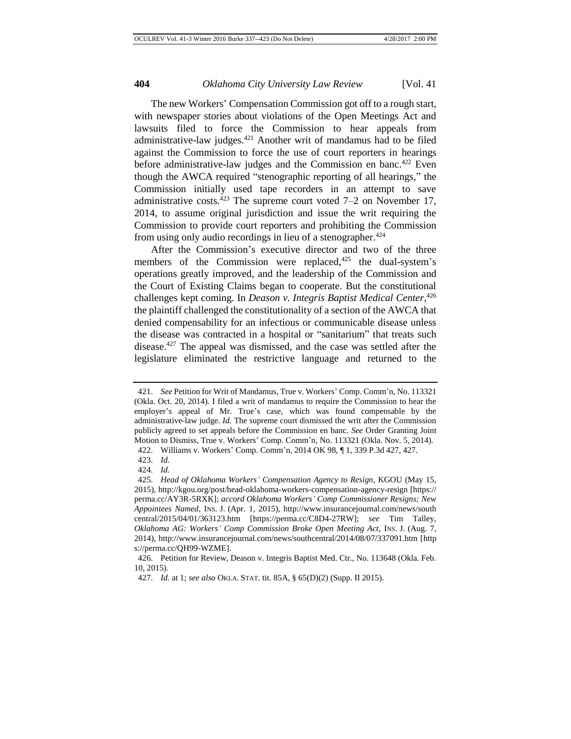The new Workers' Compensation Commission got off to a rough start, with newspaper stories about violations of the Open Meetings Act and lawsuits filed to force the Commission to hear appeals from administrative-law judges.<sup>421</sup> Another writ of mandamus had to be filed against the Commission to force the use of court reporters in hearings before administrative-law judges and the Commission en banc.<sup>422</sup> Even though the AWCA required "stenographic reporting of all hearings," the Commission initially used tape recorders in an attempt to save administrative costs.<sup>423</sup> The supreme court voted  $7-2$  on November 17, 2014, to assume original jurisdiction and issue the writ requiring the Commission to provide court reporters and prohibiting the Commission from using only audio recordings in lieu of a stenographer.<sup>424</sup>

After the Commission's executive director and two of the three members of the Commission were replaced, $425$  the dual-system's operations greatly improved, and the leadership of the Commission and the Court of Existing Claims began to cooperate. But the constitutional challenges kept coming. In *Deason v. Integris Baptist Medical Center*, 426 the plaintiff challenged the constitutionality of a section of the AWCA that denied compensability for an infectious or communicable disease unless the disease was contracted in a hospital or "sanitarium" that treats such disease.<sup>427</sup> The appeal was dismissed, and the case was settled after the legislature eliminated the restrictive language and returned to the

<sup>421.</sup> *See* Petition for Writ of Mandamus, True v. Workers' Comp. Comm'n, No. 113321 (Okla. Oct. 20, 2014). I filed a writ of mandamus to require the Commission to hear the employer's appeal of Mr. True's case, which was found compensable by the administrative-law judge. *Id.* The supreme court dismissed the writ after the Commission publicly agreed to set appeals before the Commission en banc. *See* Order Granting Joint Motion to Dismiss, True v. Workers' Comp. Comm'n, No. 113321 (Okla. Nov. 5, 2014). 422. Williams v. Workers' Comp. Comm'n, 2014 OK 98, ¶ 1, 339 P.3d 427, 427.

<sup>423.</sup> *Id.*

<sup>424.</sup> *Id.*

<sup>425.</sup> *Head of Oklahoma Workers' Compensation Agency to Resign*, KGOU (May 15, 2015), http://kgou.org/post/head-oklahoma-workers-compensation-agency-resign [https:// perma.cc/AY3R-5RXK]; *accord Oklahoma Workers' Comp Commissioner Resigns; New Appointees Named*, INS. J. (Apr. 1, 2015), http://www.insurancejournal.com/news/south central/2015/04/01/363123.htm [https://perma.cc/C8D4-27RW]; *see* Tim Talley, *Oklahoma AG: Workers' Comp Commission Broke Open Meeting Act*, INS. J. (Aug. 7, 2014), http://www.insurancejournal.com/news/southcentral/2014/08/07/337091.htm [http s://perma.cc/QH99-WZME].

<sup>426.</sup> Petition for Review, Deason v. Integris Baptist Med. Ctr., No. 113648 (Okla. Feb. 10, 2015).

<sup>427.</sup> *Id.* at 1; *see also* OKLA. STAT. tit. 85A, § 65(D)(2) (Supp. II 2015).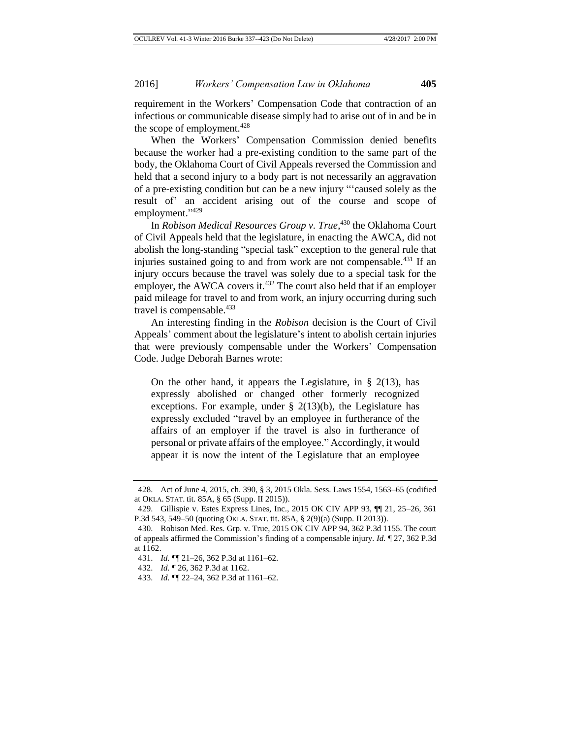requirement in the Workers' Compensation Code that contraction of an infectious or communicable disease simply had to arise out of in and be in the scope of employment.<sup>428</sup>

When the Workers' Compensation Commission denied benefits because the worker had a pre-existing condition to the same part of the body, the Oklahoma Court of Civil Appeals reversed the Commission and held that a second injury to a body part is not necessarily an aggravation of a pre-existing condition but can be a new injury "'caused solely as the result of' an accident arising out of the course and scope of employment."<sup>429</sup>

In *Robison Medical Resources Group v. True*, <sup>430</sup> the Oklahoma Court of Civil Appeals held that the legislature, in enacting the AWCA, did not abolish the long-standing "special task" exception to the general rule that injuries sustained going to and from work are not compensable.<sup>431</sup> If an injury occurs because the travel was solely due to a special task for the employer, the AWCA covers it.<sup>432</sup> The court also held that if an employer paid mileage for travel to and from work, an injury occurring during such travel is compensable.<sup>433</sup>

An interesting finding in the *Robison* decision is the Court of Civil Appeals' comment about the legislature's intent to abolish certain injuries that were previously compensable under the Workers' Compensation Code. Judge Deborah Barnes wrote:

On the other hand, it appears the Legislature, in  $\S$  2(13), has expressly abolished or changed other formerly recognized exceptions. For example, under  $\S$  2(13)(b), the Legislature has expressly excluded "travel by an employee in furtherance of the affairs of an employer if the travel is also in furtherance of personal or private affairs of the employee." Accordingly, it would appear it is now the intent of the Legislature that an employee

<sup>428.</sup> Act of June 4, 2015, ch. 390, § 3, 2015 Okla. Sess. Laws 1554, 1563–65 (codified at OKLA. STAT. tit. 85A, § 65 (Supp. II 2015)).

<sup>429.</sup> Gillispie v. Estes Express Lines, Inc., 2015 OK CIV APP 93, ¶¶ 21, 25–26, 361 P.3d 543, 549–50 (quoting OKLA. STAT. tit. 85A, § 2(9)(a) (Supp. II 2013)).

<sup>430.</sup> Robison Med. Res. Grp. v. True, 2015 OK CIV APP 94, 362 P.3d 1155. The court of appeals affirmed the Commission's finding of a compensable injury. *Id.* ¶ 27, 362 P.3d at 1162.

<sup>431.</sup> *Id.* ¶¶ 21–26, 362 P.3d at 1161–62.

<sup>432.</sup> *Id.* ¶ 26, 362 P.3d at 1162.

<sup>433.</sup> *Id.* ¶¶ 22–24, 362 P.3d at 1161–62.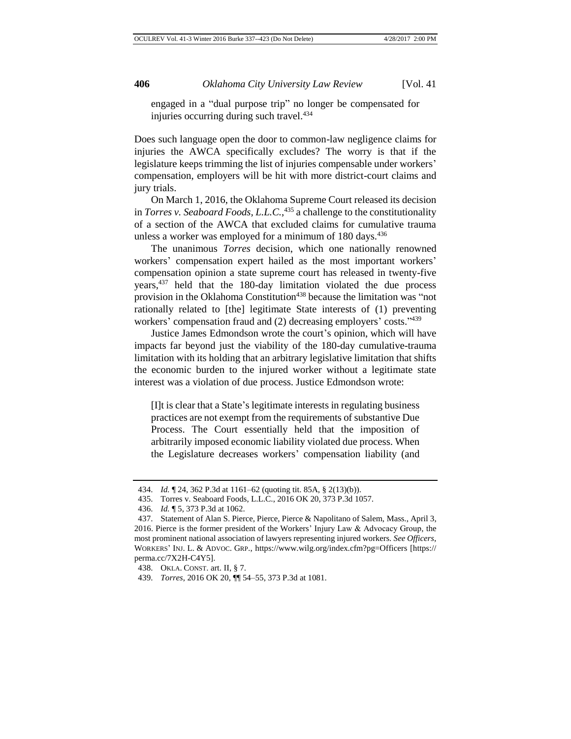engaged in a "dual purpose trip" no longer be compensated for injuries occurring during such travel.<sup>434</sup>

Does such language open the door to common-law negligence claims for injuries the AWCA specifically excludes? The worry is that if the legislature keeps trimming the list of injuries compensable under workers' compensation, employers will be hit with more district-court claims and jury trials.

On March 1, 2016, the Oklahoma Supreme Court released its decision in *Torres v. Seaboard Foods, L.L.C.*, <sup>435</sup> a challenge to the constitutionality of a section of the AWCA that excluded claims for cumulative trauma unless a worker was employed for a minimum of  $180 \text{ days}$ .  $436$ 

The unanimous *Torres* decision, which one nationally renowned workers' compensation expert hailed as the most important workers' compensation opinion a state supreme court has released in twenty-five years,<sup>437</sup> held that the 180-day limitation violated the due process provision in the Oklahoma Constitution<sup>438</sup> because the limitation was "not rationally related to [the] legitimate State interests of (1) preventing workers' compensation fraud and (2) decreasing employers' costs."439

Justice James Edmondson wrote the court's opinion, which will have impacts far beyond just the viability of the 180-day cumulative-trauma limitation with its holding that an arbitrary legislative limitation that shifts the economic burden to the injured worker without a legitimate state interest was a violation of due process. Justice Edmondson wrote:

[I]t is clear that a State's legitimate interests in regulating business practices are not exempt from the requirements of substantive Due Process. The Court essentially held that the imposition of arbitrarily imposed economic liability violated due process. When the Legislature decreases workers' compensation liability (and

<sup>434.</sup> *Id.* ¶ 24, 362 P.3d at 1161–62 (quoting tit. 85A, § 2(13)(b)).

<sup>435.</sup> Torres v. Seaboard Foods, L.L.C., 2016 OK 20, 373 P.3d 1057.

<sup>436.</sup> *Id.* ¶ 5, 373 P.3d at 1062.

<sup>437.</sup> Statement of Alan S. Pierce, Pierce, Pierce & Napolitano of Salem, Mass., April 3, 2016. Pierce is the former president of the Workers' Injury Law  $\&$  Advocacy Group, the most prominent national association of lawyers representing injured workers. *See Officers*, WORKERS' INJ. L. & ADVOC. GRP., https://www.wilg.org/index.cfm?pg=Officers [https:// perma.cc/7X2H-C4Y5].

<sup>438.</sup> OKLA. CONST. art. II, § 7.

<sup>439.</sup> *Torres*, 2016 OK 20, ¶¶ 54–55, 373 P.3d at 1081.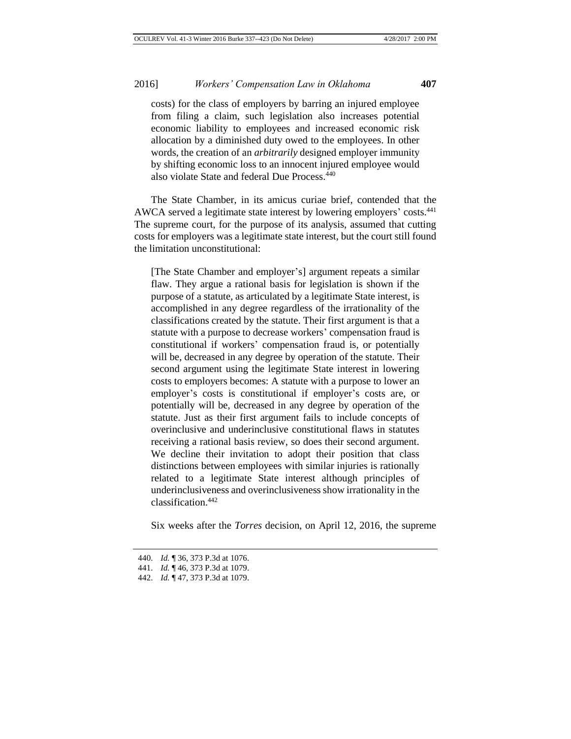costs) for the class of employers by barring an injured employee from filing a claim, such legislation also increases potential economic liability to employees and increased economic risk allocation by a diminished duty owed to the employees. In other words, the creation of an *arbitrarily* designed employer immunity by shifting economic loss to an innocent injured employee would also violate State and federal Due Process.<sup>440</sup>

The State Chamber, in its amicus curiae brief, contended that the AWCA served a legitimate state interest by lowering employers' costs.<sup>441</sup> The supreme court, for the purpose of its analysis, assumed that cutting costs for employers was a legitimate state interest, but the court still found the limitation unconstitutional:

[The State Chamber and employer's] argument repeats a similar flaw. They argue a rational basis for legislation is shown if the purpose of a statute, as articulated by a legitimate State interest, is accomplished in any degree regardless of the irrationality of the classifications created by the statute. Their first argument is that a statute with a purpose to decrease workers' compensation fraud is constitutional if workers' compensation fraud is, or potentially will be, decreased in any degree by operation of the statute. Their second argument using the legitimate State interest in lowering costs to employers becomes: A statute with a purpose to lower an employer's costs is constitutional if employer's costs are, or potentially will be, decreased in any degree by operation of the statute. Just as their first argument fails to include concepts of overinclusive and underinclusive constitutional flaws in statutes receiving a rational basis review, so does their second argument. We decline their invitation to adopt their position that class distinctions between employees with similar injuries is rationally related to a legitimate State interest although principles of underinclusiveness and overinclusiveness show irrationality in the classification.<sup>442</sup>

Six weeks after the *Torres* decision, on April 12, 2016, the supreme

<sup>440.</sup> *Id.* ¶ 36, 373 P.3d at 1076.

<sup>441.</sup> *Id.* ¶ 46, 373 P.3d at 1079.

<sup>442.</sup> *Id.* ¶ 47, 373 P.3d at 1079.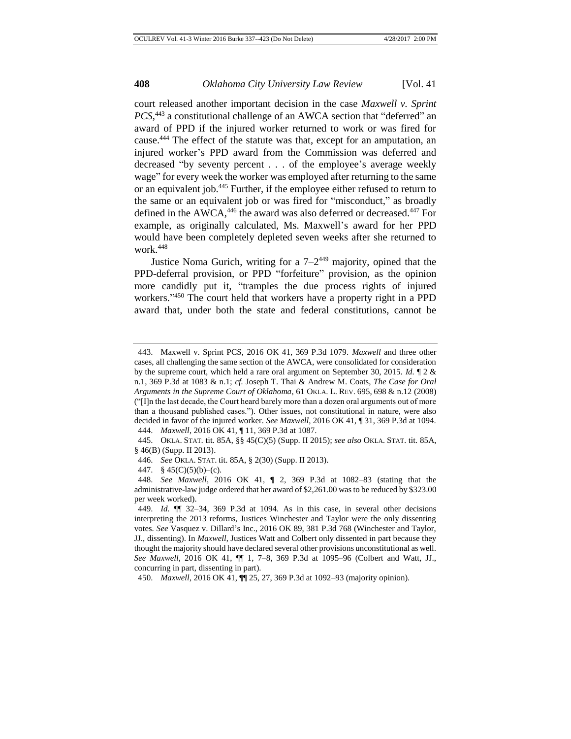court released another important decision in the case *Maxwell v. Sprint*  PCS,<sup>443</sup> a constitutional challenge of an AWCA section that "deferred" an award of PPD if the injured worker returned to work or was fired for cause.<sup>444</sup> The effect of the statute was that, except for an amputation, an injured worker's PPD award from the Commission was deferred and decreased "by seventy percent . . . of the employee's average weekly wage" for every week the worker was employed after returning to the same or an equivalent job.<sup>445</sup> Further, if the employee either refused to return to the same or an equivalent job or was fired for "misconduct," as broadly defined in the AWCA,<sup>446</sup> the award was also deferred or decreased.<sup>447</sup> For example, as originally calculated, Ms. Maxwell's award for her PPD would have been completely depleted seven weeks after she returned to work. $448$ 

Justice Noma Gurich, writing for a  $7-2^{449}$  majority, opined that the PPD-deferral provision, or PPD "forfeiture" provision, as the opinion more candidly put it, "tramples the due process rights of injured workers." <sup>450</sup> The court held that workers have a property right in a PPD award that, under both the state and federal constitutions, cannot be

<sup>443.</sup> Maxwell v. Sprint PCS, 2016 OK 41, 369 P.3d 1079. *Maxwell* and three other cases, all challenging the same section of the AWCA, were consolidated for consideration by the supreme court, which held a rare oral argument on September 30, 2015. *Id.* ¶ 2 & n.1, 369 P.3d at 1083 & n.1; *cf.* Joseph T. Thai & Andrew M. Coats, *The Case for Oral Arguments in the Supreme Court of Oklahoma*, 61 OKLA. L. REV. 695, 698 & n.12 (2008) ("[I]n the last decade, the Court heard barely more than a dozen oral arguments out of more than a thousand published cases."). Other issues, not constitutional in nature, were also decided in favor of the injured worker. *See Maxwell*, 2016 OK 41, ¶ 31, 369 P.3d at 1094.

<sup>444.</sup> *Maxwell*, 2016 OK 41, ¶ 11, 369 P.3d at 1087.

<sup>445.</sup> OKLA. STAT. tit. 85A, §§ 45(C)(5) (Supp. II 2015); *see also* OKLA. STAT. tit. 85A, § 46(B) (Supp. II 2013).

<sup>446.</sup> *See* OKLA. STAT. tit. 85A, § 2(30) (Supp. II 2013).

<sup>447.</sup>  $§$  45(C)(5)(b)–(c).

<sup>448.</sup> *See Maxwell*, 2016 OK 41, ¶ 2, 369 P.3d at 1082–83 (stating that the administrative-law judge ordered that her award of \$2,261.00 was to be reduced by \$323.00 per week worked).

<sup>449.</sup> *Id.* ¶¶ 32–34, 369 P.3d at 1094. As in this case, in several other decisions interpreting the 2013 reforms, Justices Winchester and Taylor were the only dissenting votes. *See* Vasquez v. Dillard's Inc., 2016 OK 89, 381 P.3d 768 (Winchester and Taylor, JJ., dissenting). In *Maxwell*, Justices Watt and Colbert only dissented in part because they thought the majority should have declared several other provisions unconstitutional as well. *See Maxwell*, 2016 OK 41, ¶¶ 1, 7–8, 369 P.3d at 1095–96 (Colbert and Watt, JJ., concurring in part, dissenting in part).

<sup>450.</sup> *Maxwell*, 2016 OK 41, ¶¶ 25, 27, 369 P.3d at 1092–93 (majority opinion).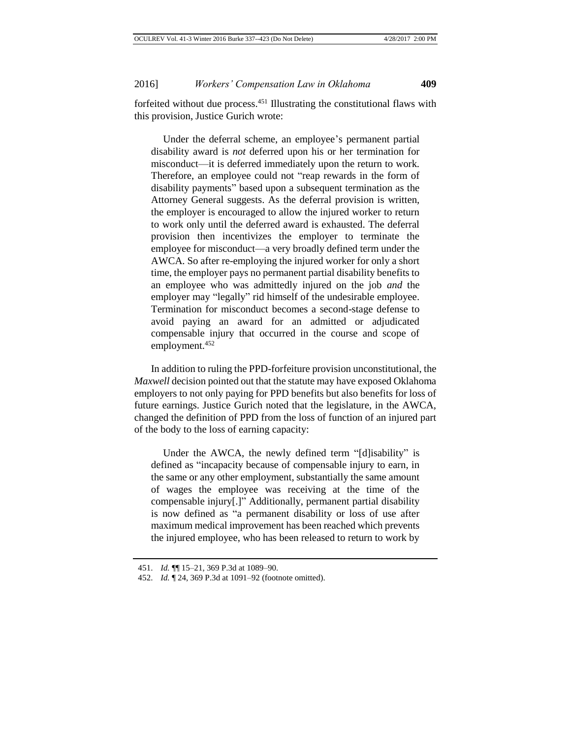forfeited without due process.<sup>451</sup> Illustrating the constitutional flaws with this provision, Justice Gurich wrote:

Under the deferral scheme, an employee's permanent partial disability award is *not* deferred upon his or her termination for misconduct—it is deferred immediately upon the return to work. Therefore, an employee could not "reap rewards in the form of disability payments" based upon a subsequent termination as the Attorney General suggests. As the deferral provision is written, the employer is encouraged to allow the injured worker to return to work only until the deferred award is exhausted. The deferral provision then incentivizes the employer to terminate the employee for misconduct—a very broadly defined term under the AWCA. So after re-employing the injured worker for only a short time, the employer pays no permanent partial disability benefits to an employee who was admittedly injured on the job *and* the employer may "legally" rid himself of the undesirable employee. Termination for misconduct becomes a second-stage defense to avoid paying an award for an admitted or adjudicated compensable injury that occurred in the course and scope of employment.<sup>452</sup>

In addition to ruling the PPD-forfeiture provision unconstitutional, the *Maxwell* decision pointed out that the statute may have exposed Oklahoma employers to not only paying for PPD benefits but also benefits for loss of future earnings. Justice Gurich noted that the legislature, in the AWCA, changed the definition of PPD from the loss of function of an injured part of the body to the loss of earning capacity:

Under the AWCA, the newly defined term "[d]isability" is defined as "incapacity because of compensable injury to earn, in the same or any other employment, substantially the same amount of wages the employee was receiving at the time of the compensable injury[.]" Additionally, permanent partial disability is now defined as "a permanent disability or loss of use after maximum medical improvement has been reached which prevents the injured employee, who has been released to return to work by

<sup>451.</sup> *Id.* ¶¶ 15–21, 369 P.3d at 1089–90.

<sup>452.</sup> *Id.* ¶ 24, 369 P.3d at 1091–92 (footnote omitted).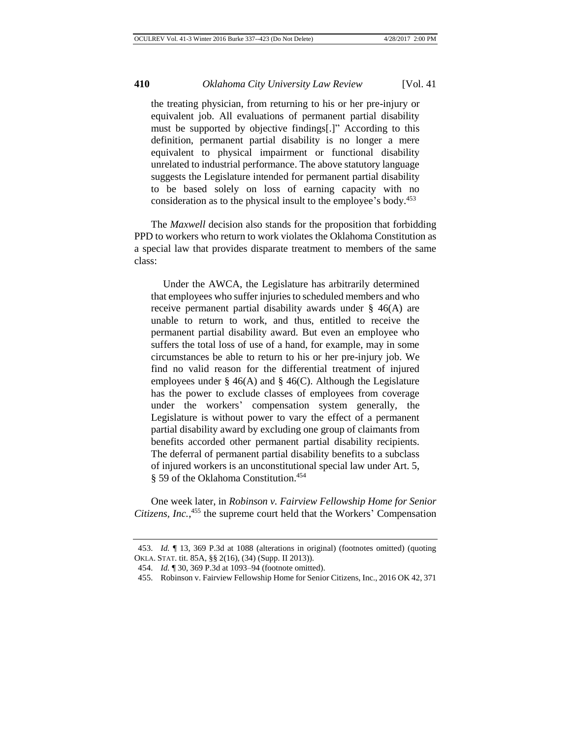the treating physician, from returning to his or her pre-injury or equivalent job. All evaluations of permanent partial disability must be supported by objective findings[.]" According to this definition, permanent partial disability is no longer a mere equivalent to physical impairment or functional disability unrelated to industrial performance. The above statutory language suggests the Legislature intended for permanent partial disability to be based solely on loss of earning capacity with no consideration as to the physical insult to the employee's body.<sup>453</sup>

The *Maxwell* decision also stands for the proposition that forbidding PPD to workers who return to work violates the Oklahoma Constitution as a special law that provides disparate treatment to members of the same class:

Under the AWCA, the Legislature has arbitrarily determined that employees who suffer injuries to scheduled members and who receive permanent partial disability awards under § 46(A) are unable to return to work, and thus, entitled to receive the permanent partial disability award. But even an employee who suffers the total loss of use of a hand, for example, may in some circumstances be able to return to his or her pre-injury job. We find no valid reason for the differential treatment of injured employees under § 46(A) and § 46(C). Although the Legislature has the power to exclude classes of employees from coverage under the workers' compensation system generally, the Legislature is without power to vary the effect of a permanent partial disability award by excluding one group of claimants from benefits accorded other permanent partial disability recipients. The deferral of permanent partial disability benefits to a subclass of injured workers is an unconstitutional special law under Art. 5, § 59 of the Oklahoma Constitution.<sup>454</sup>

One week later, in *Robinson v. Fairview Fellowship Home for Senior Citizens, Inc.*, <sup>455</sup> the supreme court held that the Workers' Compensation

<sup>453.</sup> *Id.* ¶ 13, 369 P.3d at 1088 (alterations in original) (footnotes omitted) (quoting OKLA. STAT. tit. 85A, §§ 2(16), (34) (Supp. II 2013)).

<sup>454.</sup> *Id.* ¶ 30, 369 P.3d at 1093–94 (footnote omitted).

<sup>455.</sup> Robinson v. Fairview Fellowship Home for Senior Citizens, Inc., 2016 OK 42, 371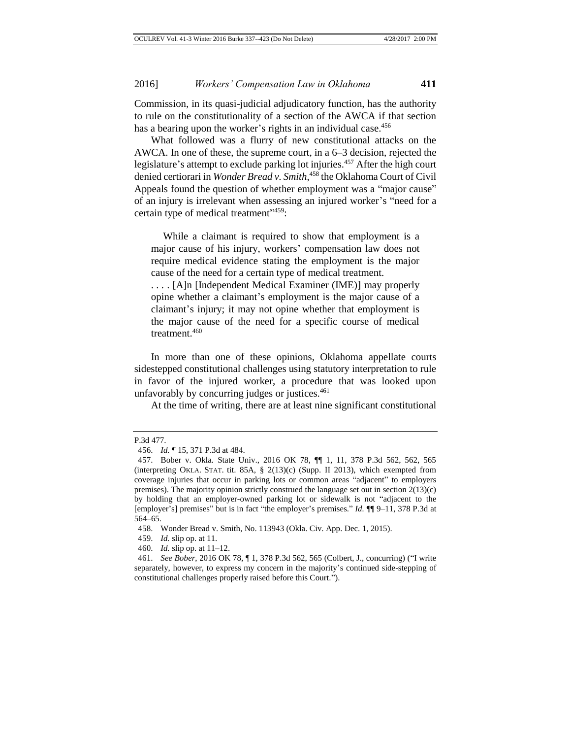Commission, in its quasi-judicial adjudicatory function, has the authority to rule on the constitutionality of a section of the AWCA if that section has a bearing upon the worker's rights in an individual case.<sup>456</sup>

What followed was a flurry of new constitutional attacks on the AWCA. In one of these, the supreme court, in a 6–3 decision, rejected the legislature's attempt to exclude parking lot injuries.<sup>457</sup> After the high court denied certiorari in *Wonder Bread v. Smith*, <sup>458</sup> the Oklahoma Court of Civil Appeals found the question of whether employment was a "major cause" of an injury is irrelevant when assessing an injured worker's "need for a certain type of medical treatment"<sup>459</sup>:

While a claimant is required to show that employment is a major cause of his injury, workers' compensation law does not require medical evidence stating the employment is the major cause of the need for a certain type of medical treatment.

. . . . [A]n [Independent Medical Examiner (IME)] may properly opine whether a claimant's employment is the major cause of a claimant's injury; it may not opine whether that employment is the major cause of the need for a specific course of medical treatment.<sup>460</sup>

In more than one of these opinions, Oklahoma appellate courts sidestepped constitutional challenges using statutory interpretation to rule in favor of the injured worker, a procedure that was looked upon unfavorably by concurring judges or justices. $461$ 

At the time of writing, there are at least nine significant constitutional

P.3d 477.

<sup>456.</sup> *Id.* ¶ 15, 371 P.3d at 484.

<sup>457.</sup> Bober v. Okla. State Univ., 2016 OK 78, ¶¶ 1, 11, 378 P.3d 562, 562, 565 (interpreting OKLA. STAT. tit. 85A,  $\S$  2(13)(c) (Supp. II 2013), which exempted from coverage injuries that occur in parking lots or common areas "adjacent" to employers premises). The majority opinion strictly construed the language set out in section 2(13)(c) by holding that an employer-owned parking lot or sidewalk is not "adjacent to the [employer's] premises" but is in fact "the employer's premises." *Id.* ¶¶ 9–11, 378 P.3d at 564–65.

<sup>458.</sup> Wonder Bread v. Smith, No. 113943 (Okla. Civ. App. Dec. 1, 2015).

<sup>459.</sup> *Id.* slip op. at 11.

<sup>460.</sup> *Id.* slip op. at 11–12.

<sup>461.</sup> *See Bober*, 2016 OK 78, ¶ 1, 378 P.3d 562, 565 (Colbert, J., concurring) ("I write separately, however, to express my concern in the majority's continued side-stepping of constitutional challenges properly raised before this Court.").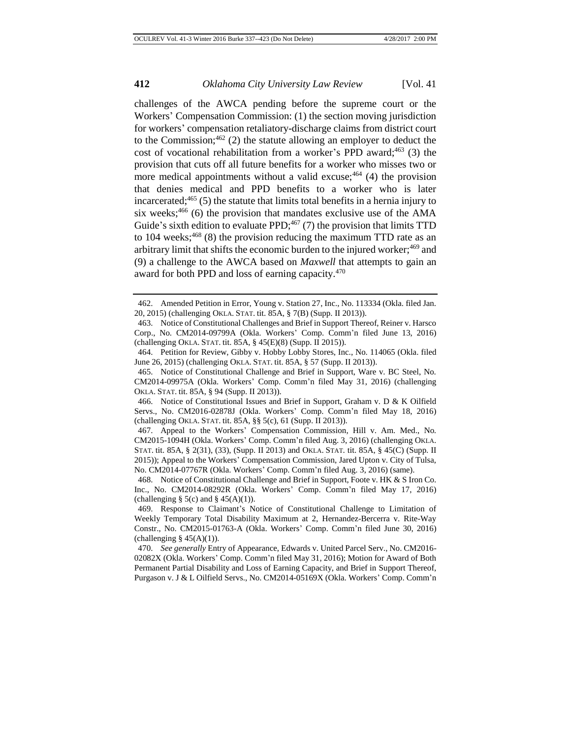challenges of the AWCA pending before the supreme court or the Workers' Compensation Commission: (1) the section moving jurisdiction for workers' compensation retaliatory-discharge claims from district court to the Commission;  $462$  (2) the statute allowing an employer to deduct the cost of vocational rehabilitation from a worker's PPD award;<sup>463</sup> (3) the provision that cuts off all future benefits for a worker who misses two or more medical appointments without a valid excuse;  $464$  (4) the provision that denies medical and PPD benefits to a worker who is later incarcerated; $465$  (5) the statute that limits total benefits in a hernia injury to six weeks; $466$  (6) the provision that mandates exclusive use of the AMA Guide's sixth edition to evaluate PPD; $467$  (7) the provision that limits TTD to 104 weeks; $468$  (8) the provision reducing the maximum TTD rate as an arbitrary limit that shifts the economic burden to the injured worker;<sup>469</sup> and (9) a challenge to the AWCA based on *Maxwell* that attempts to gain an award for both PPD and loss of earning capacity.<sup>470</sup>

<sup>462.</sup> Amended Petition in Error, Young v. Station 27, Inc., No. 113334 (Okla. filed Jan. 20, 2015) (challenging OKLA. STAT. tit. 85A, § 7(B) (Supp. II 2013)).

<sup>463.</sup> Notice of Constitutional Challenges and Brief in Support Thereof, Reiner v. Harsco Corp., No. CM2014-09799A (Okla. Workers' Comp. Comm'n filed June 13, 2016) (challenging OKLA. STAT. tit. 85A, § 45(E)(8) (Supp. II 2015)).

<sup>464.</sup> Petition for Review, Gibby v. Hobby Lobby Stores, Inc., No. 114065 (Okla. filed June 26, 2015) (challenging OKLA. STAT. tit. 85A, § 57 (Supp. II 2013)).

<sup>465.</sup> Notice of Constitutional Challenge and Brief in Support, Ware v. BC Steel, No. CM2014-09975A (Okla. Workers' Comp. Comm'n filed May 31, 2016) (challenging OKLA. STAT. tit. 85A, § 94 (Supp. II 2013)).

<sup>466.</sup> Notice of Constitutional Issues and Brief in Support, Graham v. D & K Oilfield Servs., No. CM2016-02878J (Okla. Workers' Comp. Comm'n filed May 18, 2016) (challenging OKLA. STAT. tit. 85A, §§ 5(c), 61 (Supp. II 2013)).

<sup>467.</sup> Appeal to the Workers' Compensation Commission, Hill v. Am. Med., No. CM2015-1094H (Okla. Workers' Comp. Comm'n filed Aug. 3, 2016) (challenging OKLA. STAT. tit. 85A, § 2(31), (33), (Supp. II 2013) and OKLA. STAT. tit. 85A, § 45(C) (Supp. II 2015)); Appeal to the Workers' Compensation Commission, Jared Upton v. City of Tulsa, No. CM2014-07767R (Okla. Workers' Comp. Comm'n filed Aug. 3, 2016) (same).

<sup>468.</sup> Notice of Constitutional Challenge and Brief in Support, Foote v. HK & S Iron Co. Inc., No. CM2014-08292R (Okla. Workers' Comp. Comm'n filed May 17, 2016) (challenging  $\S$  5(c) and  $\S$  45(A)(1)).

<sup>469.</sup> Response to Claimant's Notice of Constitutional Challenge to Limitation of Weekly Temporary Total Disability Maximum at 2, Hernandez-Bercerra v. Rite-Way Constr., No. CM2015-01763-A (Okla. Workers' Comp. Comm'n filed June 30, 2016) (challenging  $§$  45(A)(1)).

<sup>470.</sup> *See generally* Entry of Appearance, Edwards v. United Parcel Serv., No. CM2016- 02082X (Okla. Workers' Comp. Comm'n filed May 31, 2016); Motion for Award of Both Permanent Partial Disability and Loss of Earning Capacity, and Brief in Support Thereof, Purgason v. J & L Oilfield Servs., No. CM2014-05169X (Okla. Workers' Comp. Comm'n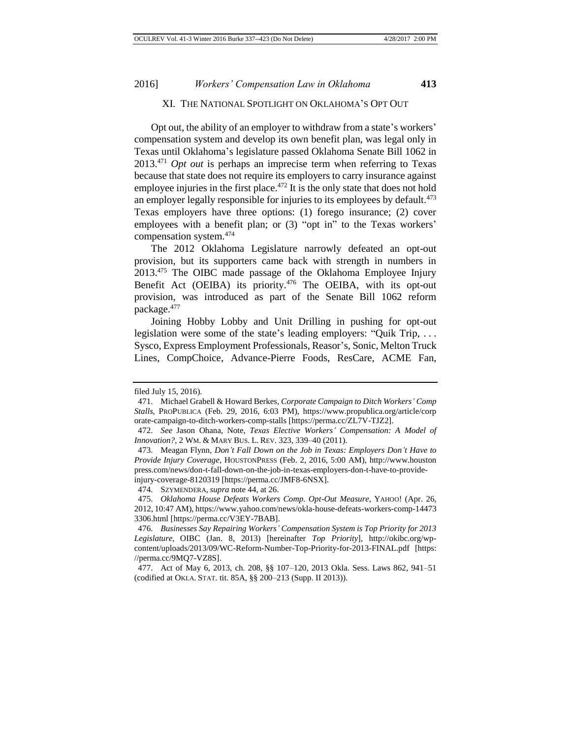### XI. THE NATIONAL SPOTLIGHT ON OKLAHOMA'S OPT OUT

Opt out, the ability of an employer to withdraw from a state's workers' compensation system and develop its own benefit plan, was legal only in Texas until Oklahoma's legislature passed Oklahoma Senate Bill 1062 in 2013.<sup>471</sup> *Opt out* is perhaps an imprecise term when referring to Texas because that state does not require its employers to carry insurance against employee injuries in the first place.<sup> $472$ </sup> It is the only state that does not hold an employer legally responsible for injuries to its employees by default.<sup>473</sup> Texas employers have three options: (1) forego insurance; (2) cover employees with a benefit plan; or (3) "opt in" to the Texas workers' compensation system.<sup>474</sup>

The 2012 Oklahoma Legislature narrowly defeated an opt-out provision, but its supporters came back with strength in numbers in 2013.<sup>475</sup> The OIBC made passage of the Oklahoma Employee Injury Benefit Act (OEIBA) its priority.<sup>476</sup> The OEIBA, with its opt-out provision, was introduced as part of the Senate Bill 1062 reform package.<sup>477</sup>

Joining Hobby Lobby and Unit Drilling in pushing for opt-out legislation were some of the state's leading employers: "Quik Trip, . . . Sysco, Express Employment Professionals, Reasor's, Sonic, Melton Truck Lines, CompChoice, Advance-Pierre Foods, ResCare, ACME Fan,

filed July 15, 2016).

<sup>471.</sup> Michael Grabell & Howard Berkes, *Corporate Campaign to Ditch Workers' Comp Stalls*, PROPUBLICA (Feb. 29, 2016, 6:03 PM), https://www.propublica.org/article/corp orate-campaign-to-ditch-workers-comp-stalls [https://perma.cc/ZL7V-TJZ2].

<sup>472.</sup> *See* Jason Ohana, Note, *Texas Elective Workers' Compensation: A Model of Innovation?*, 2 WM. & MARY BUS. L. REV. 323, 339–40 (2011).

<sup>473.</sup> Meagan Flynn, *Don't Fall Down on the Job in Texas: Employers Don't Have to Provide Injury Coverage*, HOUSTONPRESS (Feb. 2, 2016, 5:00 AM), http://www.houston press.com/news/don-t-fall-down-on-the-job-in-texas-employers-don-t-have-to-provideinjury-coverage-8120319 [https://perma.cc/JMF8-6NSX].

<sup>474.</sup> SZYMENDERA, *supra* note 44, at 26.

<sup>475.</sup> *Oklahoma House Defeats Workers Comp. Opt-Out Measure*, YAHOO! (Apr. 26, 2012, 10:47 AM), https://www.yahoo.com/news/okla-house-defeats-workers-comp-14473 3306.html [https://perma.cc/V3EY-7BAB].

<sup>476.</sup> *Businesses Say Repairing Workers' Compensation System is Top Priority for 2013 Legislature*, OIBC (Jan. 8, 2013) [hereinafter *Top Priority*], http://okibc.org/wpcontent/uploads/2013/09/WC-Reform-Number-Top-Priority-for-2013-FINAL.pdf [https: //perma.cc/9MQ7-VZ8S].

<sup>477.</sup> Act of May 6, 2013, ch. 208, §§ 107–120, 2013 Okla. Sess. Laws 862, 941–51 (codified at OKLA. STAT. tit. 85A, §§ 200–213 (Supp. II 2013)).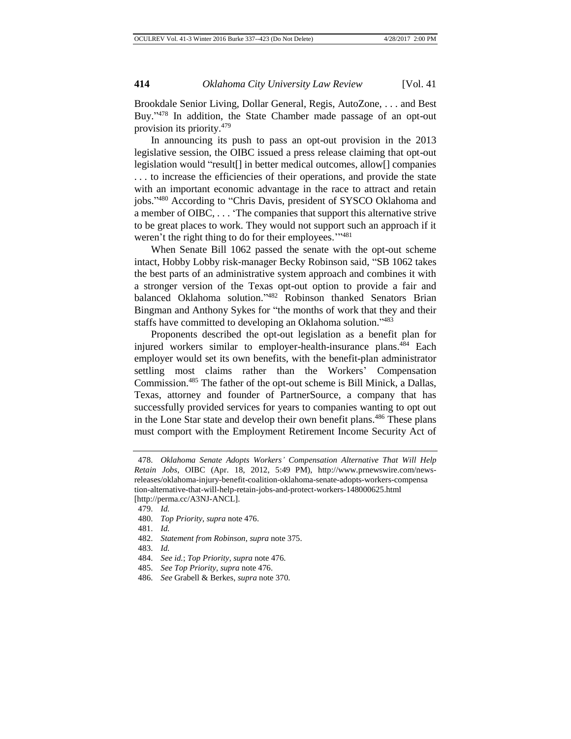Brookdale Senior Living, Dollar General, Regis, AutoZone, . . . and Best Buy."<sup>478</sup> In addition, the State Chamber made passage of an opt-out provision its priority.<sup>479</sup>

In announcing its push to pass an opt-out provision in the 2013 legislative session, the OIBC issued a press release claiming that opt-out legislation would "result[] in better medical outcomes, allow[] companies . . . to increase the efficiencies of their operations, and provide the state with an important economic advantage in the race to attract and retain jobs."<sup>480</sup> According to "Chris Davis, president of SYSCO Oklahoma and a member of OIBC, . . . 'The companies that support this alternative strive to be great places to work. They would not support such an approach if it weren't the right thing to do for their employees."<sup>1481</sup>

When Senate Bill 1062 passed the senate with the opt-out scheme intact, Hobby Lobby risk-manager Becky Robinson said, "SB 1062 takes the best parts of an administrative system approach and combines it with a stronger version of the Texas opt-out option to provide a fair and balanced Oklahoma solution." <sup>482</sup> Robinson thanked Senators Brian Bingman and Anthony Sykes for "the months of work that they and their staffs have committed to developing an Oklahoma solution."483

Proponents described the opt-out legislation as a benefit plan for injured workers similar to employer-health-insurance plans.<sup>484</sup> Each employer would set its own benefits, with the benefit-plan administrator settling most claims rather than the Workers' Compensation Commission.<sup>485</sup> The father of the opt-out scheme is Bill Minick, a Dallas, Texas, attorney and founder of PartnerSource, a company that has successfully provided services for years to companies wanting to opt out in the Lone Star state and develop their own benefit plans.<sup>486</sup> These plans must comport with the Employment Retirement Income Security Act of

<sup>478.</sup> *Oklahoma Senate Adopts Workers' Compensation Alternative That Will Help Retain Jobs*, OIBC (Apr. 18, 2012, 5:49 PM), http://www.prnewswire.com/newsreleases/oklahoma-injury-benefit-coalition-oklahoma-senate-adopts-workers-compensa tion-alternative-that-will-help-retain-jobs-and-protect-workers-148000625.html [http://perma.cc/A3NJ-ANCL].

<sup>479.</sup> *Id.*

<sup>480.</sup> *Top Priority*, *supra* note 476.

<sup>481.</sup> *Id.*

<sup>482.</sup> *Statement from Robinson*, *supra* note 375.

<sup>483.</sup> *Id.*

<sup>484.</sup> *See id.*; *Top Priority*, *supra* note 476.

<sup>485.</sup> *See Top Priority*, *supra* note 476.

<sup>486.</sup> *See* Grabell & Berkes, *supra* note 370.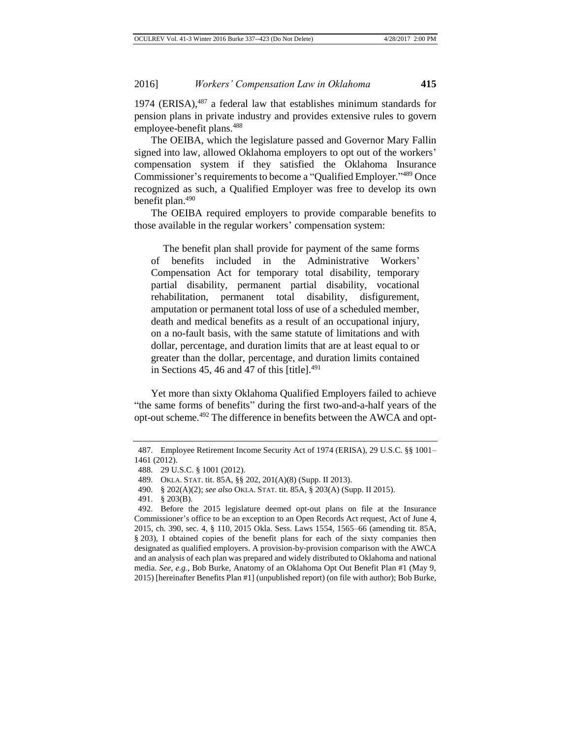1974 (ERISA), $487$  a federal law that establishes minimum standards for pension plans in private industry and provides extensive rules to govern employee-benefit plans.<sup>488</sup>

The OEIBA, which the legislature passed and Governor Mary Fallin signed into law, allowed Oklahoma employers to opt out of the workers' compensation system if they satisfied the Oklahoma Insurance Commissioner's requirements to become a "Qualified Employer." <sup>489</sup> Once recognized as such, a Qualified Employer was free to develop its own benefit plan. $490$ 

The OEIBA required employers to provide comparable benefits to those available in the regular workers' compensation system:

The benefit plan shall provide for payment of the same forms of benefits included in the Administrative Workers' Compensation Act for temporary total disability, temporary partial disability, permanent partial disability, vocational rehabilitation, permanent total disability, disfigurement, amputation or permanent total loss of use of a scheduled member, death and medical benefits as a result of an occupational injury, on a no-fault basis, with the same statute of limitations and with dollar, percentage, and duration limits that are at least equal to or greater than the dollar, percentage, and duration limits contained in Sections 45, 46 and 47 of this [title]. $^{491}$ 

Yet more than sixty Oklahoma Qualified Employers failed to achieve "the same forms of benefits" during the first two-and-a-half years of the opt-out scheme.<sup>492</sup> The difference in benefits between the AWCA and opt-

<sup>487.</sup> Employee Retirement Income Security Act of 1974 (ERISA), 29 U.S.C. §§ 1001– 1461 (2012).

<sup>488.</sup> 29 U.S.C. § 1001 (2012).

<sup>489.</sup> OKLA. STAT. tit. 85A, §§ 202, 201(A)(8) (Supp. II 2013).

<sup>490.</sup> § 202(A)(2); *see also* OKLA. STAT. tit. 85A, § 203(A) (Supp. II 2015).

<sup>491.</sup> § 203(B).

<sup>492.</sup> Before the 2015 legislature deemed opt-out plans on file at the Insurance Commissioner's office to be an exception to an Open Records Act request, Act of June 4, 2015, ch. 390, sec. 4, § 110, 2015 Okla. Sess. Laws 1554, 1565–66 (amending tit. 85A, § 203), I obtained copies of the benefit plans for each of the sixty companies then designated as qualified employers. A provision-by-provision comparison with the AWCA and an analysis of each plan was prepared and widely distributed to Oklahoma and national media. *See, e.g.*, Bob Burke, Anatomy of an Oklahoma Opt Out Benefit Plan #1 (May 9, 2015) [hereinafter Benefits Plan #1] (unpublished report) (on file with author); Bob Burke,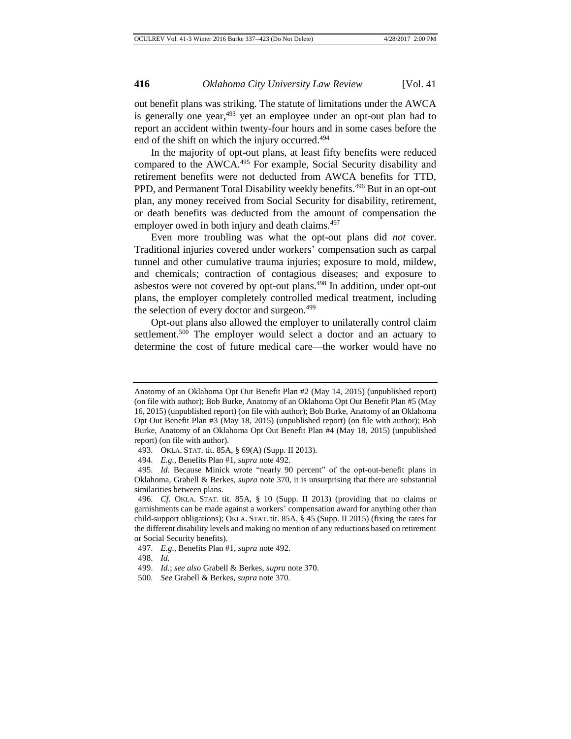out benefit plans was striking. The statute of limitations under the AWCA is generally one year,<sup>493</sup> yet an employee under an opt-out plan had to report an accident within twenty-four hours and in some cases before the end of the shift on which the injury occurred.<sup>494</sup>

In the majority of opt-out plans, at least fifty benefits were reduced compared to the AWCA.<sup>495</sup> For example, Social Security disability and retirement benefits were not deducted from AWCA benefits for TTD, PPD, and Permanent Total Disability weekly benefits.<sup>496</sup> But in an opt-out plan, any money received from Social Security for disability, retirement, or death benefits was deducted from the amount of compensation the employer owed in both injury and death claims.<sup>497</sup>

Even more troubling was what the opt-out plans did *not* cover. Traditional injuries covered under workers' compensation such as carpal tunnel and other cumulative trauma injuries; exposure to mold, mildew, and chemicals; contraction of contagious diseases; and exposure to asbestos were not covered by opt-out plans.<sup>498</sup> In addition, under opt-out plans, the employer completely controlled medical treatment, including the selection of every doctor and surgeon.<sup>499</sup>

Opt-out plans also allowed the employer to unilaterally control claim settlement.<sup>500</sup> The employer would select a doctor and an actuary to determine the cost of future medical care—the worker would have no

Anatomy of an Oklahoma Opt Out Benefit Plan #2 (May 14, 2015) (unpublished report) (on file with author); Bob Burke, Anatomy of an Oklahoma Opt Out Benefit Plan #5 (May 16, 2015) (unpublished report) (on file with author); Bob Burke, Anatomy of an Oklahoma Opt Out Benefit Plan #3 (May 18, 2015) (unpublished report) (on file with author); Bob Burke, Anatomy of an Oklahoma Opt Out Benefit Plan #4 (May 18, 2015) (unpublished report) (on file with author).

<sup>493.</sup> OKLA. STAT. tit. 85A, § 69(A) (Supp. II 2013).

<sup>494.</sup> *E.g.*, Benefits Plan #1, *supra* note 492.

<sup>495.</sup> *Id.* Because Minick wrote "nearly 90 percent" of the opt-out-benefit plans in Oklahoma, Grabell & Berkes, *supra* note 370, it is unsurprising that there are substantial similarities between plans.

<sup>496.</sup> *Cf.* OKLA. STAT. tit. 85A, § 10 (Supp. II 2013) (providing that no claims or garnishments can be made against a workers' compensation award for anything other than child-support obligations); OKLA. STAT. tit. 85A, § 45 (Supp. II 2015) (fixing the rates for the different disability levels and making no mention of any reductions based on retirement or Social Security benefits).

<sup>497.</sup> *E.g.*, Benefits Plan #1, *supra* note 492.

<sup>498.</sup> *Id.*

<sup>499.</sup> *Id.*; *see also* Grabell & Berkes, *supra* note 370.

<sup>500.</sup> *See* Grabell & Berkes, *supra* note 370.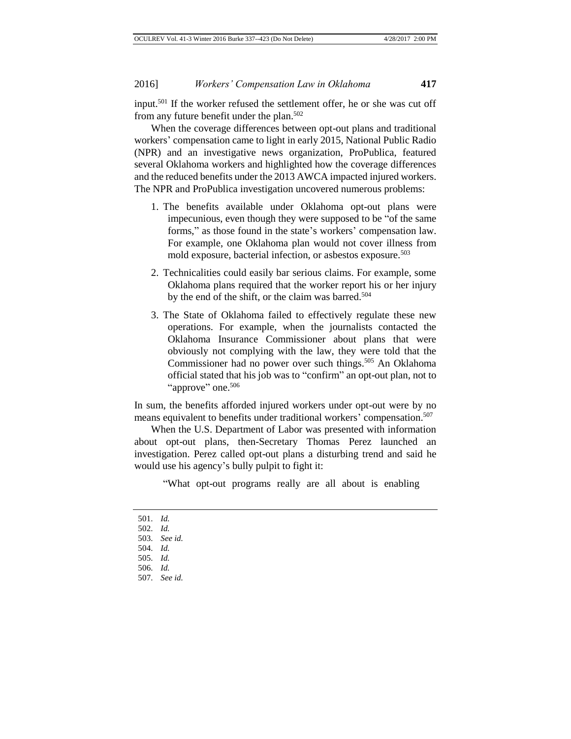input.<sup>501</sup> If the worker refused the settlement offer, he or she was cut off from any future benefit under the plan.<sup>502</sup>

When the coverage differences between opt-out plans and traditional workers' compensation came to light in early 2015, National Public Radio (NPR) and an investigative news organization, ProPublica, featured several Oklahoma workers and highlighted how the coverage differences and the reduced benefits under the 2013 AWCA impacted injured workers. The NPR and ProPublica investigation uncovered numerous problems:

- 1. The benefits available under Oklahoma opt-out plans were impecunious, even though they were supposed to be "of the same forms," as those found in the state's workers' compensation law. For example, one Oklahoma plan would not cover illness from mold exposure, bacterial infection, or asbestos exposure.<sup>503</sup>
- 2. Technicalities could easily bar serious claims. For example, some Oklahoma plans required that the worker report his or her injury by the end of the shift, or the claim was barred.<sup>504</sup>
- 3. The State of Oklahoma failed to effectively regulate these new operations. For example, when the journalists contacted the Oklahoma Insurance Commissioner about plans that were obviously not complying with the law, they were told that the Commissioner had no power over such things.<sup>505</sup> An Oklahoma official stated that his job was to "confirm" an opt-out plan, not to "approve" one.<sup>506</sup>

In sum, the benefits afforded injured workers under opt-out were by no means equivalent to benefits under traditional workers' compensation.<sup>507</sup>

When the U.S. Department of Labor was presented with information about opt-out plans, then-Secretary Thomas Perez launched an investigation. Perez called opt-out plans a disturbing trend and said he would use his agency's bully pulpit to fight it:

"What opt-out programs really are all about is enabling

501. *Id.* 502. *Id.* 503. *See id.* 504. *Id.* 505. *Id.* 506. *Id.* 507. *See id.*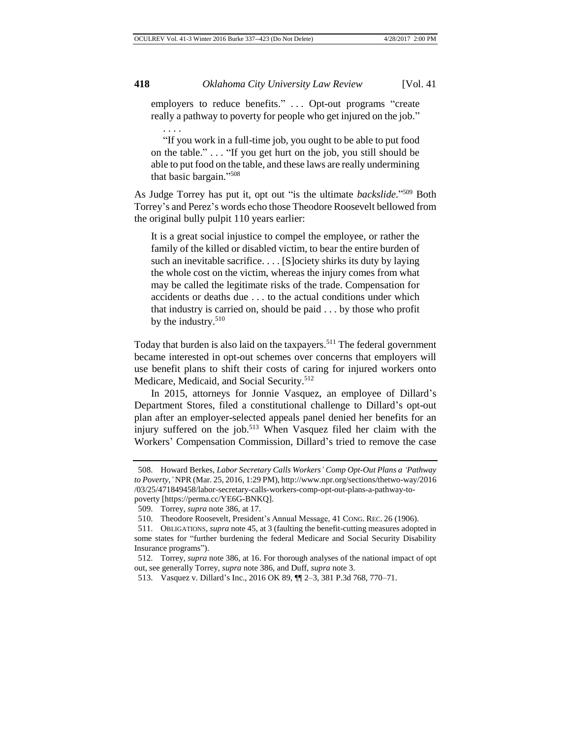employers to reduce benefits." . . . Opt-out programs "create really a pathway to poverty for people who get injured on the job." . . . .

"If you work in a full-time job, you ought to be able to put food on the table." . . . "If you get hurt on the job, you still should be able to put food on the table, and these laws are really undermining that basic bargain." 508

As Judge Torrey has put it, opt out "is the ultimate *backslide*." <sup>509</sup> Both Torrey's and Perez's words echo those Theodore Roosevelt bellowed from the original bully pulpit 110 years earlier:

It is a great social injustice to compel the employee, or rather the family of the killed or disabled victim, to bear the entire burden of such an inevitable sacrifice. . . . [S]ociety shirks its duty by laying the whole cost on the victim, whereas the injury comes from what may be called the legitimate risks of the trade. Compensation for accidents or deaths due . . . to the actual conditions under which that industry is carried on, should be paid . . . by those who profit by the industry.<sup>510</sup>

Today that burden is also laid on the taxpayers.<sup>511</sup> The federal government became interested in opt-out schemes over concerns that employers will use benefit plans to shift their costs of caring for injured workers onto Medicare, Medicaid, and Social Security.<sup>512</sup>

In 2015, attorneys for Jonnie Vasquez, an employee of Dillard's Department Stores, filed a constitutional challenge to Dillard's opt-out plan after an employer-selected appeals panel denied her benefits for an injury suffered on the job.<sup>513</sup> When Vasquez filed her claim with the Workers' Compensation Commission, Dillard's tried to remove the case

<sup>508.</sup> Howard Berkes, *Labor Secretary Calls Workers' Comp Opt-Out Plans a 'Pathway to Poverty*,*'* NPR (Mar. 25, 2016, 1:29 PM), http://www.npr.org/sections/thetwo-way/2016 /03/25/471849458/labor-secretary-calls-workers-comp-opt-out-plans-a-pathway-topoverty [https://perma.cc/YE6G-BNKQ].

<sup>509.</sup> Torrey, *supra* note 386, at 17.

<sup>510.</sup> Theodore Roosevelt, President's Annual Message, 41 CONG. REC. 26 (1906).

<sup>511.</sup> OBLIGATIONS, *supra* note 45, at 3 (faulting the benefit-cutting measures adopted in some states for "further burdening the federal Medicare and Social Security Disability Insurance programs").

<sup>512.</sup> Torrey, *supra* note 386, at 16. For thorough analyses of the national impact of opt out, see generally Torrey, *supra* note 386, and Duff, *supra* note 3.

<sup>513.</sup> Vasquez v. Dillard's Inc., 2016 OK 89, ¶¶ 2–3, 381 P.3d 768, 770–71.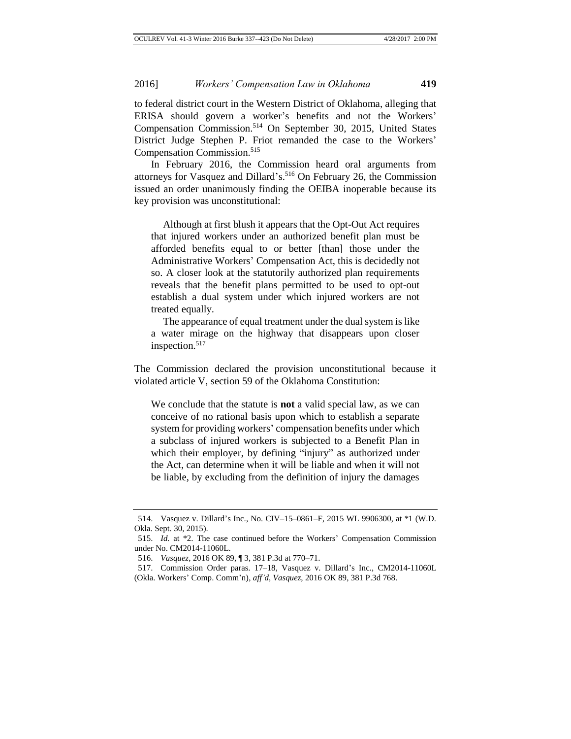to federal district court in the Western District of Oklahoma, alleging that ERISA should govern a worker's benefits and not the Workers' Compensation Commission.<sup>514</sup> On September 30, 2015, United States District Judge Stephen P. Friot remanded the case to the Workers' Compensation Commission.<sup>515</sup>

In February 2016, the Commission heard oral arguments from attorneys for Vasquez and Dillard's.<sup>516</sup> On February 26, the Commission issued an order unanimously finding the OEIBA inoperable because its key provision was unconstitutional:

Although at first blush it appears that the Opt-Out Act requires that injured workers under an authorized benefit plan must be afforded benefits equal to or better [than] those under the Administrative Workers' Compensation Act, this is decidedly not so. A closer look at the statutorily authorized plan requirements reveals that the benefit plans permitted to be used to opt-out establish a dual system under which injured workers are not treated equally.

The appearance of equal treatment under the dual system is like a water mirage on the highway that disappears upon closer inspection.<sup>517</sup>

The Commission declared the provision unconstitutional because it violated article V, section 59 of the Oklahoma Constitution:

We conclude that the statute is **not** a valid special law, as we can conceive of no rational basis upon which to establish a separate system for providing workers' compensation benefits under which a subclass of injured workers is subjected to a Benefit Plan in which their employer, by defining "injury" as authorized under the Act, can determine when it will be liable and when it will not be liable, by excluding from the definition of injury the damages

<sup>514.</sup> Vasquez v. Dillard's Inc., No. CIV–15–0861–F, 2015 WL 9906300, at \*1 (W.D. Okla. Sept. 30, 2015).

<sup>515.</sup> *Id.* at \*2. The case continued before the Workers' Compensation Commission under No. CM2014-11060L.

<sup>516.</sup> *Vasquez*, 2016 OK 89, ¶ 3, 381 P.3d at 770–71.

<sup>517.</sup> Commission Order paras. 17–18, Vasquez v. Dillard's Inc., CM2014-11060L

<sup>(</sup>Okla. Workers' Comp. Comm'n), *aff'd*, *Vasquez*, 2016 OK 89, 381 P.3d 768.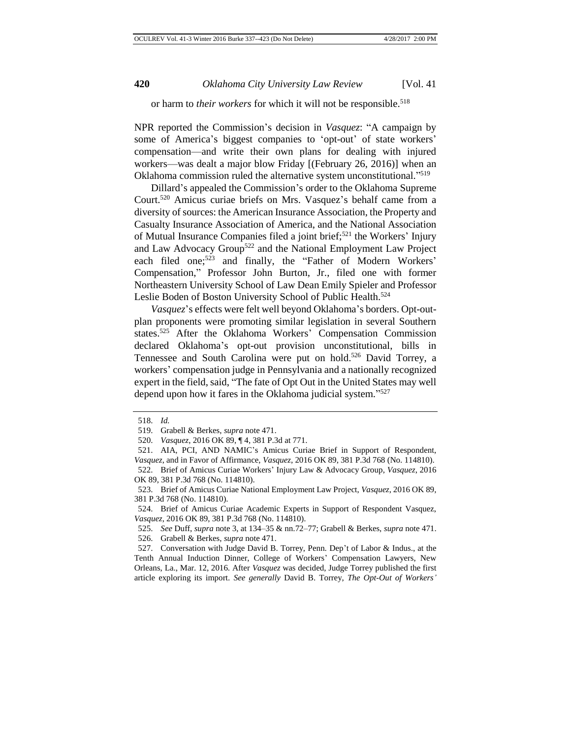#### or harm to *their workers* for which it will not be responsible.<sup>518</sup>

NPR reported the Commission's decision in *Vasquez*: "A campaign by some of America's biggest companies to 'opt-out' of state workers' compensation—and write their own plans for dealing with injured workers—was dealt a major blow Friday [(February 26, 2016)] when an Oklahoma commission ruled the alternative system unconstitutional."<sup>519</sup>

Dillard's appealed the Commission's order to the Oklahoma Supreme Court.<sup>520</sup> Amicus curiae briefs on Mrs. Vasquez's behalf came from a diversity of sources: the American Insurance Association, the Property and Casualty Insurance Association of America, and the National Association of Mutual Insurance Companies filed a joint brief;<sup>521</sup> the Workers' Injury and Law Advocacy Group<sup>522</sup> and the National Employment Law Project each filed one;<sup>523</sup> and finally, the "Father of Modern Workers" Compensation," Professor John Burton, Jr., filed one with former Northeastern University School of Law Dean Emily Spieler and Professor Leslie Boden of Boston University School of Public Health.<sup>524</sup>

*Vasquez*'s effects were felt well beyond Oklahoma's borders. Opt-outplan proponents were promoting similar legislation in several Southern states.<sup>525</sup> After the Oklahoma Workers' Compensation Commission declared Oklahoma's opt-out provision unconstitutional, bills in Tennessee and South Carolina were put on hold.<sup>526</sup> David Torrey, a workers' compensation judge in Pennsylvania and a nationally recognized expert in the field, said, "The fate of Opt Out in the United States may well depend upon how it fares in the Oklahoma judicial system."<sup>527</sup>

<sup>518.</sup> *Id.*

<sup>519.</sup> Grabell & Berkes, *supra* note 471.

<sup>520.</sup> *Vasquez*, 2016 OK 89, ¶ 4, 381 P.3d at 771.

<sup>521.</sup> AIA, PCI, AND NAMIC's Amicus Curiae Brief in Support of Respondent, *Vasquez*, and in Favor of Affirmance, *Vasquez*, 2016 OK 89, 381 P.3d 768 (No. 114810). 522. Brief of Amicus Curiae Workers' Injury Law & Advocacy Group, *Vasquez*, 2016 OK 89, 381 P.3d 768 (No. 114810).

<sup>523.</sup> Brief of Amicus Curiae National Employment Law Project, *Vasquez*, 2016 OK 89, 381 P.3d 768 (No. 114810).

<sup>524.</sup> Brief of Amicus Curiae Academic Experts in Support of Respondent Vasquez, *Vasquez*, 2016 OK 89, 381 P.3d 768 (No. 114810).

<sup>525.</sup> *See* Duff, *supra* note 3, at 134–35 & nn.72–77; Grabell & Berkes, *supra* note 471. 526. Grabell & Berkes, *supra* note 471.

<sup>527.</sup> Conversation with Judge David B. Torrey, Penn. Dep't of Labor & Indus., at the Tenth Annual Induction Dinner, College of Workers' Compensation Lawyers, New Orleans, La., Mar. 12, 2016. After *Vasquez* was decided, Judge Torrey published the first article exploring its import. *See generally* David B. Torrey, *The Opt-Out of Workers'*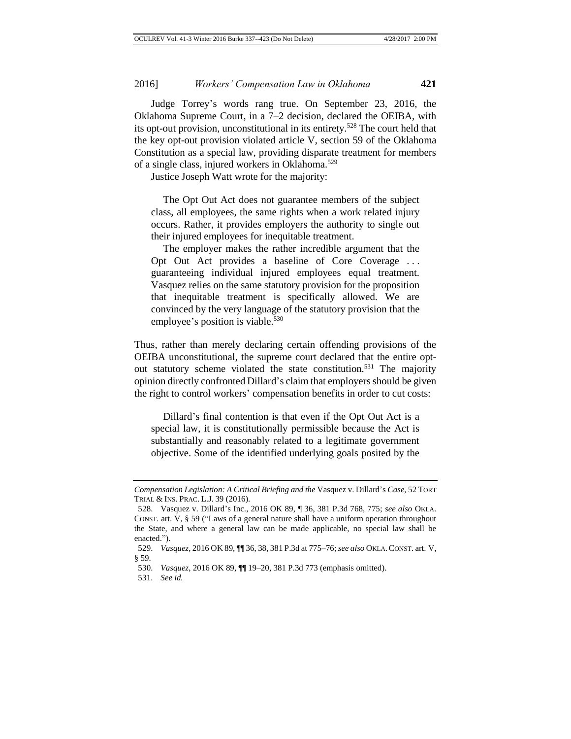Judge Torrey's words rang true. On September 23, 2016, the Oklahoma Supreme Court, in a 7–2 decision, declared the OEIBA, with its opt-out provision, unconstitutional in its entirety.<sup>528</sup> The court held that the key opt-out provision violated article V, section 59 of the Oklahoma Constitution as a special law, providing disparate treatment for members of a single class, injured workers in Oklahoma.<sup>529</sup>

Justice Joseph Watt wrote for the majority:

The Opt Out Act does not guarantee members of the subject class, all employees, the same rights when a work related injury occurs. Rather, it provides employers the authority to single out their injured employees for inequitable treatment.

The employer makes the rather incredible argument that the Opt Out Act provides a baseline of Core Coverage . . . guaranteeing individual injured employees equal treatment. Vasquez relies on the same statutory provision for the proposition that inequitable treatment is specifically allowed. We are convinced by the very language of the statutory provision that the employee's position is viable.<sup>530</sup>

Thus, rather than merely declaring certain offending provisions of the OEIBA unconstitutional, the supreme court declared that the entire optout statutory scheme violated the state constitution.<sup>531</sup> The majority opinion directly confronted Dillard's claim that employers should be given the right to control workers' compensation benefits in order to cut costs:

Dillard's final contention is that even if the Opt Out Act is a special law, it is constitutionally permissible because the Act is substantially and reasonably related to a legitimate government objective. Some of the identified underlying goals posited by the

*Compensation Legislation: A Critical Briefing and the* Vasquez v. Dillard's *Case*, 52 TORT TRIAL & INS. PRAC. L.J. 39 (2016).

<sup>528.</sup> Vasquez v. Dillard's Inc., 2016 OK 89, ¶ 36, 381 P.3d 768, 775; *see also* OKLA. CONST. art. V, § 59 ("Laws of a general nature shall have a uniform operation throughout the State, and where a general law can be made applicable, no special law shall be enacted.").

<sup>529.</sup> *Vasquez*, 2016 OK 89, ¶¶ 36, 38, 381 P.3d at 775–76; *see also* OKLA.CONST. art. V, § 59.

<sup>530.</sup> *Vasquez*, 2016 OK 89, ¶¶ 19–20, 381 P.3d 773 (emphasis omitted).

<sup>531.</sup> *See id.*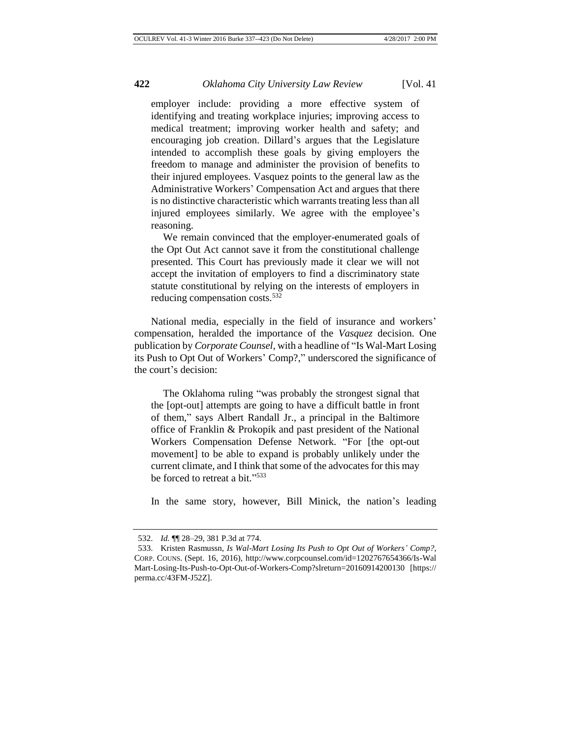employer include: providing a more effective system of identifying and treating workplace injuries; improving access to medical treatment; improving worker health and safety; and encouraging job creation. Dillard's argues that the Legislature intended to accomplish these goals by giving employers the freedom to manage and administer the provision of benefits to their injured employees. Vasquez points to the general law as the Administrative Workers' Compensation Act and argues that there is no distinctive characteristic which warrants treating less than all injured employees similarly. We agree with the employee's reasoning.

We remain convinced that the employer-enumerated goals of the Opt Out Act cannot save it from the constitutional challenge presented. This Court has previously made it clear we will not accept the invitation of employers to find a discriminatory state statute constitutional by relying on the interests of employers in reducing compensation costs.<sup>532</sup>

National media, especially in the field of insurance and workers' compensation, heralded the importance of the *Vasquez* decision. One publication by *Corporate Counsel*, with a headline of "Is Wal-Mart Losing its Push to Opt Out of Workers' Comp?," underscored the significance of the court's decision:

The Oklahoma ruling "was probably the strongest signal that the [opt-out] attempts are going to have a difficult battle in front of them," says Albert Randall Jr., a principal in the Baltimore office of Franklin & Prokopik and past president of the National Workers Compensation Defense Network. "For [the opt-out movement] to be able to expand is probably unlikely under the current climate, and I think that some of the advocates for this may be forced to retreat a bit."<sup>533</sup>

In the same story, however, Bill Minick, the nation's leading

<sup>532.</sup> *Id.* ¶¶ 28–29, 381 P.3d at 774.

<sup>533.</sup> Kristen Rasmussn, *Is Wal-Mart Losing Its Push to Opt Out of Workers' Comp?*, CORP. COUNS. (Sept. 16, 2016), http://www.corpcounsel.com/id=1202767654366/Is-Wal Mart-Losing-Its-Push-to-Opt-Out-of-Workers-Comp?slreturn=20160914200130 [https:// perma.cc/43FM-J52Z].